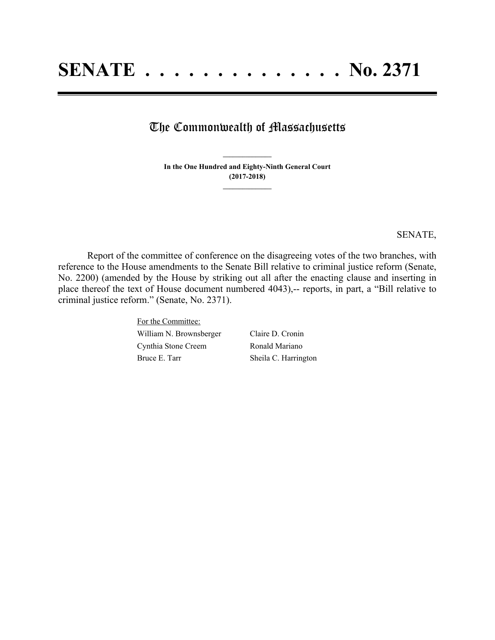## The Commonwealth of Massachusetts

**In the One Hundred and Eighty-Ninth General Court (2017-2018) \_\_\_\_\_\_\_\_\_\_\_\_\_\_\_**

**\_\_\_\_\_\_\_\_\_\_\_\_\_\_\_**

SENATE,

Report of the committee of conference on the disagreeing votes of the two branches, with reference to the House amendments to the Senate Bill relative to criminal justice reform (Senate, No. 2200) (amended by the House by striking out all after the enacting clause and inserting in place thereof the text of House document numbered 4043),-- reports, in part, a "Bill relative to criminal justice reform." (Senate, No. 2371).

> For the Committee: William N. Brownsberger Claire D. Cronin Cynthia Stone Creem Ronald Mariano Bruce E. Tarr Sheila C. Harrington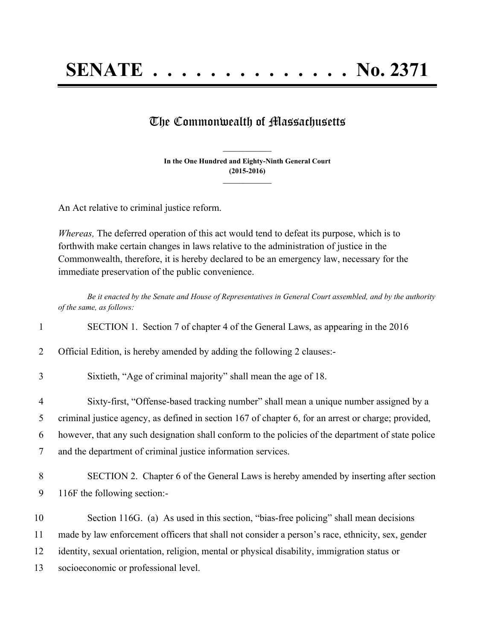**SENATE . . . . . . . . . . . . . . No. 2371**

## The Commonwealth of Massachusetts

**In the One Hundred and Eighty-Ninth General Court (2015-2016) \_\_\_\_\_\_\_\_\_\_\_\_\_\_\_**

**\_\_\_\_\_\_\_\_\_\_\_\_\_\_\_**

An Act relative to criminal justice reform.

*Whereas,* The deferred operation of this act would tend to defeat its purpose, which is to forthwith make certain changes in laws relative to the administration of justice in the Commonwealth, therefore, it is hereby declared to be an emergency law, necessary for the immediate preservation of the public convenience.

*Be it enacted by the Senate and House of Representatives in General Court assembled, and by the authority of the same, as follows:*

| $\mathbf{1}$   | SECTION 1. Section 7 of chapter 4 of the General Laws, as appearing in the 2016                     |
|----------------|-----------------------------------------------------------------------------------------------------|
| 2              | Official Edition, is hereby amended by adding the following 2 clauses:-                             |
| 3              | Sixtieth, "Age of criminal majority" shall mean the age of 18.                                      |
| $\overline{4}$ | Sixty-first, "Offense-based tracking number" shall mean a unique number assigned by a               |
| 5              | criminal justice agency, as defined in section 167 of chapter 6, for an arrest or charge; provided, |
| 6              | however, that any such designation shall conform to the policies of the department of state police  |
| 7              | and the department of criminal justice information services.                                        |
| 8              | SECTION 2. Chapter 6 of the General Laws is hereby amended by inserting after section               |
| 9              | 116F the following section:-                                                                        |
| 10             | Section 116G. (a) As used in this section, "bias-free policing" shall mean decisions                |
| 11             | made by law enforcement officers that shall not consider a person's race, ethnicity, sex, gender    |
| 12             | identity, sexual orientation, religion, mental or physical disability, immigration status or        |
| 13             | socioeconomic or professional level.                                                                |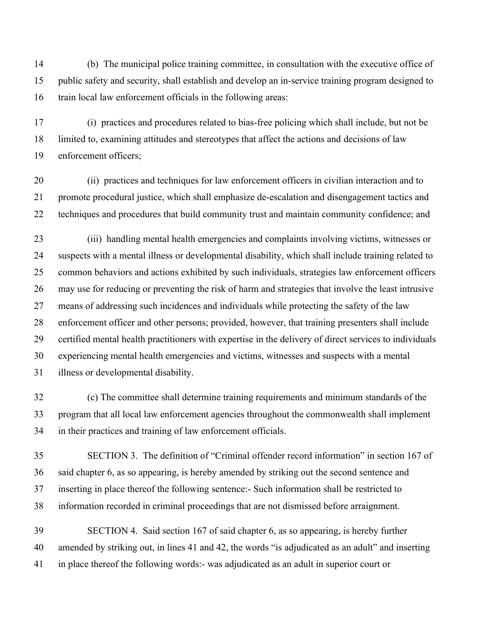14 (b) The municipal police training committee, in consultation with the executive office of 15 public safety and security, shall establish and develop an in-service training program designed to 16 train local law enforcement officials in the following areas:

17 (i) practices and procedures related to bias-free policing which shall include, but not be 18 limited to, examining attitudes and stereotypes that affect the actions and decisions of law 19 enforcement officers;

20 (ii) practices and techniques for law enforcement officers in civilian interaction and to 21 promote procedural justice, which shall emphasize de-escalation and disengagement tactics and 22 techniques and procedures that build community trust and maintain community confidence; and

23 (iii) handling mental health emergencies and complaints involving victims, witnesses or 24 suspects with a mental illness or developmental disability, which shall include training related to 25 common behaviors and actions exhibited by such individuals, strategies law enforcement officers 26 may use for reducing or preventing the risk of harm and strategies that involve the least intrusive 27 means of addressing such incidences and individuals while protecting the safety of the law 28 enforcement officer and other persons; provided, however, that training presenters shall include 29 certified mental health practitioners with expertise in the delivery of direct services to individuals 30 experiencing mental health emergencies and victims, witnesses and suspects with a mental 31 illness or developmental disability.

32 (c) The committee shall determine training requirements and minimum standards of the 33 program that all local law enforcement agencies throughout the commonwealth shall implement 34 in their practices and training of law enforcement officials.

35 SECTION 3. The definition of "Criminal offender record information" in section 167 of 36 said chapter 6, as so appearing, is hereby amended by striking out the second sentence and 37 inserting in place thereof the following sentence:- Such information shall be restricted to 38 information recorded in criminal proceedings that are not dismissed before arraignment.

39 SECTION 4. Said section 167 of said chapter 6, as so appearing, is hereby further 40 amended by striking out, in lines 41 and 42, the words "is adjudicated as an adult" and inserting 41 in place thereof the following words:- was adjudicated as an adult in superior court or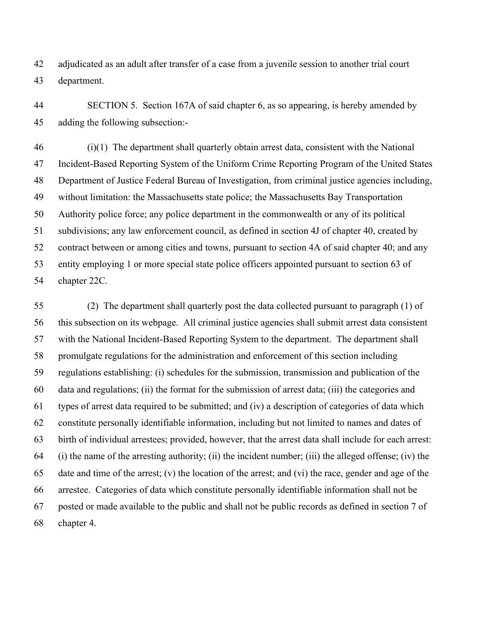42 adjudicated as an adult after transfer of a case from a juvenile session to another trial court 43 department.

44 SECTION 5. Section 167A of said chapter 6, as so appearing, is hereby amended by 45 adding the following subsection:-

46 (i)(1) The department shall quarterly obtain arrest data, consistent with the National 47 Incident-Based Reporting System of the Uniform Crime Reporting Program of the United States 48 Department of Justice Federal Bureau of Investigation, from criminal justice agencies including, 49 without limitation: the Massachusetts state police; the Massachusetts Bay Transportation 50 Authority police force; any police department in the commonwealth or any of its political 51 subdivisions; any law enforcement council, as defined in section 4J of chapter 40, created by 52 contract between or among cities and towns, pursuant to section 4A of said chapter 40; and any 53 entity employing 1 or more special state police officers appointed pursuant to section 63 of 54 chapter 22C.

55 (2) The department shall quarterly post the data collected pursuant to paragraph (1) of 56 this subsection on its webpage. All criminal justice agencies shall submit arrest data consistent 57 with the National Incident-Based Reporting System to the department. The department shall 58 promulgate regulations for the administration and enforcement of this section including 59 regulations establishing: (i) schedules for the submission, transmission and publication of the 60 data and regulations; (ii) the format for the submission of arrest data; (iii) the categories and 61 types of arrest data required to be submitted; and (iv) a description of categories of data which 62 constitute personally identifiable information, including but not limited to names and dates of 63 birth of individual arrestees; provided, however, that the arrest data shall include for each arrest: 64 (i) the name of the arresting authority; (ii) the incident number; (iii) the alleged offense; (iv) the 65 date and time of the arrest; (v) the location of the arrest; and (vi) the race, gender and age of the 66 arrestee. Categories of data which constitute personally identifiable information shall not be 67 posted or made available to the public and shall not be public records as defined in section 7 of 68 chapter 4.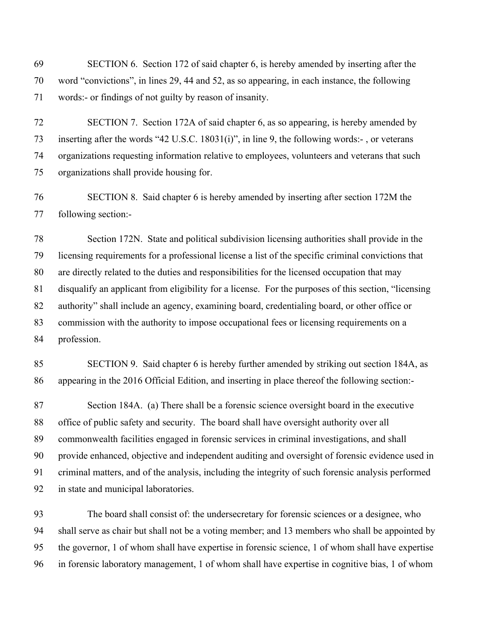69 SECTION 6. Section 172 of said chapter 6, is hereby amended by inserting after the 70 word "convictions", in lines 29, 44 and 52, as so appearing, in each instance, the following 71 words:- or findings of not guilty by reason of insanity.

72 SECTION 7. Section 172A of said chapter 6, as so appearing, is hereby amended by 73 inserting after the words "42 U.S.C. 18031(i)", in line 9, the following words:- , or veterans 74 organizations requesting information relative to employees, volunteers and veterans that such 75 organizations shall provide housing for.

76 SECTION 8. Said chapter 6 is hereby amended by inserting after section 172M the 77 following section:-

78 Section 172N. State and political subdivision licensing authorities shall provide in the 79 licensing requirements for a professional license a list of the specific criminal convictions that 80 are directly related to the duties and responsibilities for the licensed occupation that may 81 disqualify an applicant from eligibility for a license. For the purposes of this section, "licensing 82 authority" shall include an agency, examining board, credentialing board, or other office or 83 commission with the authority to impose occupational fees or licensing requirements on a 84 profession.

85 SECTION 9. Said chapter 6 is hereby further amended by striking out section 184A, as 86 appearing in the 2016 Official Edition, and inserting in place thereof the following section:-

87 Section 184A. (a) There shall be a forensic science oversight board in the executive 88 office of public safety and security. The board shall have oversight authority over all 89 commonwealth facilities engaged in forensic services in criminal investigations, and shall 90 provide enhanced, objective and independent auditing and oversight of forensic evidence used in 91 criminal matters, and of the analysis, including the integrity of such forensic analysis performed 92 in state and municipal laboratories.

93 The board shall consist of: the undersecretary for forensic sciences or a designee, who 94 shall serve as chair but shall not be a voting member; and 13 members who shall be appointed by 95 the governor, 1 of whom shall have expertise in forensic science, 1 of whom shall have expertise 96 in forensic laboratory management, 1 of whom shall have expertise in cognitive bias, 1 of whom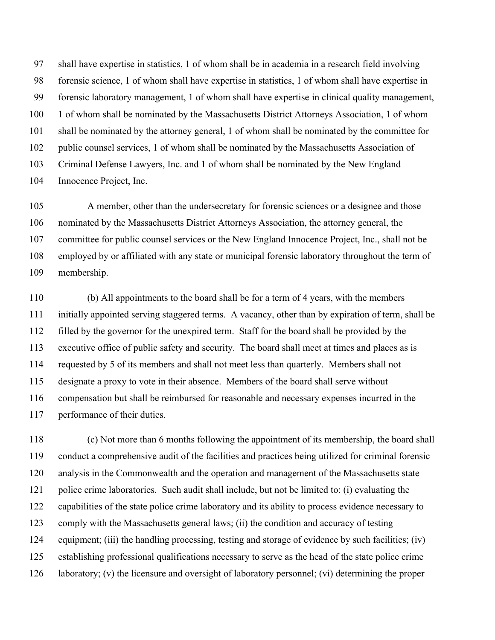97 shall have expertise in statistics, 1 of whom shall be in academia in a research field involving 98 forensic science, 1 of whom shall have expertise in statistics, 1 of whom shall have expertise in 99 forensic laboratory management, 1 of whom shall have expertise in clinical quality management, 100 1 of whom shall be nominated by the Massachusetts District Attorneys Association, 1 of whom 101 shall be nominated by the attorney general, 1 of whom shall be nominated by the committee for 102 public counsel services, 1 of whom shall be nominated by the Massachusetts Association of 103 Criminal Defense Lawyers, Inc. and 1 of whom shall be nominated by the New England 104 Innocence Project, Inc.

105 A member, other than the undersecretary for forensic sciences or a designee and those 106 nominated by the Massachusetts District Attorneys Association, the attorney general, the 107 committee for public counsel services or the New England Innocence Project, Inc., shall not be 108 employed by or affiliated with any state or municipal forensic laboratory throughout the term of 109 membership.

110 (b) All appointments to the board shall be for a term of 4 years, with the members 111 initially appointed serving staggered terms. A vacancy, other than by expiration of term, shall be 112 filled by the governor for the unexpired term. Staff for the board shall be provided by the 113 executive office of public safety and security. The board shall meet at times and places as is 114 requested by 5 of its members and shall not meet less than quarterly. Members shall not 115 designate a proxy to vote in their absence. Members of the board shall serve without 116 compensation but shall be reimbursed for reasonable and necessary expenses incurred in the 117 performance of their duties.

118 (c) Not more than 6 months following the appointment of its membership, the board shall 119 conduct a comprehensive audit of the facilities and practices being utilized for criminal forensic 120 analysis in the Commonwealth and the operation and management of the Massachusetts state 121 police crime laboratories. Such audit shall include, but not be limited to: (i) evaluating the 122 capabilities of the state police crime laboratory and its ability to process evidence necessary to 123 comply with the Massachusetts general laws; (ii) the condition and accuracy of testing 124 equipment; (iii) the handling processing, testing and storage of evidence by such facilities; (iv) 125 establishing professional qualifications necessary to serve as the head of the state police crime 126 laboratory; (v) the licensure and oversight of laboratory personnel; (vi) determining the proper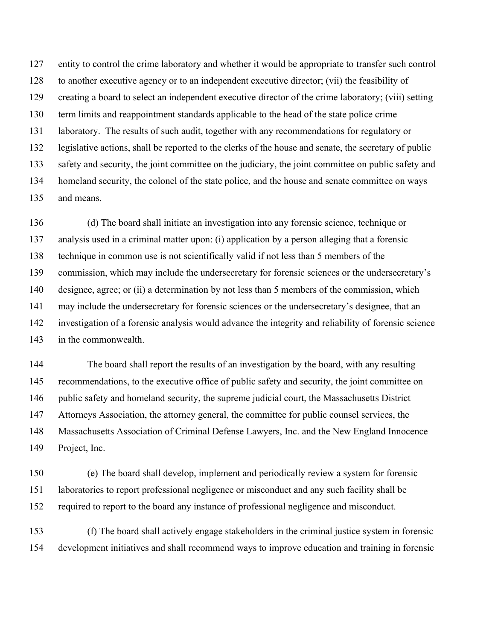127 entity to control the crime laboratory and whether it would be appropriate to transfer such control 128 to another executive agency or to an independent executive director; (vii) the feasibility of 129 creating a board to select an independent executive director of the crime laboratory; (viii) setting 130 term limits and reappointment standards applicable to the head of the state police crime 131 laboratory. The results of such audit, together with any recommendations for regulatory or 132 legislative actions, shall be reported to the clerks of the house and senate, the secretary of public 133 safety and security, the joint committee on the judiciary, the joint committee on public safety and 134 homeland security, the colonel of the state police, and the house and senate committee on ways 135 and means.

136 (d) The board shall initiate an investigation into any forensic science, technique or 137 analysis used in a criminal matter upon: (i) application by a person alleging that a forensic 138 technique in common use is not scientifically valid if not less than 5 members of the 139 commission, which may include the undersecretary for forensic sciences or the undersecretary's 140 designee, agree; or (ii) a determination by not less than 5 members of the commission, which 141 may include the undersecretary for forensic sciences or the undersecretary's designee, that an 142 investigation of a forensic analysis would advance the integrity and reliability of forensic science 143 in the commonwealth.

144 The board shall report the results of an investigation by the board, with any resulting 145 recommendations, to the executive office of public safety and security, the joint committee on 146 public safety and homeland security, the supreme judicial court, the Massachusetts District 147 Attorneys Association, the attorney general, the committee for public counsel services, the 148 Massachusetts Association of Criminal Defense Lawyers, Inc. and the New England Innocence 149 Project, Inc.

150 (e) The board shall develop, implement and periodically review a system for forensic 151 laboratories to report professional negligence or misconduct and any such facility shall be 152 required to report to the board any instance of professional negligence and misconduct.

153 (f) The board shall actively engage stakeholders in the criminal justice system in forensic 154 development initiatives and shall recommend ways to improve education and training in forensic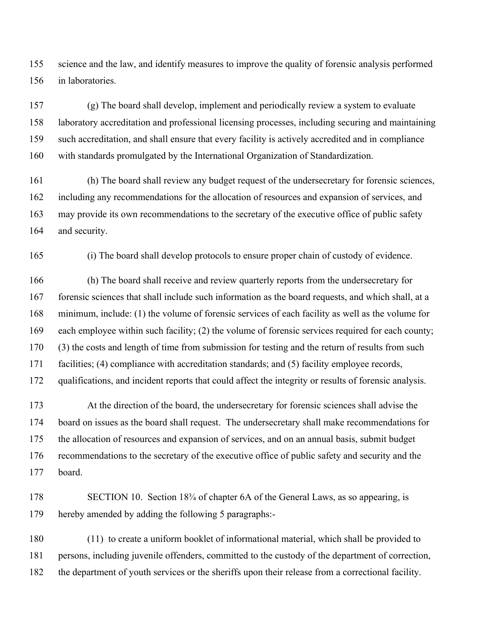155 science and the law, and identify measures to improve the quality of forensic analysis performed 156 in laboratories.

157 (g) The board shall develop, implement and periodically review a system to evaluate 158 laboratory accreditation and professional licensing processes, including securing and maintaining 159 such accreditation, and shall ensure that every facility is actively accredited and in compliance 160 with standards promulgated by the International Organization of Standardization.

161 (h) The board shall review any budget request of the undersecretary for forensic sciences, 162 including any recommendations for the allocation of resources and expansion of services, and 163 may provide its own recommendations to the secretary of the executive office of public safety 164 and security.

165 (i) The board shall develop protocols to ensure proper chain of custody of evidence.

166 (h) The board shall receive and review quarterly reports from the undersecretary for 167 forensic sciences that shall include such information as the board requests, and which shall, at a 168 minimum, include: (1) the volume of forensic services of each facility as well as the volume for 169 each employee within such facility; (2) the volume of forensic services required for each county; 170 (3) the costs and length of time from submission for testing and the return of results from such 171 facilities; (4) compliance with accreditation standards; and (5) facility employee records, 172 qualifications, and incident reports that could affect the integrity or results of forensic analysis.

173 At the direction of the board, the undersecretary for forensic sciences shall advise the 174 board on issues as the board shall request. The undersecretary shall make recommendations for 175 the allocation of resources and expansion of services, and on an annual basis, submit budget 176 recommendations to the secretary of the executive office of public safety and security and the 177 board.

178 SECTION 10. Section 18<sup>3</sup>/<sub>4</sub> of chapter 6A of the General Laws, as so appearing, is 179 hereby amended by adding the following 5 paragraphs:-

180 (11) to create a uniform booklet of informational material, which shall be provided to 181 persons, including juvenile offenders, committed to the custody of the department of correction, 182 the department of youth services or the sheriffs upon their release from a correctional facility.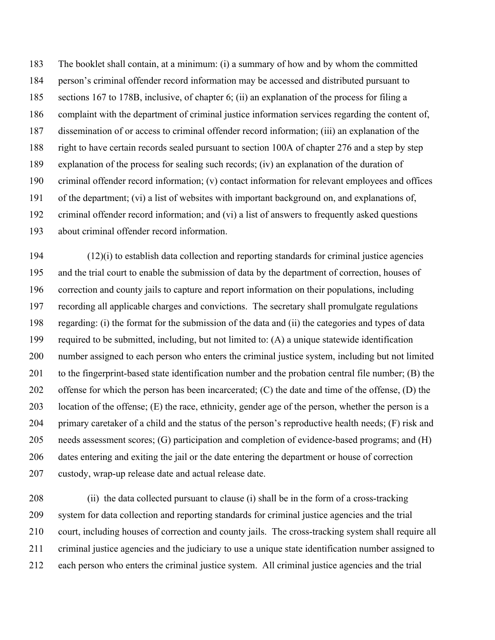183 The booklet shall contain, at a minimum: (i) a summary of how and by whom the committed 184 person's criminal offender record information may be accessed and distributed pursuant to 185 sections 167 to 178B, inclusive, of chapter 6; (ii) an explanation of the process for filing a 186 complaint with the department of criminal justice information services regarding the content of, 187 dissemination of or access to criminal offender record information; (iii) an explanation of the 188 right to have certain records sealed pursuant to section 100A of chapter 276 and a step by step 189 explanation of the process for sealing such records; (iv) an explanation of the duration of 190 criminal offender record information; (v) contact information for relevant employees and offices 191 of the department; (vi) a list of websites with important background on, and explanations of, 192 criminal offender record information; and (vi) a list of answers to frequently asked questions 193 about criminal offender record information.

 $194$  (12)(i) to establish data collection and reporting standards for criminal justice agencies 195 and the trial court to enable the submission of data by the department of correction, houses of 196 correction and county jails to capture and report information on their populations, including 197 recording all applicable charges and convictions. The secretary shall promulgate regulations 198 regarding: (i) the format for the submission of the data and (ii) the categories and types of data 199 required to be submitted, including, but not limited to: (A) a unique statewide identification 200 number assigned to each person who enters the criminal justice system, including but not limited 201 to the fingerprint-based state identification number and the probation central file number; (B) the 202 offense for which the person has been incarcerated; (C) the date and time of the offense, (D) the 203 location of the offense; (E) the race, ethnicity, gender age of the person, whether the person is a 204 primary caretaker of a child and the status of the person's reproductive health needs; (F) risk and 205 needs assessment scores; (G) participation and completion of evidence-based programs; and (H) 206 dates entering and exiting the jail or the date entering the department or house of correction 207 custody, wrap-up release date and actual release date.

208 (ii) the data collected pursuant to clause (i) shall be in the form of a cross-tracking 209 system for data collection and reporting standards for criminal justice agencies and the trial 210 court, including houses of correction and county jails. The cross-tracking system shall require all 211 criminal justice agencies and the judiciary to use a unique state identification number assigned to 212 each person who enters the criminal justice system. All criminal justice agencies and the trial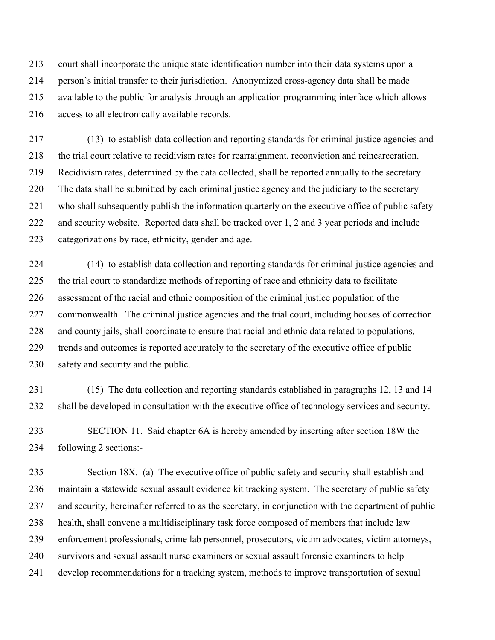213 court shall incorporate the unique state identification number into their data systems upon a 214 person's initial transfer to their jurisdiction. Anonymized cross-agency data shall be made 215 available to the public for analysis through an application programming interface which allows 216 access to all electronically available records.

217 (13) to establish data collection and reporting standards for criminal justice agencies and 218 the trial court relative to recidivism rates for rearraignment, reconviction and reincarceration. 219 Recidivism rates, determined by the data collected, shall be reported annually to the secretary. 220 The data shall be submitted by each criminal justice agency and the judiciary to the secretary 221 who shall subsequently publish the information quarterly on the executive office of public safety 222 and security website. Reported data shall be tracked over 1, 2 and 3 year periods and include 223 categorizations by race, ethnicity, gender and age.

224 (14) to establish data collection and reporting standards for criminal justice agencies and 225 the trial court to standardize methods of reporting of race and ethnicity data to facilitate 226 assessment of the racial and ethnic composition of the criminal justice population of the 227 commonwealth. The criminal justice agencies and the trial court, including houses of correction 228 and county jails, shall coordinate to ensure that racial and ethnic data related to populations, 229 trends and outcomes is reported accurately to the secretary of the executive office of public 230 safety and security and the public.

231 (15) The data collection and reporting standards established in paragraphs 12, 13 and 14 232 shall be developed in consultation with the executive office of technology services and security.

233 SECTION 11. Said chapter 6A is hereby amended by inserting after section 18W the 234 following 2 sections:-

235 Section 18X. (a) The executive office of public safety and security shall establish and 236 maintain a statewide sexual assault evidence kit tracking system. The secretary of public safety 237 and security, hereinafter referred to as the secretary, in conjunction with the department of public 238 health, shall convene a multidisciplinary task force composed of members that include law 239 enforcement professionals, crime lab personnel, prosecutors, victim advocates, victim attorneys, 240 survivors and sexual assault nurse examiners or sexual assault forensic examiners to help 241 develop recommendations for a tracking system, methods to improve transportation of sexual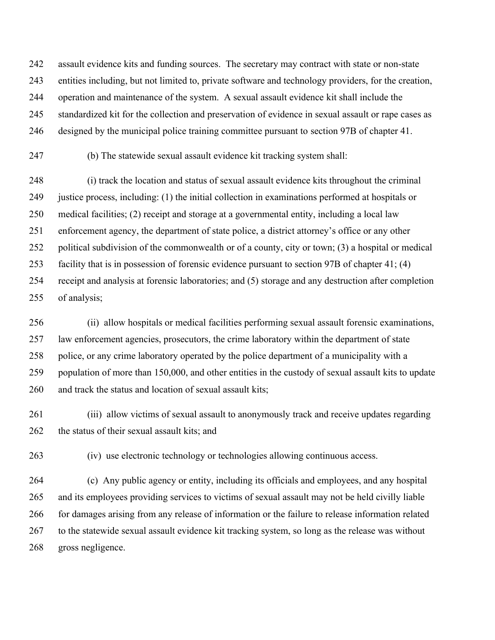242 assault evidence kits and funding sources. The secretary may contract with state or non-state 243 entities including, but not limited to, private software and technology providers, for the creation, 244 operation and maintenance of the system. A sexual assault evidence kit shall include the 245 standardized kit for the collection and preservation of evidence in sexual assault or rape cases as 246 designed by the municipal police training committee pursuant to section 97B of chapter 41.

247 (b) The statewide sexual assault evidence kit tracking system shall:

248 (i) track the location and status of sexual assault evidence kits throughout the criminal 249 justice process, including: (1) the initial collection in examinations performed at hospitals or 250 medical facilities; (2) receipt and storage at a governmental entity, including a local law 251 enforcement agency, the department of state police, a district attorney's office or any other 252 political subdivision of the commonwealth or of a county, city or town; (3) a hospital or medical 253 facility that is in possession of forensic evidence pursuant to section 97B of chapter 41; (4) 254 receipt and analysis at forensic laboratories; and (5) storage and any destruction after completion 255 of analysis;

256 (ii) allow hospitals or medical facilities performing sexual assault forensic examinations, 257 law enforcement agencies, prosecutors, the crime laboratory within the department of state 258 police, or any crime laboratory operated by the police department of a municipality with a 259 population of more than 150,000, and other entities in the custody of sexual assault kits to update 260 and track the status and location of sexual assault kits;

261 (iii) allow victims of sexual assault to anonymously track and receive updates regarding 262 the status of their sexual assault kits; and

263 (iv) use electronic technology or technologies allowing continuous access.

264 (c) Any public agency or entity, including its officials and employees, and any hospital 265 and its employees providing services to victims of sexual assault may not be held civilly liable 266 for damages arising from any release of information or the failure to release information related 267 to the statewide sexual assault evidence kit tracking system, so long as the release was without 268 gross negligence.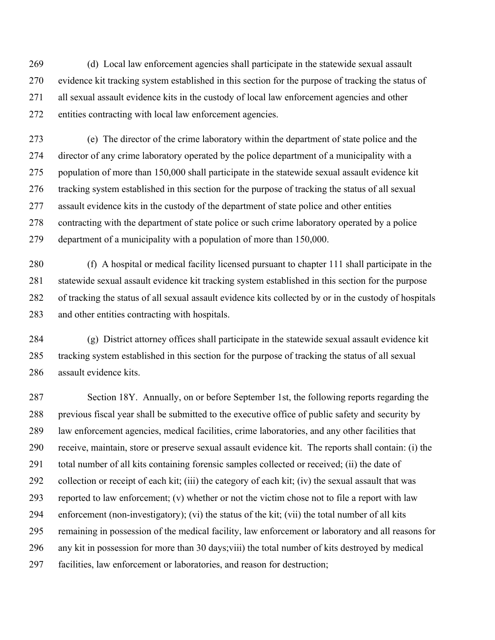269 (d) Local law enforcement agencies shall participate in the statewide sexual assault 270 evidence kit tracking system established in this section for the purpose of tracking the status of 271 all sexual assault evidence kits in the custody of local law enforcement agencies and other 272 entities contracting with local law enforcement agencies.

273 (e) The director of the crime laboratory within the department of state police and the 274 director of any crime laboratory operated by the police department of a municipality with a 275 population of more than 150,000 shall participate in the statewide sexual assault evidence kit 276 tracking system established in this section for the purpose of tracking the status of all sexual 277 assault evidence kits in the custody of the department of state police and other entities 278 contracting with the department of state police or such crime laboratory operated by a police 279 department of a municipality with a population of more than 150,000.

280 (f) A hospital or medical facility licensed pursuant to chapter 111 shall participate in the 281 statewide sexual assault evidence kit tracking system established in this section for the purpose 282 of tracking the status of all sexual assault evidence kits collected by or in the custody of hospitals 283 and other entities contracting with hospitals.

284 (g) District attorney offices shall participate in the statewide sexual assault evidence kit 285 tracking system established in this section for the purpose of tracking the status of all sexual 286 assault evidence kits.

287 Section 18Y. Annually, on or before September 1st, the following reports regarding the 288 previous fiscal year shall be submitted to the executive office of public safety and security by 289 law enforcement agencies, medical facilities, crime laboratories, and any other facilities that 290 receive, maintain, store or preserve sexual assault evidence kit. The reports shall contain: (i) the 291 total number of all kits containing forensic samples collected or received; (ii) the date of 292 collection or receipt of each kit; (iii) the category of each kit; (iv) the sexual assault that was 293 reported to law enforcement; (v) whether or not the victim chose not to file a report with law 294 enforcement (non-investigatory); (vi) the status of the kit; (vii) the total number of all kits 295 remaining in possession of the medical facility, law enforcement or laboratory and all reasons for 296 any kit in possession for more than 30 days;viii) the total number of kits destroyed by medical 297 facilities, law enforcement or laboratories, and reason for destruction;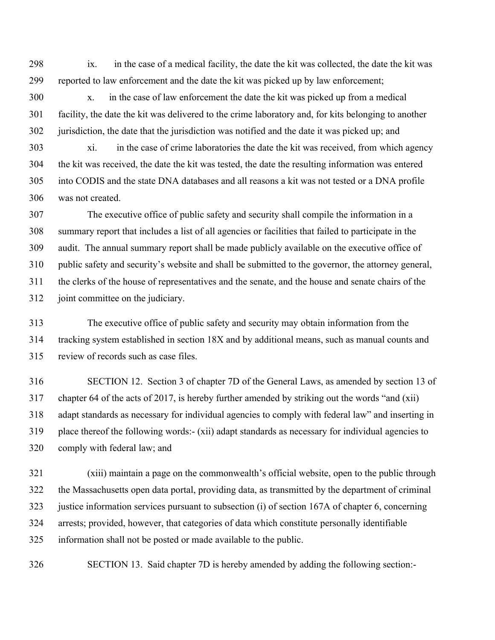298 ix. in the case of a medical facility, the date the kit was collected, the date the kit was 299 reported to law enforcement and the date the kit was picked up by law enforcement;

300 x. in the case of law enforcement the date the kit was picked up from a medical 301 facility, the date the kit was delivered to the crime laboratory and, for kits belonging to another 302 jurisdiction, the date that the jurisdiction was notified and the date it was picked up; and

303 xi. in the case of crime laboratories the date the kit was received, from which agency 304 the kit was received, the date the kit was tested, the date the resulting information was entered 305 into CODIS and the state DNA databases and all reasons a kit was not tested or a DNA profile 306 was not created.

307 The executive office of public safety and security shall compile the information in a 308 summary report that includes a list of all agencies or facilities that failed to participate in the 309 audit. The annual summary report shall be made publicly available on the executive office of 310 public safety and security's website and shall be submitted to the governor, the attorney general, 311 the clerks of the house of representatives and the senate, and the house and senate chairs of the 312 joint committee on the judiciary.

313 The executive office of public safety and security may obtain information from the 314 tracking system established in section 18X and by additional means, such as manual counts and 315 review of records such as case files.

316 SECTION 12. Section 3 of chapter 7D of the General Laws, as amended by section 13 of 317 chapter 64 of the acts of 2017, is hereby further amended by striking out the words "and (xii) 318 adapt standards as necessary for individual agencies to comply with federal law" and inserting in 319 place thereof the following words:- (xii) adapt standards as necessary for individual agencies to 320 comply with federal law; and

321 (xiii) maintain a page on the commonwealth's official website, open to the public through 322 the Massachusetts open data portal, providing data, as transmitted by the department of criminal 323 justice information services pursuant to subsection (i) of section 167A of chapter 6, concerning 324 arrests; provided, however, that categories of data which constitute personally identifiable 325 information shall not be posted or made available to the public.

326 SECTION 13. Said chapter 7D is hereby amended by adding the following section:-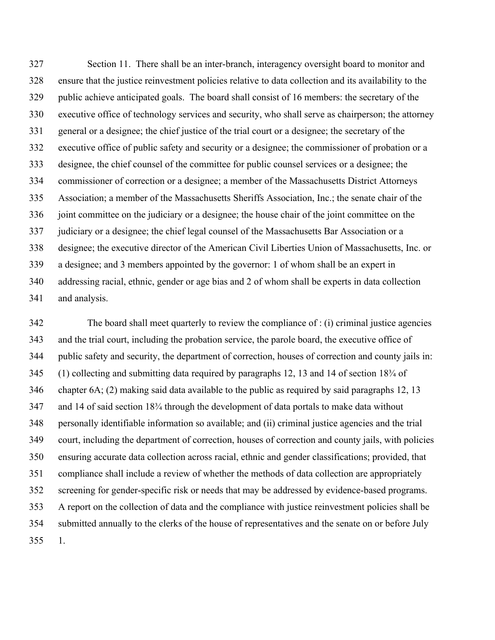327 Section 11. There shall be an inter-branch, interagency oversight board to monitor and 328 ensure that the justice reinvestment policies relative to data collection and its availability to the 329 public achieve anticipated goals. The board shall consist of 16 members: the secretary of the 330 executive office of technology services and security, who shall serve as chairperson; the attorney 331 general or a designee; the chief justice of the trial court or a designee; the secretary of the 332 executive office of public safety and security or a designee; the commissioner of probation or a 333 designee, the chief counsel of the committee for public counsel services or a designee; the 334 commissioner of correction or a designee; a member of the Massachusetts District Attorneys 335 Association; a member of the Massachusetts Sheriffs Association, Inc.; the senate chair of the 336 joint committee on the judiciary or a designee; the house chair of the joint committee on the 337 judiciary or a designee; the chief legal counsel of the Massachusetts Bar Association or a 338 designee; the executive director of the American Civil Liberties Union of Massachusetts, Inc. or 339 a designee; and 3 members appointed by the governor: 1 of whom shall be an expert in 340 addressing racial, ethnic, gender or age bias and 2 of whom shall be experts in data collection 341 and analysis.

342 The board shall meet quarterly to review the compliance of : (i) criminal justice agencies 343 and the trial court, including the probation service, the parole board, the executive office of 344 public safety and security, the department of correction, houses of correction and county jails in: 345 (1) collecting and submitting data required by paragraphs 12, 13 and 14 of section 18¾ of 346 chapter 6A; (2) making said data available to the public as required by said paragraphs 12, 13 347 and 14 of said section 18¾ through the development of data portals to make data without 348 personally identifiable information so available; and (ii) criminal justice agencies and the trial 349 court, including the department of correction, houses of correction and county jails, with policies 350 ensuring accurate data collection across racial, ethnic and gender classifications; provided, that 351 compliance shall include a review of whether the methods of data collection are appropriately 352 screening for gender-specific risk or needs that may be addressed by evidence-based programs. 353 A report on the collection of data and the compliance with justice reinvestment policies shall be 354 submitted annually to the clerks of the house of representatives and the senate on or before July 355 1.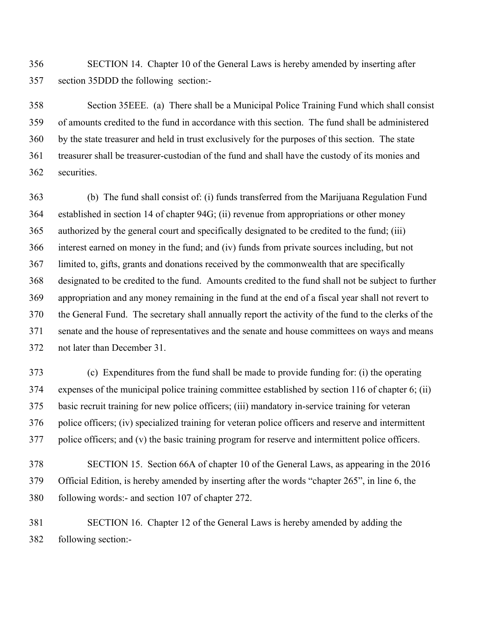356 SECTION 14. Chapter 10 of the General Laws is hereby amended by inserting after 357 section 35DDD the following section:-

358 Section 35EEE. (a) There shall be a Municipal Police Training Fund which shall consist 359 of amounts credited to the fund in accordance with this section. The fund shall be administered 360 by the state treasurer and held in trust exclusively for the purposes of this section. The state 361 treasurer shall be treasurer-custodian of the fund and shall have the custody of its monies and 362 securities.

363 (b) The fund shall consist of: (i) funds transferred from the Marijuana Regulation Fund 364 established in section 14 of chapter 94G; (ii) revenue from appropriations or other money 365 authorized by the general court and specifically designated to be credited to the fund; (iii) 366 interest earned on money in the fund; and (iv) funds from private sources including, but not 367 limited to, gifts, grants and donations received by the commonwealth that are specifically 368 designated to be credited to the fund. Amounts credited to the fund shall not be subject to further 369 appropriation and any money remaining in the fund at the end of a fiscal year shall not revert to 370 the General Fund. The secretary shall annually report the activity of the fund to the clerks of the 371 senate and the house of representatives and the senate and house committees on ways and means 372 not later than December 31.

373 (c) Expenditures from the fund shall be made to provide funding for: (i) the operating 374 expenses of the municipal police training committee established by section 116 of chapter 6; (ii) 375 basic recruit training for new police officers; (iii) mandatory in-service training for veteran 376 police officers; (iv) specialized training for veteran police officers and reserve and intermittent 377 police officers; and (v) the basic training program for reserve and intermittent police officers.

378 SECTION 15. Section 66A of chapter 10 of the General Laws, as appearing in the 2016 379 Official Edition, is hereby amended by inserting after the words "chapter 265", in line 6, the 380 following words:- and section 107 of chapter 272.

381 SECTION 16. Chapter 12 of the General Laws is hereby amended by adding the 382 following section:-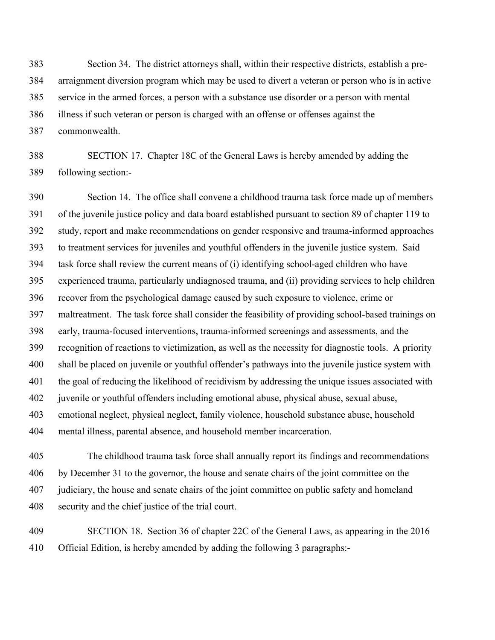383 Section 34. The district attorneys shall, within their respective districts, establish a pre-384 arraignment diversion program which may be used to divert a veteran or person who is in active 385 service in the armed forces, a person with a substance use disorder or a person with mental 386 illness if such veteran or person is charged with an offense or offenses against the 387 commonwealth.

388 SECTION 17. Chapter 18C of the General Laws is hereby amended by adding the 389 following section:-

390 Section 14. The office shall convene a childhood trauma task force made up of members 391 of the juvenile justice policy and data board established pursuant to section 89 of chapter 119 to 392 study, report and make recommendations on gender responsive and trauma-informed approaches 393 to treatment services for juveniles and youthful offenders in the juvenile justice system. Said 394 task force shall review the current means of (i) identifying school-aged children who have 395 experienced trauma, particularly undiagnosed trauma, and (ii) providing services to help children 396 recover from the psychological damage caused by such exposure to violence, crime or 397 maltreatment. The task force shall consider the feasibility of providing school-based trainings on 398 early, trauma-focused interventions, trauma-informed screenings and assessments, and the 399 recognition of reactions to victimization, as well as the necessity for diagnostic tools. A priority 400 shall be placed on juvenile or youthful offender's pathways into the juvenile justice system with 401 the goal of reducing the likelihood of recidivism by addressing the unique issues associated with 402 juvenile or youthful offenders including emotional abuse, physical abuse, sexual abuse, 403 emotional neglect, physical neglect, family violence, household substance abuse, household 404 mental illness, parental absence, and household member incarceration.

405 The childhood trauma task force shall annually report its findings and recommendations 406 by December 31 to the governor, the house and senate chairs of the joint committee on the 407 judiciary, the house and senate chairs of the joint committee on public safety and homeland 408 security and the chief justice of the trial court.

409 SECTION 18. Section 36 of chapter 22C of the General Laws, as appearing in the 2016 410 Official Edition, is hereby amended by adding the following 3 paragraphs:-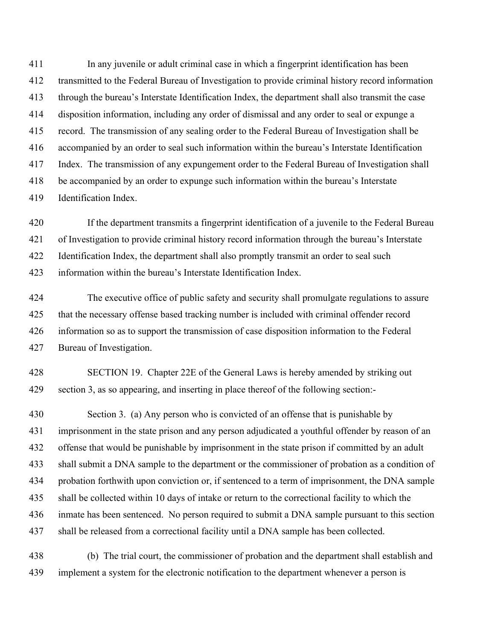411 In any juvenile or adult criminal case in which a fingerprint identification has been 412 transmitted to the Federal Bureau of Investigation to provide criminal history record information 413 through the bureau's Interstate Identification Index, the department shall also transmit the case 414 disposition information, including any order of dismissal and any order to seal or expunge a 415 record. The transmission of any sealing order to the Federal Bureau of Investigation shall be 416 accompanied by an order to seal such information within the bureau's Interstate Identification 417 Index. The transmission of any expungement order to the Federal Bureau of Investigation shall 418 be accompanied by an order to expunge such information within the bureau's Interstate 419 Identification Index.

420 If the department transmits a fingerprint identification of a juvenile to the Federal Bureau 421 of Investigation to provide criminal history record information through the bureau's Interstate 422 Identification Index, the department shall also promptly transmit an order to seal such 423 information within the bureau's Interstate Identification Index.

424 The executive office of public safety and security shall promulgate regulations to assure 425 that the necessary offense based tracking number is included with criminal offender record 426 information so as to support the transmission of case disposition information to the Federal 427 Bureau of Investigation.

428 SECTION 19. Chapter 22E of the General Laws is hereby amended by striking out 429 section 3, as so appearing, and inserting in place thereof of the following section:-

430 Section 3. (a) Any person who is convicted of an offense that is punishable by 431 imprisonment in the state prison and any person adjudicated a youthful offender by reason of an 432 offense that would be punishable by imprisonment in the state prison if committed by an adult 433 shall submit a DNA sample to the department or the commissioner of probation as a condition of 434 probation forthwith upon conviction or, if sentenced to a term of imprisonment, the DNA sample 435 shall be collected within 10 days of intake or return to the correctional facility to which the 436 inmate has been sentenced. No person required to submit a DNA sample pursuant to this section 437 shall be released from a correctional facility until a DNA sample has been collected.

438 (b) The trial court, the commissioner of probation and the department shall establish and 439 implement a system for the electronic notification to the department whenever a person is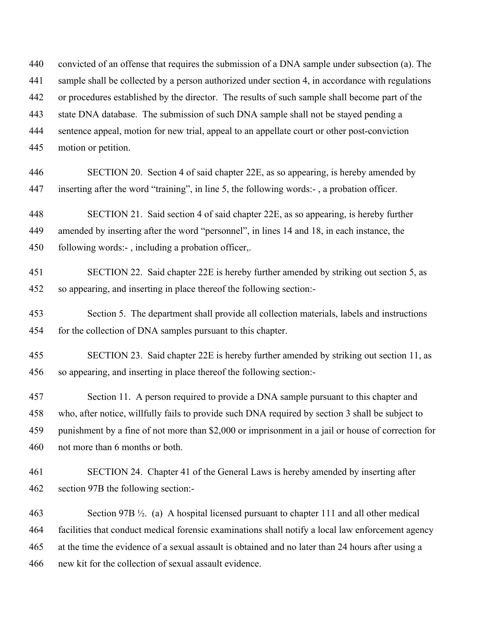440 convicted of an offense that requires the submission of a DNA sample under subsection (a). The 441 sample shall be collected by a person authorized under section 4, in accordance with regulations 442 or procedures established by the director. The results of such sample shall become part of the 443 state DNA database. The submission of such DNA sample shall not be stayed pending a 444 sentence appeal, motion for new trial, appeal to an appellate court or other post-conviction 445 motion or petition.

446 SECTION 20. Section 4 of said chapter 22E, as so appearing, is hereby amended by 447 inserting after the word "training", in line 5, the following words:- , a probation officer.

448 SECTION 21. Said section 4 of said chapter 22E, as so appearing, is hereby further 449 amended by inserting after the word "personnel", in lines 14 and 18, in each instance, the 450 following words:-, including a probation officer,.

- 451 SECTION 22. Said chapter 22E is hereby further amended by striking out section 5, as 452 so appearing, and inserting in place thereof the following section:-
- 453 Section 5. The department shall provide all collection materials, labels and instructions 454 for the collection of DNA samples pursuant to this chapter.
- 455 SECTION 23. Said chapter 22E is hereby further amended by striking out section 11, as 456 so appearing, and inserting in place thereof the following section:-

457 Section 11. A person required to provide a DNA sample pursuant to this chapter and 458 who, after notice, willfully fails to provide such DNA required by section 3 shall be subject to 459 punishment by a fine of not more than \$2,000 or imprisonment in a jail or house of correction for 460 not more than 6 months or both.

461 SECTION 24. Chapter 41 of the General Laws is hereby amended by inserting after 462 section 97B the following section:-

463 Section 97B ½. (a) A hospital licensed pursuant to chapter 111 and all other medical 464 facilities that conduct medical forensic examinations shall notify a local law enforcement agency 465 at the time the evidence of a sexual assault is obtained and no later than 24 hours after using a 466 new kit for the collection of sexual assault evidence.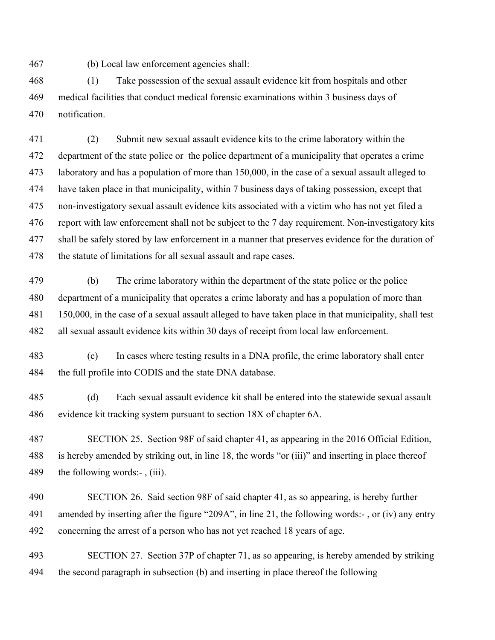467 (b) Local law enforcement agencies shall:

468 (1) Take possession of the sexual assault evidence kit from hospitals and other 469 medical facilities that conduct medical forensic examinations within 3 business days of 470 notification.

471 (2) Submit new sexual assault evidence kits to the crime laboratory within the 472 department of the state police or the police department of a municipality that operates a crime 473 laboratory and has a population of more than 150,000, in the case of a sexual assault alleged to 474 have taken place in that municipality, within 7 business days of taking possession, except that 475 non-investigatory sexual assault evidence kits associated with a victim who has not yet filed a 476 report with law enforcement shall not be subject to the 7 day requirement. Non-investigatory kits 477 shall be safely stored by law enforcement in a manner that preserves evidence for the duration of 478 the statute of limitations for all sexual assault and rape cases.

479 (b) The crime laboratory within the department of the state police or the police 480 department of a municipality that operates a crime laboraty and has a population of more than 481 150,000, in the case of a sexual assault alleged to have taken place in that municipality, shall test 482 all sexual assault evidence kits within 30 days of receipt from local law enforcement.

483 (c) In cases where testing results in a DNA profile, the crime laboratory shall enter 484 the full profile into CODIS and the state DNA database.

485 (d) Each sexual assault evidence kit shall be entered into the statewide sexual assault 486 evidence kit tracking system pursuant to section 18X of chapter 6A.

487 SECTION 25. Section 98F of said chapter 41, as appearing in the 2016 Official Edition, 488 is hereby amended by striking out, in line 18, the words "or (iii)" and inserting in place thereof 489 the following words:-, (iii).

490 SECTION 26. Said section 98F of said chapter 41, as so appearing, is hereby further 491 amended by inserting after the figure "209A", in line 21, the following words:- , or (iv) any entry 492 concerning the arrest of a person who has not yet reached 18 years of age.

493 SECTION 27. Section 37P of chapter 71, as so appearing, is hereby amended by striking 494 the second paragraph in subsection (b) and inserting in place thereof the following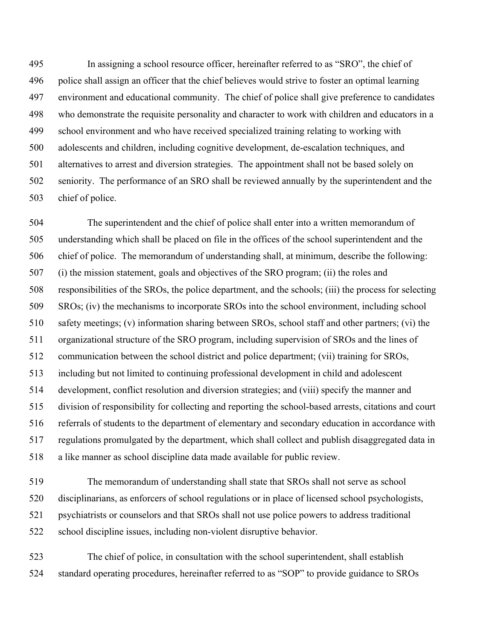495 In assigning a school resource officer, hereinafter referred to as "SRO", the chief of 496 police shall assign an officer that the chief believes would strive to foster an optimal learning 497 environment and educational community. The chief of police shall give preference to candidates 498 who demonstrate the requisite personality and character to work with children and educators in a 499 school environment and who have received specialized training relating to working with 500 adolescents and children, including cognitive development, de-escalation techniques, and 501 alternatives to arrest and diversion strategies. The appointment shall not be based solely on 502 seniority. The performance of an SRO shall be reviewed annually by the superintendent and the 503 chief of police.

504 The superintendent and the chief of police shall enter into a written memorandum of 505 understanding which shall be placed on file in the offices of the school superintendent and the 506 chief of police. The memorandum of understanding shall, at minimum, describe the following: 507 (i) the mission statement, goals and objectives of the SRO program; (ii) the roles and 508 responsibilities of the SROs, the police department, and the schools; (iii) the process for selecting 509 SROs; (iv) the mechanisms to incorporate SROs into the school environment, including school 510 safety meetings; (v) information sharing between SROs, school staff and other partners; (vi) the 511 organizational structure of the SRO program, including supervision of SROs and the lines of 512 communication between the school district and police department; (vii) training for SROs, 513 including but not limited to continuing professional development in child and adolescent 514 development, conflict resolution and diversion strategies; and (viii) specify the manner and 515 division of responsibility for collecting and reporting the school-based arrests, citations and court 516 referrals of students to the department of elementary and secondary education in accordance with 517 regulations promulgated by the department, which shall collect and publish disaggregated data in 518 a like manner as school discipline data made available for public review.

519 The memorandum of understanding shall state that SROs shall not serve as school 520 disciplinarians, as enforcers of school regulations or in place of licensed school psychologists, 521 psychiatrists or counselors and that SROs shall not use police powers to address traditional 522 school discipline issues, including non-violent disruptive behavior.

523 The chief of police, in consultation with the school superintendent, shall establish 524 standard operating procedures, hereinafter referred to as "SOP" to provide guidance to SROs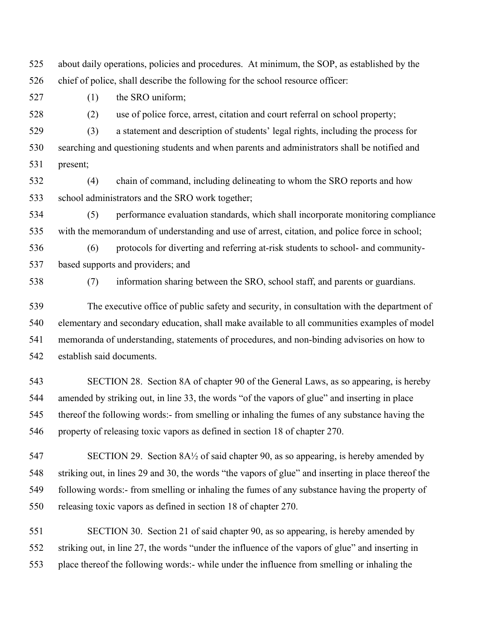525 about daily operations, policies and procedures. At minimum, the SOP, as established by the 526 chief of police, shall describe the following for the school resource officer:

527 (1) the SRO uniform;

528 (2) use of police force, arrest, citation and court referral on school property;

529 (3) a statement and description of students' legal rights, including the process for 530 searching and questioning students and when parents and administrators shall be notified and 531 present;

532 (4) chain of command, including delineating to whom the SRO reports and how 533 school administrators and the SRO work together;

534 (5) performance evaluation standards, which shall incorporate monitoring compliance 535 with the memorandum of understanding and use of arrest, citation, and police force in school;

536 (6) protocols for diverting and referring at-risk students to school- and community-537 based supports and providers; and

538 (7) information sharing between the SRO, school staff, and parents or guardians.

539 The executive office of public safety and security, in consultation with the department of 540 elementary and secondary education, shall make available to all communities examples of model 541 memoranda of understanding, statements of procedures, and non-binding advisories on how to 542 establish said documents.

543 SECTION 28. Section 8A of chapter 90 of the General Laws, as so appearing, is hereby 544 amended by striking out, in line 33, the words "of the vapors of glue" and inserting in place 545 thereof the following words:- from smelling or inhaling the fumes of any substance having the 546 property of releasing toxic vapors as defined in section 18 of chapter 270.

547 SECTION 29. Section 8A½ of said chapter 90, as so appearing, is hereby amended by 548 striking out, in lines 29 and 30, the words "the vapors of glue" and inserting in place thereof the 549 following words:- from smelling or inhaling the fumes of any substance having the property of 550 releasing toxic vapors as defined in section 18 of chapter 270.

551 SECTION 30. Section 21 of said chapter 90, as so appearing, is hereby amended by 552 striking out, in line 27, the words "under the influence of the vapors of glue" and inserting in 553 place thereof the following words:- while under the influence from smelling or inhaling the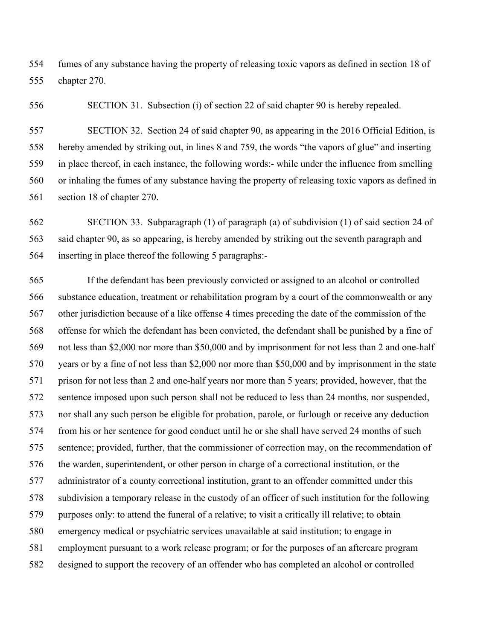554 fumes of any substance having the property of releasing toxic vapors as defined in section 18 of 555 chapter 270.

556 SECTION 31. Subsection (i) of section 22 of said chapter 90 is hereby repealed.

557 SECTION 32. Section 24 of said chapter 90, as appearing in the 2016 Official Edition, is 558 hereby amended by striking out, in lines 8 and 759, the words "the vapors of glue" and inserting 559 in place thereof, in each instance, the following words:- while under the influence from smelling 560 or inhaling the fumes of any substance having the property of releasing toxic vapors as defined in 561 section 18 of chapter 270.

562 SECTION 33. Subparagraph (1) of paragraph (a) of subdivision (1) of said section 24 of 563 said chapter 90, as so appearing, is hereby amended by striking out the seventh paragraph and 564 inserting in place thereof the following 5 paragraphs:-

565 If the defendant has been previously convicted or assigned to an alcohol or controlled 566 substance education, treatment or rehabilitation program by a court of the commonwealth or any 567 other jurisdiction because of a like offense 4 times preceding the date of the commission of the 568 offense for which the defendant has been convicted, the defendant shall be punished by a fine of 569 not less than \$2,000 nor more than \$50,000 and by imprisonment for not less than 2 and one-half 570 years or by a fine of not less than \$2,000 nor more than \$50,000 and by imprisonment in the state 571 prison for not less than 2 and one-half years nor more than 5 years; provided, however, that the 572 sentence imposed upon such person shall not be reduced to less than 24 months, nor suspended, 573 nor shall any such person be eligible for probation, parole, or furlough or receive any deduction 574 from his or her sentence for good conduct until he or she shall have served 24 months of such 575 sentence; provided, further, that the commissioner of correction may, on the recommendation of 576 the warden, superintendent, or other person in charge of a correctional institution, or the 577 administrator of a county correctional institution, grant to an offender committed under this 578 subdivision a temporary release in the custody of an officer of such institution for the following 579 purposes only: to attend the funeral of a relative; to visit a critically ill relative; to obtain 580 emergency medical or psychiatric services unavailable at said institution; to engage in 581 employment pursuant to a work release program; or for the purposes of an aftercare program 582 designed to support the recovery of an offender who has completed an alcohol or controlled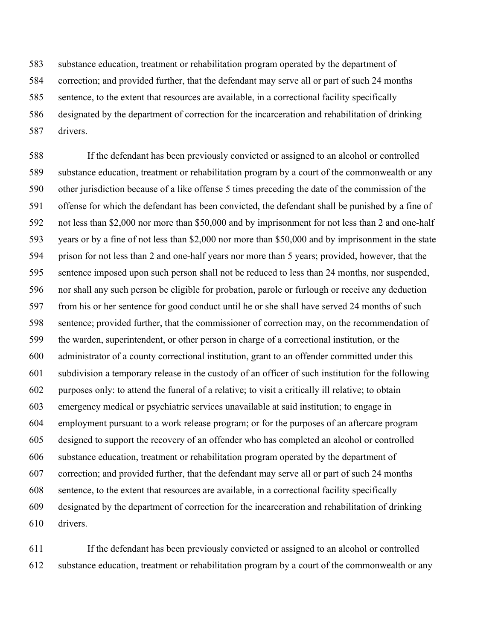583 substance education, treatment or rehabilitation program operated by the department of 584 correction; and provided further, that the defendant may serve all or part of such 24 months 585 sentence, to the extent that resources are available, in a correctional facility specifically 586 designated by the department of correction for the incarceration and rehabilitation of drinking 587 drivers.

588 If the defendant has been previously convicted or assigned to an alcohol or controlled 589 substance education, treatment or rehabilitation program by a court of the commonwealth or any 590 other jurisdiction because of a like offense 5 times preceding the date of the commission of the 591 offense for which the defendant has been convicted, the defendant shall be punished by a fine of 592 not less than \$2,000 nor more than \$50,000 and by imprisonment for not less than 2 and one-half 593 years or by a fine of not less than \$2,000 nor more than \$50,000 and by imprisonment in the state 594 prison for not less than 2 and one-half years nor more than 5 years; provided, however, that the 595 sentence imposed upon such person shall not be reduced to less than 24 months, nor suspended, 596 nor shall any such person be eligible for probation, parole or furlough or receive any deduction 597 from his or her sentence for good conduct until he or she shall have served 24 months of such 598 sentence; provided further, that the commissioner of correction may, on the recommendation of 599 the warden, superintendent, or other person in charge of a correctional institution, or the 600 administrator of a county correctional institution, grant to an offender committed under this 601 subdivision a temporary release in the custody of an officer of such institution for the following 602 purposes only: to attend the funeral of a relative; to visit a critically ill relative; to obtain 603 emergency medical or psychiatric services unavailable at said institution; to engage in 604 employment pursuant to a work release program; or for the purposes of an aftercare program 605 designed to support the recovery of an offender who has completed an alcohol or controlled 606 substance education, treatment or rehabilitation program operated by the department of 607 correction; and provided further, that the defendant may serve all or part of such 24 months 608 sentence, to the extent that resources are available, in a correctional facility specifically 609 designated by the department of correction for the incarceration and rehabilitation of drinking 610 drivers.

611 If the defendant has been previously convicted or assigned to an alcohol or controlled 612 substance education, treatment or rehabilitation program by a court of the commonwealth or any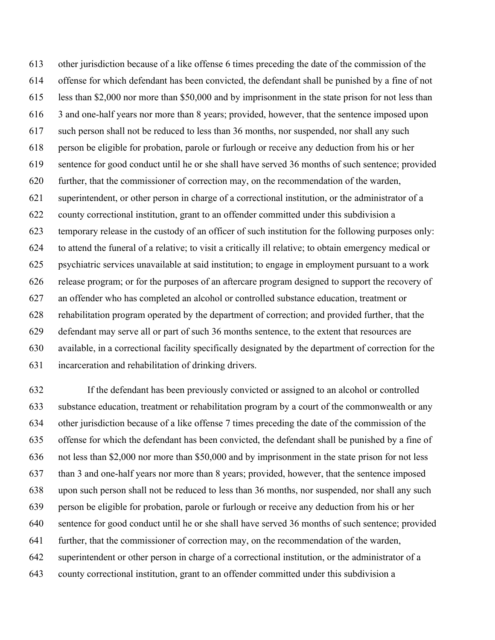613 other jurisdiction because of a like offense 6 times preceding the date of the commission of the 614 offense for which defendant has been convicted, the defendant shall be punished by a fine of not 615 less than \$2,000 nor more than \$50,000 and by imprisonment in the state prison for not less than 616 3 and one-half years nor more than 8 years; provided, however, that the sentence imposed upon 617 such person shall not be reduced to less than 36 months, nor suspended, nor shall any such 618 person be eligible for probation, parole or furlough or receive any deduction from his or her 619 sentence for good conduct until he or she shall have served 36 months of such sentence; provided 620 further, that the commissioner of correction may, on the recommendation of the warden, 621 superintendent, or other person in charge of a correctional institution, or the administrator of a 622 county correctional institution, grant to an offender committed under this subdivision a 623 temporary release in the custody of an officer of such institution for the following purposes only: 624 to attend the funeral of a relative; to visit a critically ill relative; to obtain emergency medical or 625 psychiatric services unavailable at said institution; to engage in employment pursuant to a work 626 release program; or for the purposes of an aftercare program designed to support the recovery of 627 an offender who has completed an alcohol or controlled substance education, treatment or 628 rehabilitation program operated by the department of correction; and provided further, that the 629 defendant may serve all or part of such 36 months sentence, to the extent that resources are 630 available, in a correctional facility specifically designated by the department of correction for the 631 incarceration and rehabilitation of drinking drivers.

632 If the defendant has been previously convicted or assigned to an alcohol or controlled 633 substance education, treatment or rehabilitation program by a court of the commonwealth or any 634 other jurisdiction because of a like offense 7 times preceding the date of the commission of the 635 offense for which the defendant has been convicted, the defendant shall be punished by a fine of 636 not less than \$2,000 nor more than \$50,000 and by imprisonment in the state prison for not less 637 than 3 and one-half years nor more than 8 years; provided, however, that the sentence imposed 638 upon such person shall not be reduced to less than 36 months, nor suspended, nor shall any such 639 person be eligible for probation, parole or furlough or receive any deduction from his or her 640 sentence for good conduct until he or she shall have served 36 months of such sentence; provided 641 further, that the commissioner of correction may, on the recommendation of the warden, 642 superintendent or other person in charge of a correctional institution, or the administrator of a 643 county correctional institution, grant to an offender committed under this subdivision a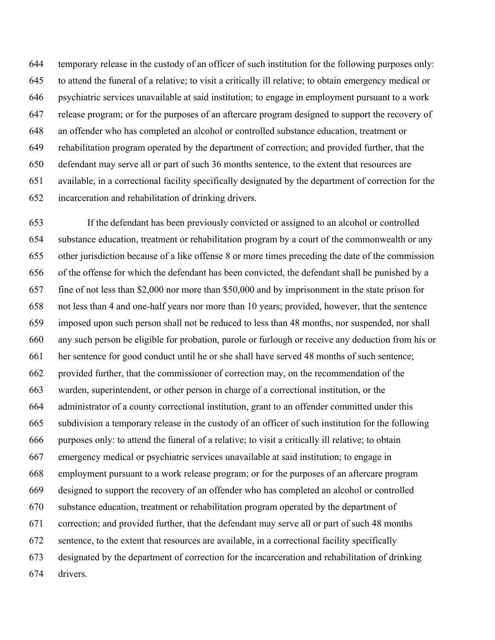644 temporary release in the custody of an officer of such institution for the following purposes only: 645 to attend the funeral of a relative; to visit a critically ill relative; to obtain emergency medical or 646 psychiatric services unavailable at said institution; to engage in employment pursuant to a work 647 release program; or for the purposes of an aftercare program designed to support the recovery of 648 an offender who has completed an alcohol or controlled substance education, treatment or 649 rehabilitation program operated by the department of correction; and provided further, that the 650 defendant may serve all or part of such 36 months sentence, to the extent that resources are 651 available, in a correctional facility specifically designated by the department of correction for the 652 incarceration and rehabilitation of drinking drivers.

653 If the defendant has been previously convicted or assigned to an alcohol or controlled 654 substance education, treatment or rehabilitation program by a court of the commonwealth or any 655 other jurisdiction because of a like offense 8 or more times preceding the date of the commission 656 of the offense for which the defendant has been convicted, the defendant shall be punished by a 657 fine of not less than \$2,000 nor more than \$50,000 and by imprisonment in the state prison for 658 not less than 4 and one-half years nor more than 10 years; provided, however, that the sentence 659 imposed upon such person shall not be reduced to less than 48 months, nor suspended, nor shall 660 any such person be eligible for probation, parole or furlough or receive any deduction from his or 661 her sentence for good conduct until he or she shall have served 48 months of such sentence; 662 provided further, that the commissioner of correction may, on the recommendation of the 663 warden, superintendent, or other person in charge of a correctional institution, or the 664 administrator of a county correctional institution, grant to an offender committed under this 665 subdivision a temporary release in the custody of an officer of such institution for the following 666 purposes only: to attend the funeral of a relative; to visit a critically ill relative; to obtain 667 emergency medical or psychiatric services unavailable at said institution; to engage in 668 employment pursuant to a work release program; or for the purposes of an aftercare program 669 designed to support the recovery of an offender who has completed an alcohol or controlled 670 substance education, treatment or rehabilitation program operated by the department of 671 correction; and provided further, that the defendant may serve all or part of such 48 months 672 sentence, to the extent that resources are available, in a correctional facility specifically 673 designated by the department of correction for the incarceration and rehabilitation of drinking 674 drivers.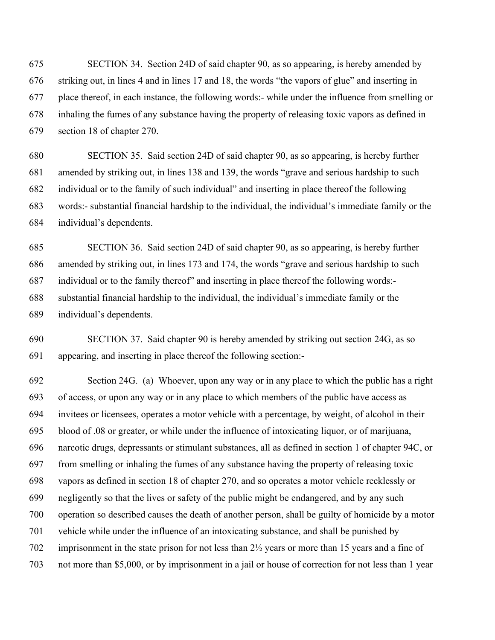675 SECTION 34. Section 24D of said chapter 90, as so appearing, is hereby amended by 676 striking out, in lines 4 and in lines 17 and 18, the words "the vapors of glue" and inserting in 677 place thereof, in each instance, the following words:- while under the influence from smelling or 678 inhaling the fumes of any substance having the property of releasing toxic vapors as defined in 679 section 18 of chapter 270.

680 SECTION 35. Said section 24D of said chapter 90, as so appearing, is hereby further 681 amended by striking out, in lines 138 and 139, the words "grave and serious hardship to such 682 individual or to the family of such individual" and inserting in place thereof the following 683 words:- substantial financial hardship to the individual, the individual's immediate family or the 684 individual's dependents.

685 SECTION 36. Said section 24D of said chapter 90, as so appearing, is hereby further 686 amended by striking out, in lines 173 and 174, the words "grave and serious hardship to such 687 individual or to the family thereof" and inserting in place thereof the following words:- 688 substantial financial hardship to the individual, the individual's immediate family or the 689 individual's dependents.

690 SECTION 37. Said chapter 90 is hereby amended by striking out section 24G, as so 691 appearing, and inserting in place thereof the following section:-

692 Section 24G. (a) Whoever, upon any way or in any place to which the public has a right 693 of access, or upon any way or in any place to which members of the public have access as 694 invitees or licensees, operates a motor vehicle with a percentage, by weight, of alcohol in their 695 blood of .08 or greater, or while under the influence of intoxicating liquor, or of marijuana, 696 narcotic drugs, depressants or stimulant substances, all as defined in section 1 of chapter 94C, or 697 from smelling or inhaling the fumes of any substance having the property of releasing toxic 698 vapors as defined in section 18 of chapter 270, and so operates a motor vehicle recklessly or 699 negligently so that the lives or safety of the public might be endangered, and by any such 700 operation so described causes the death of another person, shall be guilty of homicide by a motor 701 vehicle while under the influence of an intoxicating substance, and shall be punished by 702 imprisonment in the state prison for not less than 2½ years or more than 15 years and a fine of 703 not more than \$5,000, or by imprisonment in a jail or house of correction for not less than 1 year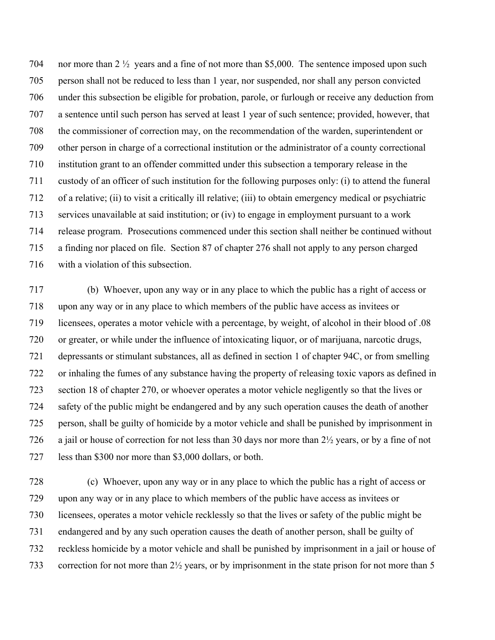704 nor more than 2 ½ years and a fine of not more than \$5,000. The sentence imposed upon such 705 person shall not be reduced to less than 1 year, nor suspended, nor shall any person convicted 706 under this subsection be eligible for probation, parole, or furlough or receive any deduction from 707 a sentence until such person has served at least 1 year of such sentence; provided, however, that 708 the commissioner of correction may, on the recommendation of the warden, superintendent or 709 other person in charge of a correctional institution or the administrator of a county correctional 710 institution grant to an offender committed under this subsection a temporary release in the 711 custody of an officer of such institution for the following purposes only: (i) to attend the funeral 712 of a relative; (ii) to visit a critically ill relative; (iii) to obtain emergency medical or psychiatric 713 services unavailable at said institution; or (iv) to engage in employment pursuant to a work 714 release program. Prosecutions commenced under this section shall neither be continued without 715 a finding nor placed on file. Section 87 of chapter 276 shall not apply to any person charged 716 with a violation of this subsection.

717 (b) Whoever, upon any way or in any place to which the public has a right of access or 718 upon any way or in any place to which members of the public have access as invitees or 719 licensees, operates a motor vehicle with a percentage, by weight, of alcohol in their blood of .08 720 or greater, or while under the influence of intoxicating liquor, or of marijuana, narcotic drugs, 721 depressants or stimulant substances, all as defined in section 1 of chapter 94C, or from smelling 722 or inhaling the fumes of any substance having the property of releasing toxic vapors as defined in 723 section 18 of chapter 270, or whoever operates a motor vehicle negligently so that the lives or 724 safety of the public might be endangered and by any such operation causes the death of another 725 person, shall be guilty of homicide by a motor vehicle and shall be punished by imprisonment in 726 a jail or house of correction for not less than 30 days nor more than 2½ years, or by a fine of not 727 less than \$300 nor more than \$3,000 dollars, or both.

728 (c) Whoever, upon any way or in any place to which the public has a right of access or 729 upon any way or in any place to which members of the public have access as invitees or 730 licensees, operates a motor vehicle recklessly so that the lives or safety of the public might be 731 endangered and by any such operation causes the death of another person, shall be guilty of 732 reckless homicide by a motor vehicle and shall be punished by imprisonment in a jail or house of 733 correction for not more than 2½ years, or by imprisonment in the state prison for not more than 5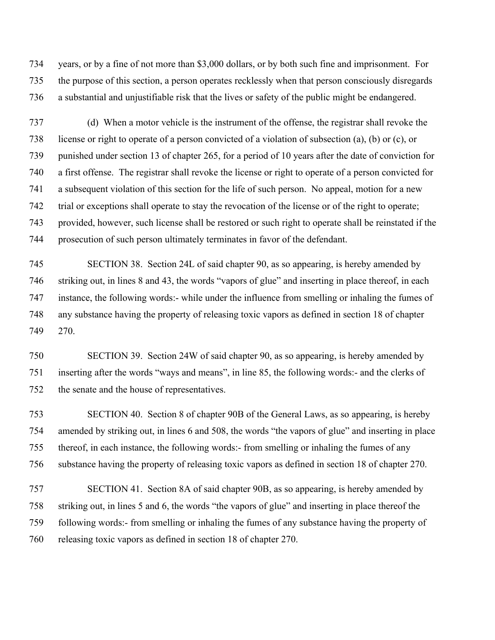734 years, or by a fine of not more than \$3,000 dollars, or by both such fine and imprisonment. For 735 the purpose of this section, a person operates recklessly when that person consciously disregards 736 a substantial and unjustifiable risk that the lives or safety of the public might be endangered.

737 (d) When a motor vehicle is the instrument of the offense, the registrar shall revoke the 738 license or right to operate of a person convicted of a violation of subsection (a), (b) or (c), or 739 punished under section 13 of chapter 265, for a period of 10 years after the date of conviction for 740 a first offense. The registrar shall revoke the license or right to operate of a person convicted for 741 a subsequent violation of this section for the life of such person. No appeal, motion for a new 742 trial or exceptions shall operate to stay the revocation of the license or of the right to operate; 743 provided, however, such license shall be restored or such right to operate shall be reinstated if the 744 prosecution of such person ultimately terminates in favor of the defendant.

745 SECTION 38. Section 24L of said chapter 90, as so appearing, is hereby amended by 746 striking out, in lines 8 and 43, the words "vapors of glue" and inserting in place thereof, in each 747 instance, the following words:- while under the influence from smelling or inhaling the fumes of 748 any substance having the property of releasing toxic vapors as defined in section 18 of chapter 749 270.

750 SECTION 39. Section 24W of said chapter 90, as so appearing, is hereby amended by 751 inserting after the words "ways and means", in line 85, the following words:- and the clerks of 752 the senate and the house of representatives.

753 SECTION 40. Section 8 of chapter 90B of the General Laws, as so appearing, is hereby 754 amended by striking out, in lines 6 and 508, the words "the vapors of glue" and inserting in place 755 thereof, in each instance, the following words:- from smelling or inhaling the fumes of any 756 substance having the property of releasing toxic vapors as defined in section 18 of chapter 270.

757 SECTION 41. Section 8A of said chapter 90B, as so appearing, is hereby amended by 758 striking out, in lines 5 and 6, the words "the vapors of glue" and inserting in place thereof the 759 following words:- from smelling or inhaling the fumes of any substance having the property of 760 releasing toxic vapors as defined in section 18 of chapter 270.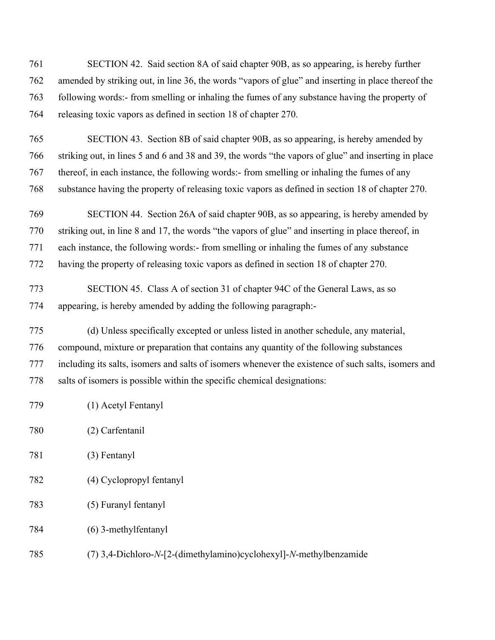761 SECTION 42. Said section 8A of said chapter 90B, as so appearing, is hereby further 762 amended by striking out, in line 36, the words "vapors of glue" and inserting in place thereof the 763 following words:- from smelling or inhaling the fumes of any substance having the property of 764 releasing toxic vapors as defined in section 18 of chapter 270.

765 SECTION 43. Section 8B of said chapter 90B, as so appearing, is hereby amended by 766 striking out, in lines 5 and 6 and 38 and 39, the words "the vapors of glue" and inserting in place 767 thereof, in each instance, the following words:- from smelling or inhaling the fumes of any 768 substance having the property of releasing toxic vapors as defined in section 18 of chapter 270.

769 SECTION 44. Section 26A of said chapter 90B, as so appearing, is hereby amended by 770 striking out, in line 8 and 17, the words "the vapors of glue" and inserting in place thereof, in 771 each instance, the following words:- from smelling or inhaling the fumes of any substance 772 having the property of releasing toxic vapors as defined in section 18 of chapter 270.

773 SECTION 45. Class A of section 31 of chapter 94C of the General Laws, as so 774 appearing, is hereby amended by adding the following paragraph:-

775 (d) Unless specifically excepted or unless listed in another schedule, any material, 776 compound, mixture or preparation that contains any quantity of the following substances 777 including its salts, isomers and salts of isomers whenever the existence of such salts, isomers and 778 salts of isomers is possible within the specific chemical designations:

- 779 (1) Acetyl Fentanyl
- 780 (2) Carfentanil
- 781 (3) Fentanyl
- 782 (4) Cyclopropyl fentanyl
- 783 (5) Furanyl fentanyl
- 784 (6) 3-methylfentanyl
- 785 (7) 3,4-Dichloro-*N*-[2-(dimethylamino)cyclohexyl]-*N*-methylbenzamide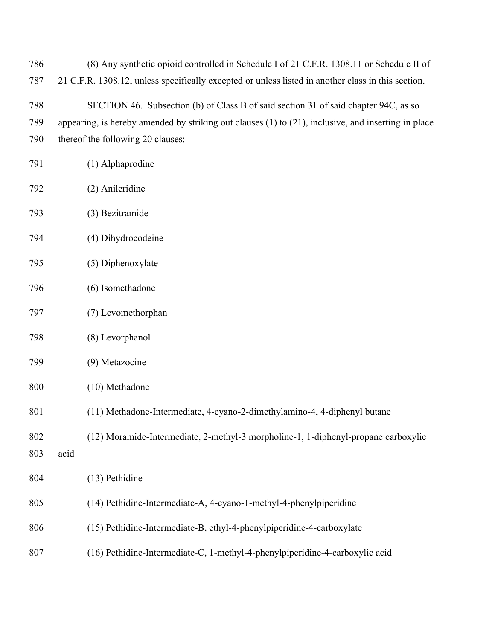| 786 | (8) Any synthetic opioid controlled in Schedule I of 21 C.F.R. 1308.11 or Schedule II of                 |
|-----|----------------------------------------------------------------------------------------------------------|
| 787 | 21 C.F.R. 1308.12, unless specifically excepted or unless listed in another class in this section.       |
| 788 | SECTION 46. Subsection (b) of Class B of said section 31 of said chapter 94C, as so                      |
| 789 | appearing, is hereby amended by striking out clauses $(1)$ to $(21)$ , inclusive, and inserting in place |
| 790 | thereof the following 20 clauses:-                                                                       |
| 791 | (1) Alphaprodine                                                                                         |
| 792 | (2) Anileridine                                                                                          |
| 793 | (3) Bezitramide                                                                                          |
| 794 | (4) Dihydrocodeine                                                                                       |
| 795 | (5) Diphenoxylate                                                                                        |

- 796 (6) Isomethadone
- 797 (7) Levomethorphan
- 798 (8) Levorphanol
- 799 (9) Metazocine
- 800 (10) Methadone
- 801 (11) Methadone-Intermediate, 4-cyano-2-dimethylamino-4, 4-diphenyl butane
- 802 (12) Moramide-Intermediate, 2-methyl-3 morpholine-1, 1-diphenyl-propane carboxylic
- 803 acid

804 (13) Pethidine

- 805 (14) Pethidine-Intermediate-A, 4-cyano-1-methyl-4-phenylpiperidine
- 806 (15) Pethidine-Intermediate-B, ethyl-4-phenylpiperidine-4-carboxylate
- 807 (16) Pethidine-Intermediate-C, 1-methyl-4-phenylpiperidine-4-carboxylic acid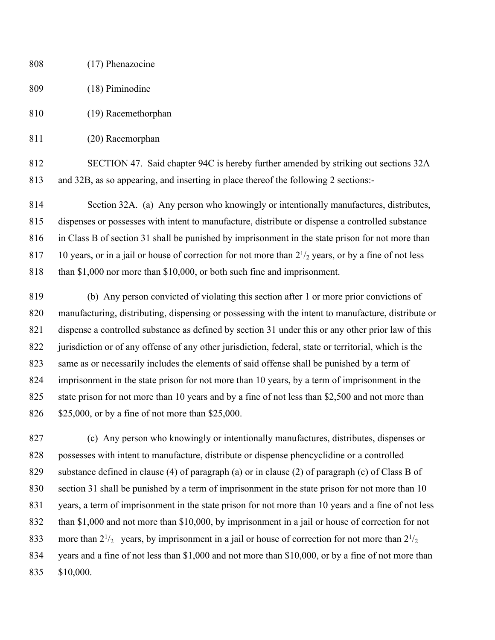- 808 (17) Phenazocine 809 (18) Piminodine 810 (19) Racemethorphan
- 811 (20) Racemorphan

812 SECTION 47. Said chapter 94C is hereby further amended by striking out sections 32A 813 and 32B, as so appearing, and inserting in place thereof the following 2 sections:-

814 Section 32A. (a) Any person who knowingly or intentionally manufactures, distributes, 815 dispenses or possesses with intent to manufacture, distribute or dispense a controlled substance 816 in Class B of section 31 shall be punished by imprisonment in the state prison for not more than 817 10 years, or in a jail or house of correction for not more than  $2\frac{1}{2}$  years, or by a fine of not less 818 than \$1,000 nor more than \$10,000, or both such fine and imprisonment.

819 (b) Any person convicted of violating this section after 1 or more prior convictions of 820 manufacturing, distributing, dispensing or possessing with the intent to manufacture, distribute or 821 dispense a controlled substance as defined by section 31 under this or any other prior law of this 822 jurisdiction or of any offense of any other jurisdiction, federal, state or territorial, which is the 823 same as or necessarily includes the elements of said offense shall be punished by a term of 824 imprisonment in the state prison for not more than 10 years, by a term of imprisonment in the 825 state prison for not more than 10 years and by a fine of not less than \$2,500 and not more than 826 \$25,000, or by a fine of not more than \$25,000.

827 (c) Any person who knowingly or intentionally manufactures, distributes, dispenses or 828 possesses with intent to manufacture, distribute or dispense phencyclidine or a controlled 829 substance defined in clause (4) of paragraph (a) or in clause (2) of paragraph (c) of Class B of 830 section 31 shall be punished by a term of imprisonment in the state prison for not more than 10 831 years, a term of imprisonment in the state prison for not more than 10 years and a fine of not less 832 than \$1,000 and not more than \$10,000, by imprisonment in a jail or house of correction for not 833 more than  $2^{1/2}$  years, by imprisonment in a jail or house of correction for not more than  $2^{1/2}$ 834 years and a fine of not less than \$1,000 and not more than \$10,000, or by a fine of not more than 835 \$10,000.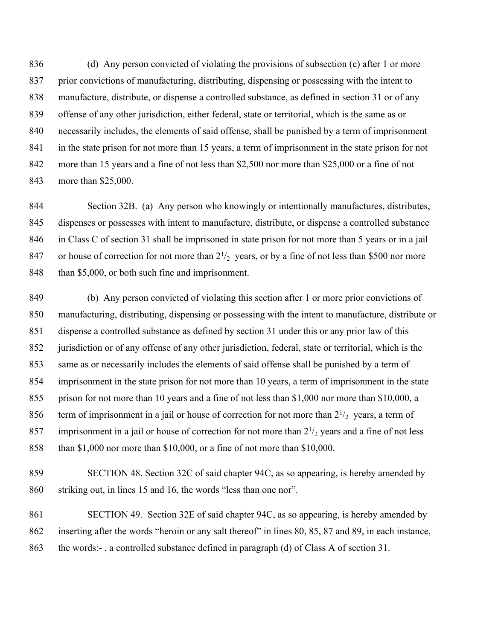836 (d) Any person convicted of violating the provisions of subsection (c) after 1 or more 837 prior convictions of manufacturing, distributing, dispensing or possessing with the intent to 838 manufacture, distribute, or dispense a controlled substance, as defined in section 31 or of any 839 offense of any other jurisdiction, either federal, state or territorial, which is the same as or 840 necessarily includes, the elements of said offense, shall be punished by a term of imprisonment 841 in the state prison for not more than 15 years, a term of imprisonment in the state prison for not 842 more than 15 years and a fine of not less than \$2,500 nor more than \$25,000 or a fine of not 843 more than \$25,000.

844 Section 32B. (a) Any person who knowingly or intentionally manufactures, distributes, 845 dispenses or possesses with intent to manufacture, distribute, or dispense a controlled substance 846 in Class C of section 31 shall be imprisoned in state prison for not more than 5 years or in a jail 847 or house of correction for not more than  $2^{1/2}$  years, or by a fine of not less than \$500 nor more 848 than \$5,000, or both such fine and imprisonment.

849 (b) Any person convicted of violating this section after 1 or more prior convictions of 850 manufacturing, distributing, dispensing or possessing with the intent to manufacture, distribute or 851 dispense a controlled substance as defined by section 31 under this or any prior law of this 852 jurisdiction or of any offense of any other jurisdiction, federal, state or territorial, which is the 853 same as or necessarily includes the elements of said offense shall be punished by a term of 854 imprisonment in the state prison for not more than 10 years, a term of imprisonment in the state 855 prison for not more than 10 years and a fine of not less than \$1,000 nor more than \$10,000, a 856 term of imprisonment in a jail or house of correction for not more than  $2\frac{1}{2}$  years, a term of 857 imprisonment in a jail or house of correction for not more than  $2\frac{1}{2}$  years and a fine of not less 858 than \$1,000 nor more than \$10,000, or a fine of not more than \$10,000.

859 SECTION 48. Section 32C of said chapter 94C, as so appearing, is hereby amended by 860 striking out, in lines 15 and 16, the words "less than one nor".

861 SECTION 49. Section 32E of said chapter 94C, as so appearing, is hereby amended by 862 inserting after the words "heroin or any salt thereof" in lines 80, 85, 87 and 89, in each instance, 863 the words:- , a controlled substance defined in paragraph (d) of Class A of section 31.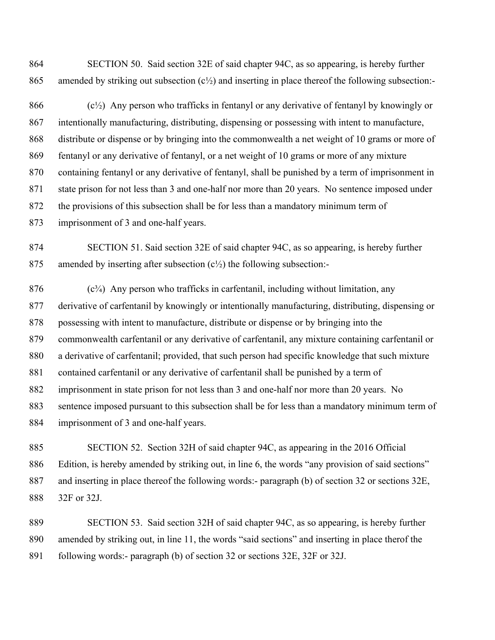864 SECTION 50. Said section 32E of said chapter 94C, as so appearing, is hereby further 865 amended by striking out subsection  $(c\frac{1}{2})$  and inserting in place thereof the following subsection:-

866  $(c<sup>1</sup>/<sub>2</sub>)$  Any person who trafficks in fentanyl or any derivative of fentanyl by knowingly or 867 intentionally manufacturing, distributing, dispensing or possessing with intent to manufacture, 868 distribute or dispense or by bringing into the commonwealth a net weight of 10 grams or more of 869 fentanyl or any derivative of fentanyl, or a net weight of 10 grams or more of any mixture 870 containing fentanyl or any derivative of fentanyl, shall be punished by a term of imprisonment in 871 state prison for not less than 3 and one-half nor more than 20 years. No sentence imposed under 872 the provisions of this subsection shall be for less than a mandatory minimum term of 873 imprisonment of 3 and one-half years.

874 SECTION 51. Said section 32E of said chapter 94C, as so appearing, is hereby further 875 amended by inserting after subsection  $(c<sup>1</sup>/<sub>2</sub>)$  the following subsection:-

 $876$  (c<sup>3</sup> $/4$ ) Any person who trafficks in carfentanil, including without limitation, any 877 derivative of carfentanil by knowingly or intentionally manufacturing, distributing, dispensing or 878 possessing with intent to manufacture, distribute or dispense or by bringing into the 879 commonwealth carfentanil or any derivative of carfentanil, any mixture containing carfentanil or 880 a derivative of carfentanil; provided, that such person had specific knowledge that such mixture 881 contained carfentanil or any derivative of carfentanil shall be punished by a term of 882 imprisonment in state prison for not less than 3 and one-half nor more than 20 years. No 883 sentence imposed pursuant to this subsection shall be for less than a mandatory minimum term of 884 imprisonment of 3 and one-half years.

885 SECTION 52. Section 32H of said chapter 94C, as appearing in the 2016 Official 886 Edition, is hereby amended by striking out, in line 6, the words "any provision of said sections" 887 and inserting in place thereof the following words:- paragraph (b) of section 32 or sections 32E, 888 32F or 32J.

889 SECTION 53. Said section 32H of said chapter 94C, as so appearing, is hereby further 890 amended by striking out, in line 11, the words "said sections" and inserting in place therof the 891 following words:- paragraph (b) of section 32 or sections 32E, 32F or 32J.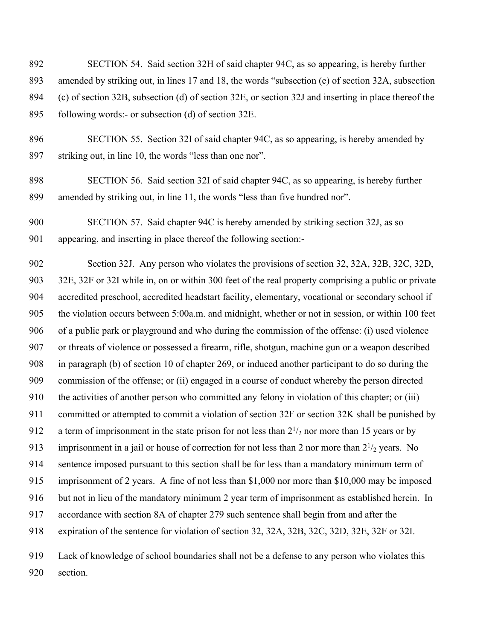892 SECTION 54. Said section 32H of said chapter 94C, as so appearing, is hereby further 893 amended by striking out, in lines 17 and 18, the words "subsection (e) of section 32A, subsection 894 (c) of section 32B, subsection (d) of section 32E, or section 32J and inserting in place thereof the 895 following words:- or subsection (d) of section 32E.

896 SECTION 55. Section 32I of said chapter 94C, as so appearing, is hereby amended by 897 striking out, in line 10, the words "less than one nor".

898 SECTION 56. Said section 32I of said chapter 94C, as so appearing, is hereby further 899 amended by striking out, in line 11, the words "less than five hundred nor".

900 SECTION 57. Said chapter 94C is hereby amended by striking section 32J, as so 901 appearing, and inserting in place thereof the following section:-

902 Section 32J. Any person who violates the provisions of section 32, 32A, 32B, 32C, 32D, 903 32E, 32F or 32I while in, on or within 300 feet of the real property comprising a public or private 904 accredited preschool, accredited headstart facility, elementary, vocational or secondary school if 905 the violation occurs between 5:00a.m. and midnight, whether or not in session, or within 100 feet 906 of a public park or playground and who during the commission of the offense: (i) used violence 907 or threats of violence or possessed a firearm, rifle, shotgun, machine gun or a weapon described 908 in paragraph (b) of section 10 of chapter 269, or induced another participant to do so during the 909 commission of the offense; or (ii) engaged in a course of conduct whereby the person directed 910 the activities of another person who committed any felony in violation of this chapter; or (iii) 911 committed or attempted to commit a violation of section 32F or section 32K shall be punished by 912 a term of imprisonment in the state prison for not less than  $2\frac{1}{2}$  nor more than 15 years or by 913 imprisonment in a jail or house of correction for not less than 2 nor more than  $2^{1/2}$  years. No 914 sentence imposed pursuant to this section shall be for less than a mandatory minimum term of 915 imprisonment of 2 years. A fine of not less than \$1,000 nor more than \$10,000 may be imposed 916 but not in lieu of the mandatory minimum 2 year term of imprisonment as established herein. In 917 accordance with section 8A of chapter 279 such sentence shall begin from and after the 918 expiration of the sentence for violation of section 32, 32A, 32B, 32C, 32D, 32E, 32F or 32I. 919 Lack of knowledge of school boundaries shall not be a defense to any person who violates this

920 section.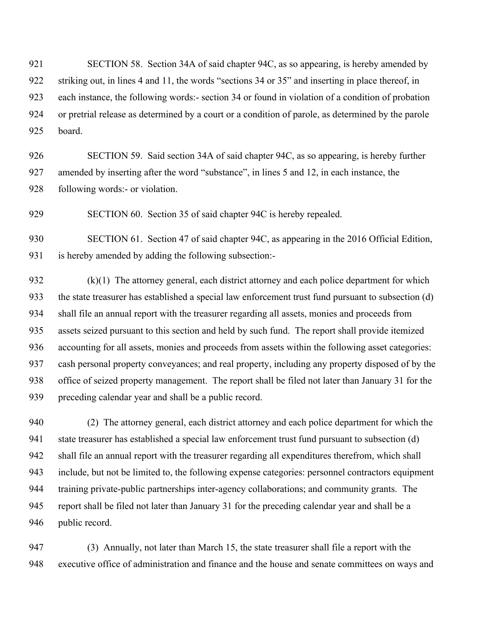921 SECTION 58. Section 34A of said chapter 94C, as so appearing, is hereby amended by 922 striking out, in lines 4 and 11, the words "sections 34 or 35" and inserting in place thereof, in 923 each instance, the following words:- section 34 or found in violation of a condition of probation 924 or pretrial release as determined by a court or a condition of parole, as determined by the parole 925 board.

926 SECTION 59. Said section 34A of said chapter 94C, as so appearing, is hereby further 927 amended by inserting after the word "substance", in lines 5 and 12, in each instance, the 928 following words:- or violation.

929 SECTION 60. Section 35 of said chapter 94C is hereby repealed.

930 SECTION 61. Section 47 of said chapter 94C, as appearing in the 2016 Official Edition, 931 is hereby amended by adding the following subsection:-

932 (k)(1) The attorney general, each district attorney and each police department for which 933 the state treasurer has established a special law enforcement trust fund pursuant to subsection (d) 934 shall file an annual report with the treasurer regarding all assets, monies and proceeds from 935 assets seized pursuant to this section and held by such fund. The report shall provide itemized 936 accounting for all assets, monies and proceeds from assets within the following asset categories: 937 cash personal property conveyances; and real property, including any property disposed of by the 938 office of seized property management. The report shall be filed not later than January 31 for the 939 preceding calendar year and shall be a public record.

940 (2) The attorney general, each district attorney and each police department for which the 941 state treasurer has established a special law enforcement trust fund pursuant to subsection (d) 942 shall file an annual report with the treasurer regarding all expenditures therefrom, which shall 943 include, but not be limited to, the following expense categories: personnel contractors equipment 944 training private-public partnerships inter-agency collaborations; and community grants. The 945 report shall be filed not later than January 31 for the preceding calendar year and shall be a 946 public record.

947 (3) Annually, not later than March 15, the state treasurer shall file a report with the 948 executive office of administration and finance and the house and senate committees on ways and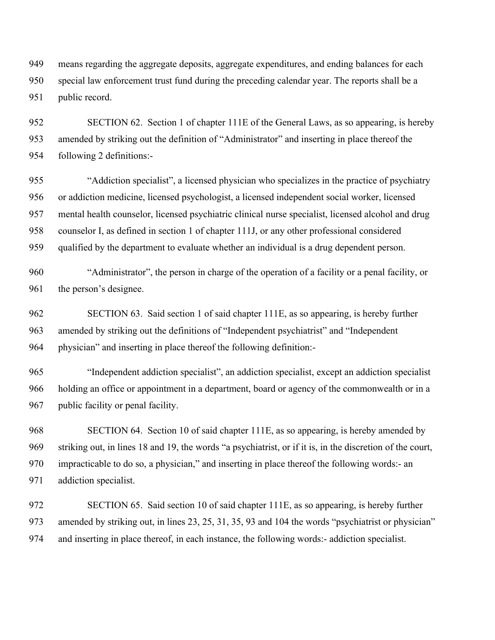949 means regarding the aggregate deposits, aggregate expenditures, and ending balances for each 950 special law enforcement trust fund during the preceding calendar year. The reports shall be a 951 public record.

952 SECTION 62. Section 1 of chapter 111E of the General Laws, as so appearing, is hereby 953 amended by striking out the definition of "Administrator" and inserting in place thereof the 954 following 2 definitions:-

955 "Addiction specialist", a licensed physician who specializes in the practice of psychiatry 956 or addiction medicine, licensed psychologist, a licensed independent social worker, licensed 957 mental health counselor, licensed psychiatric clinical nurse specialist, licensed alcohol and drug 958 counselor I, as defined in section 1 of chapter 111J, or any other professional considered 959 qualified by the department to evaluate whether an individual is a drug dependent person.

960 "Administrator", the person in charge of the operation of a facility or a penal facility, or 961 the person's designee.

962 SECTION 63. Said section 1 of said chapter 111E, as so appearing, is hereby further 963 amended by striking out the definitions of "Independent psychiatrist" and "Independent 964 physician" and inserting in place thereof the following definition:-

965 "Independent addiction specialist", an addiction specialist, except an addiction specialist 966 holding an office or appointment in a department, board or agency of the commonwealth or in a 967 public facility or penal facility.

968 SECTION 64. Section 10 of said chapter 111E, as so appearing, is hereby amended by 969 striking out, in lines 18 and 19, the words "a psychiatrist, or if it is, in the discretion of the court, 970 impracticable to do so, a physician," and inserting in place thereof the following words:- an 971 addiction specialist.

972 SECTION 65. Said section 10 of said chapter 111E, as so appearing, is hereby further 973 amended by striking out, in lines 23, 25, 31, 35, 93 and 104 the words "psychiatrist or physician" 974 and inserting in place thereof, in each instance, the following words:- addiction specialist.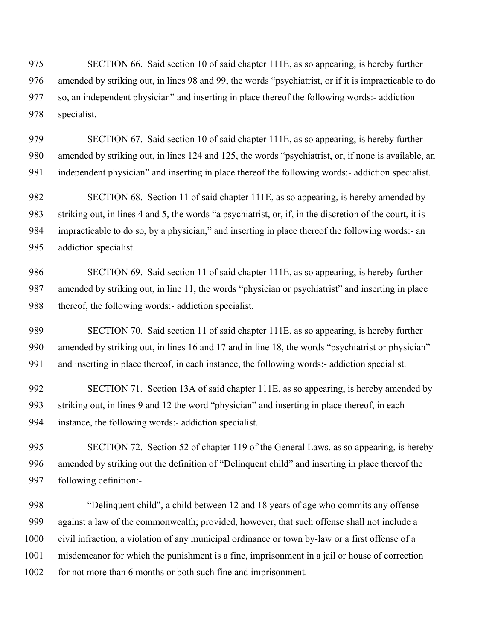975 SECTION 66. Said section 10 of said chapter 111E, as so appearing, is hereby further 976 amended by striking out, in lines 98 and 99, the words "psychiatrist, or if it is impracticable to do 977 so, an independent physician" and inserting in place thereof the following words:- addiction 978 specialist.

979 SECTION 67. Said section 10 of said chapter 111E, as so appearing, is hereby further 980 amended by striking out, in lines 124 and 125, the words "psychiatrist, or, if none is available, an 981 independent physician" and inserting in place thereof the following words:- addiction specialist.

982 SECTION 68. Section 11 of said chapter 111E, as so appearing, is hereby amended by 983 striking out, in lines 4 and 5, the words "a psychiatrist, or, if, in the discretion of the court, it is 984 impracticable to do so, by a physician," and inserting in place thereof the following words:- an 985 addiction specialist.

986 SECTION 69. Said section 11 of said chapter 111E, as so appearing, is hereby further 987 amended by striking out, in line 11, the words "physician or psychiatrist" and inserting in place 988 thereof, the following words:- addiction specialist.

989 SECTION 70. Said section 11 of said chapter 111E, as so appearing, is hereby further 990 amended by striking out, in lines 16 and 17 and in line 18, the words "psychiatrist or physician" 991 and inserting in place thereof, in each instance, the following words:- addiction specialist.

992 SECTION 71. Section 13A of said chapter 111E, as so appearing, is hereby amended by 993 striking out, in lines 9 and 12 the word "physician" and inserting in place thereof, in each 994 instance, the following words:- addiction specialist.

995 SECTION 72. Section 52 of chapter 119 of the General Laws, as so appearing, is hereby 996 amended by striking out the definition of "Delinquent child" and inserting in place thereof the 997 following definition:-

998 "Delinquent child", a child between 12 and 18 years of age who commits any offense 999 against a law of the commonwealth; provided, however, that such offense shall not include a 1000 civil infraction, a violation of any municipal ordinance or town by-law or a first offense of a 1001 misdemeanor for which the punishment is a fine, imprisonment in a jail or house of correction 1002 for not more than 6 months or both such fine and imprisonment.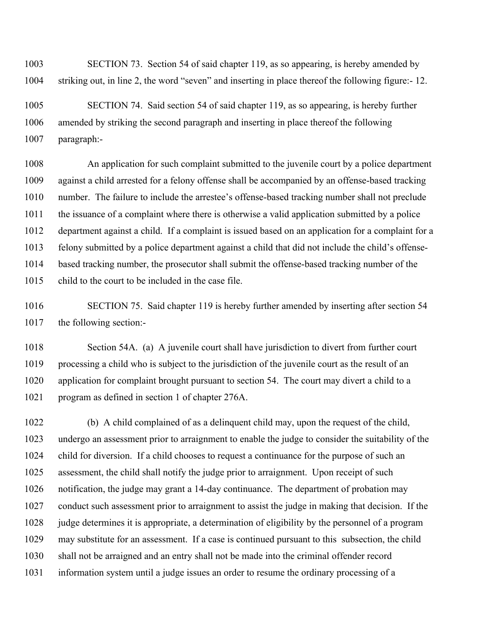1003 SECTION 73. Section 54 of said chapter 119, as so appearing, is hereby amended by 1004 striking out, in line 2, the word "seven" and inserting in place thereof the following figure:- 12.

1005 SECTION 74. Said section 54 of said chapter 119, as so appearing, is hereby further 1006 amended by striking the second paragraph and inserting in place thereof the following 1007 paragraph:-

1008 An application for such complaint submitted to the juvenile court by a police department 1009 against a child arrested for a felony offense shall be accompanied by an offense-based tracking 1010 number. The failure to include the arrestee's offense-based tracking number shall not preclude 1011 the issuance of a complaint where there is otherwise a valid application submitted by a police 1012 department against a child. If a complaint is issued based on an application for a complaint for a 1013 felony submitted by a police department against a child that did not include the child's offense-1014 based tracking number, the prosecutor shall submit the offense-based tracking number of the 1015 child to the court to be included in the case file.

1016 SECTION 75. Said chapter 119 is hereby further amended by inserting after section 54 1017 the following section:-

1018 Section 54A. (a) A juvenile court shall have jurisdiction to divert from further court 1019 processing a child who is subject to the jurisdiction of the juvenile court as the result of an 1020 application for complaint brought pursuant to section 54. The court may divert a child to a 1021 program as defined in section 1 of chapter 276A.

1022 (b) A child complained of as a delinquent child may, upon the request of the child, 1023 undergo an assessment prior to arraignment to enable the judge to consider the suitability of the 1024 child for diversion. If a child chooses to request a continuance for the purpose of such an 1025 assessment, the child shall notify the judge prior to arraignment. Upon receipt of such 1026 notification, the judge may grant a 14-day continuance. The department of probation may 1027 conduct such assessment prior to arraignment to assist the judge in making that decision. If the 1028 judge determines it is appropriate, a determination of eligibility by the personnel of a program 1029 may substitute for an assessment. If a case is continued pursuant to this subsection, the child 1030 shall not be arraigned and an entry shall not be made into the criminal offender record 1031 information system until a judge issues an order to resume the ordinary processing of a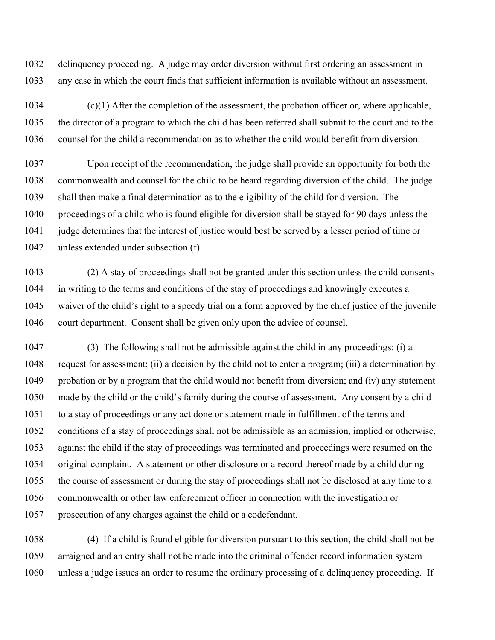1032 delinquency proceeding. A judge may order diversion without first ordering an assessment in 1033 any case in which the court finds that sufficient information is available without an assessment.

1034 (c)(1) After the completion of the assessment, the probation officer or, where applicable, 1035 the director of a program to which the child has been referred shall submit to the court and to the 1036 counsel for the child a recommendation as to whether the child would benefit from diversion.

1037 Upon receipt of the recommendation, the judge shall provide an opportunity for both the 1038 commonwealth and counsel for the child to be heard regarding diversion of the child. The judge 1039 shall then make a final determination as to the eligibility of the child for diversion. The 1040 proceedings of a child who is found eligible for diversion shall be stayed for 90 days unless the 1041 judge determines that the interest of justice would best be served by a lesser period of time or 1042 unless extended under subsection (f).

1043 (2) A stay of proceedings shall not be granted under this section unless the child consents 1044 in writing to the terms and conditions of the stay of proceedings and knowingly executes a 1045 waiver of the child's right to a speedy trial on a form approved by the chief justice of the juvenile 1046 court department. Consent shall be given only upon the advice of counsel.

1047 (3) The following shall not be admissible against the child in any proceedings: (i) a 1048 request for assessment; (ii) a decision by the child not to enter a program; (iii) a determination by 1049 probation or by a program that the child would not benefit from diversion; and (iv) any statement 1050 made by the child or the child's family during the course of assessment. Any consent by a child 1051 to a stay of proceedings or any act done or statement made in fulfillment of the terms and 1052 conditions of a stay of proceedings shall not be admissible as an admission, implied or otherwise, 1053 against the child if the stay of proceedings was terminated and proceedings were resumed on the 1054 original complaint. A statement or other disclosure or a record thereof made by a child during 1055 the course of assessment or during the stay of proceedings shall not be disclosed at any time to a 1056 commonwealth or other law enforcement officer in connection with the investigation or 1057 prosecution of any charges against the child or a codefendant.

1058 (4) If a child is found eligible for diversion pursuant to this section, the child shall not be 1059 arraigned and an entry shall not be made into the criminal offender record information system 1060 unless a judge issues an order to resume the ordinary processing of a delinquency proceeding. If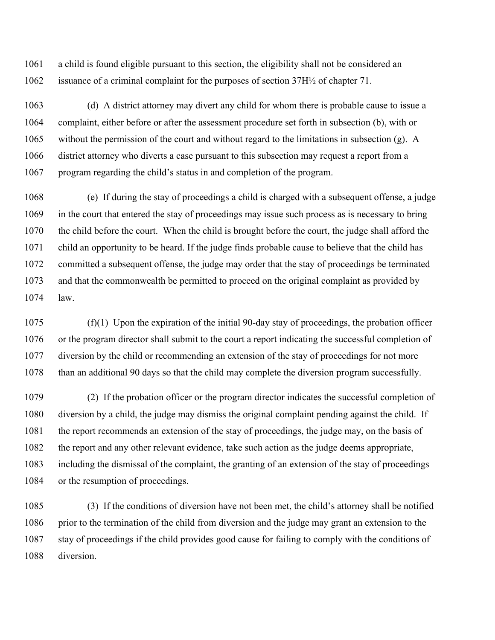1061 a child is found eligible pursuant to this section, the eligibility shall not be considered an 1062 issuance of a criminal complaint for the purposes of section 37H½ of chapter 71.

1063 (d) A district attorney may divert any child for whom there is probable cause to issue a 1064 complaint, either before or after the assessment procedure set forth in subsection (b), with or 1065 without the permission of the court and without regard to the limitations in subsection (g). A 1066 district attorney who diverts a case pursuant to this subsection may request a report from a 1067 program regarding the child's status in and completion of the program.

1068 (e) If during the stay of proceedings a child is charged with a subsequent offense, a judge 1069 in the court that entered the stay of proceedings may issue such process as is necessary to bring 1070 the child before the court. When the child is brought before the court, the judge shall afford the 1071 child an opportunity to be heard. If the judge finds probable cause to believe that the child has 1072 committed a subsequent offense, the judge may order that the stay of proceedings be terminated 1073 and that the commonwealth be permitted to proceed on the original complaint as provided by 1074 law.

1075 (f)(1) Upon the expiration of the initial 90-day stay of proceedings, the probation officer 1076 or the program director shall submit to the court a report indicating the successful completion of 1077 diversion by the child or recommending an extension of the stay of proceedings for not more 1078 than an additional 90 days so that the child may complete the diversion program successfully.

1079 (2) If the probation officer or the program director indicates the successful completion of 1080 diversion by a child, the judge may dismiss the original complaint pending against the child. If 1081 the report recommends an extension of the stay of proceedings, the judge may, on the basis of 1082 the report and any other relevant evidence, take such action as the judge deems appropriate, 1083 including the dismissal of the complaint, the granting of an extension of the stay of proceedings 1084 or the resumption of proceedings.

1085 (3) If the conditions of diversion have not been met, the child's attorney shall be notified 1086 prior to the termination of the child from diversion and the judge may grant an extension to the 1087 stay of proceedings if the child provides good cause for failing to comply with the conditions of 1088 diversion.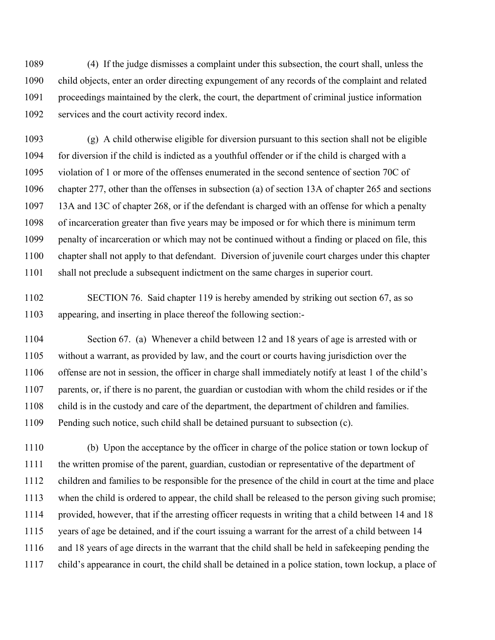1089 (4) If the judge dismisses a complaint under this subsection, the court shall, unless the 1090 child objects, enter an order directing expungement of any records of the complaint and related 1091 proceedings maintained by the clerk, the court, the department of criminal justice information 1092 services and the court activity record index.

1093 (g) A child otherwise eligible for diversion pursuant to this section shall not be eligible 1094 for diversion if the child is indicted as a youthful offender or if the child is charged with a 1095 violation of 1 or more of the offenses enumerated in the second sentence of section 70C of 1096 chapter 277, other than the offenses in subsection (a) of section 13A of chapter 265 and sections 1097 13A and 13C of chapter 268, or if the defendant is charged with an offense for which a penalty 1098 of incarceration greater than five years may be imposed or for which there is minimum term 1099 penalty of incarceration or which may not be continued without a finding or placed on file, this 1100 chapter shall not apply to that defendant. Diversion of juvenile court charges under this chapter 1101 shall not preclude a subsequent indictment on the same charges in superior court.

1102 SECTION 76. Said chapter 119 is hereby amended by striking out section 67, as so 1103 appearing, and inserting in place thereof the following section:-

1104 Section 67. (a) Whenever a child between 12 and 18 years of age is arrested with or 1105 without a warrant, as provided by law, and the court or courts having jurisdiction over the 1106 offense are not in session, the officer in charge shall immediately notify at least 1 of the child's 1107 parents, or, if there is no parent, the guardian or custodian with whom the child resides or if the 1108 child is in the custody and care of the department, the department of children and families. 1109 Pending such notice, such child shall be detained pursuant to subsection (c).

1110 (b) Upon the acceptance by the officer in charge of the police station or town lockup of 1111 the written promise of the parent, guardian, custodian or representative of the department of 1112 children and families to be responsible for the presence of the child in court at the time and place 1113 when the child is ordered to appear, the child shall be released to the person giving such promise; 1114 provided, however, that if the arresting officer requests in writing that a child between 14 and 18 1115 years of age be detained, and if the court issuing a warrant for the arrest of a child between 14 1116 and 18 years of age directs in the warrant that the child shall be held in safekeeping pending the 1117 child's appearance in court, the child shall be detained in a police station, town lockup, a place of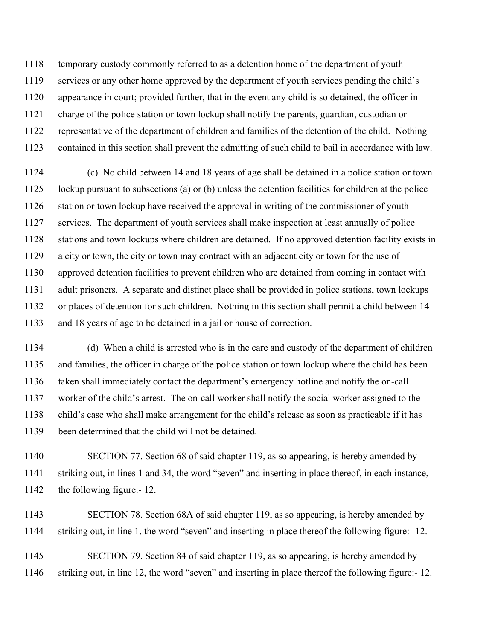1118 temporary custody commonly referred to as a detention home of the department of youth 1119 services or any other home approved by the department of youth services pending the child's 1120 appearance in court; provided further, that in the event any child is so detained, the officer in 1121 charge of the police station or town lockup shall notify the parents, guardian, custodian or 1122 representative of the department of children and families of the detention of the child. Nothing 1123 contained in this section shall prevent the admitting of such child to bail in accordance with law.

1124 (c) No child between 14 and 18 years of age shall be detained in a police station or town 1125 lockup pursuant to subsections (a) or (b) unless the detention facilities for children at the police 1126 station or town lockup have received the approval in writing of the commissioner of youth 1127 services. The department of youth services shall make inspection at least annually of police 1128 stations and town lockups where children are detained. If no approved detention facility exists in 1129 a city or town, the city or town may contract with an adjacent city or town for the use of 1130 approved detention facilities to prevent children who are detained from coming in contact with 1131 adult prisoners. A separate and distinct place shall be provided in police stations, town lockups 1132 or places of detention for such children. Nothing in this section shall permit a child between 14 1133 and 18 years of age to be detained in a jail or house of correction.

1134 (d) When a child is arrested who is in the care and custody of the department of children 1135 and families, the officer in charge of the police station or town lockup where the child has been 1136 taken shall immediately contact the department's emergency hotline and notify the on-call 1137 worker of the child's arrest. The on-call worker shall notify the social worker assigned to the 1138 child's case who shall make arrangement for the child's release as soon as practicable if it has 1139 been determined that the child will not be detained.

1140 SECTION 77. Section 68 of said chapter 119, as so appearing, is hereby amended by 1141 striking out, in lines 1 and 34, the word "seven" and inserting in place thereof, in each instance, 1142 the following figure:- 12.

1143 SECTION 78. Section 68A of said chapter 119, as so appearing, is hereby amended by 1144 striking out, in line 1, the word "seven" and inserting in place thereof the following figure:- 12.

1145 SECTION 79. Section 84 of said chapter 119, as so appearing, is hereby amended by 1146 striking out, in line 12, the word "seven" and inserting in place thereof the following figure:- 12.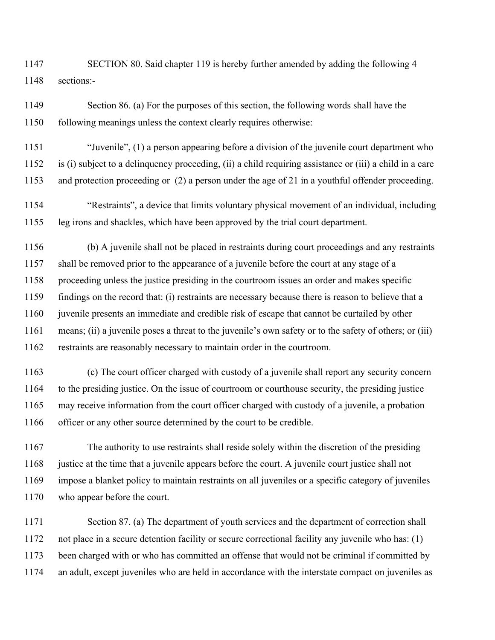1147 SECTION 80. Said chapter 119 is hereby further amended by adding the following 4 1148 sections:-

1149 Section 86. (a) For the purposes of this section, the following words shall have the 1150 following meanings unless the context clearly requires otherwise:

1151 "Juvenile", (1) a person appearing before a division of the juvenile court department who 1152 is (i) subject to a delinquency proceeding, (ii) a child requiring assistance or (iii) a child in a care 1153 and protection proceeding or (2) a person under the age of 21 in a youthful offender proceeding.

1154 "Restraints", a device that limits voluntary physical movement of an individual, including 1155 leg irons and shackles, which have been approved by the trial court department.

1156 (b) A juvenile shall not be placed in restraints during court proceedings and any restraints 1157 shall be removed prior to the appearance of a juvenile before the court at any stage of a 1158 proceeding unless the justice presiding in the courtroom issues an order and makes specific 1159 findings on the record that: (i) restraints are necessary because there is reason to believe that a 1160 juvenile presents an immediate and credible risk of escape that cannot be curtailed by other 1161 means; (ii) a juvenile poses a threat to the juvenile's own safety or to the safety of others; or (iii) 1162 restraints are reasonably necessary to maintain order in the courtroom.

1163 (c) The court officer charged with custody of a juvenile shall report any security concern 1164 to the presiding justice. On the issue of courtroom or courthouse security, the presiding justice 1165 may receive information from the court officer charged with custody of a juvenile, a probation 1166 officer or any other source determined by the court to be credible.

1167 The authority to use restraints shall reside solely within the discretion of the presiding 1168 justice at the time that a juvenile appears before the court. A juvenile court justice shall not 1169 impose a blanket policy to maintain restraints on all juveniles or a specific category of juveniles 1170 who appear before the court.

1171 Section 87. (a) The department of youth services and the department of correction shall 1172 not place in a secure detention facility or secure correctional facility any juvenile who has: (1) 1173 been charged with or who has committed an offense that would not be criminal if committed by 1174 an adult, except juveniles who are held in accordance with the interstate compact on juveniles as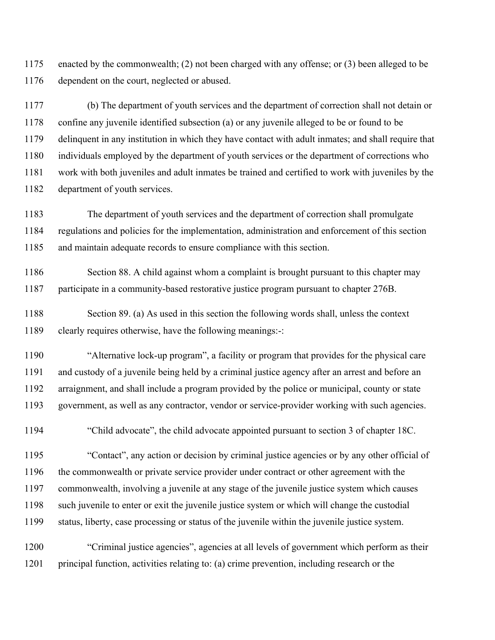1175 enacted by the commonwealth; (2) not been charged with any offense; or (3) been alleged to be 1176 dependent on the court, neglected or abused.

1177 (b) The department of youth services and the department of correction shall not detain or 1178 confine any juvenile identified subsection (a) or any juvenile alleged to be or found to be 1179 delinquent in any institution in which they have contact with adult inmates; and shall require that 1180 individuals employed by the department of youth services or the department of corrections who 1181 work with both juveniles and adult inmates be trained and certified to work with juveniles by the 1182 department of youth services.

1183 The department of youth services and the department of correction shall promulgate 1184 regulations and policies for the implementation, administration and enforcement of this section 1185 and maintain adequate records to ensure compliance with this section.

1186 Section 88. A child against whom a complaint is brought pursuant to this chapter may 1187 participate in a community-based restorative justice program pursuant to chapter 276B.

1188 Section 89. (a) As used in this section the following words shall, unless the context 1189 clearly requires otherwise, have the following meanings:-:

1190 "Alternative lock-up program", a facility or program that provides for the physical care 1191 and custody of a juvenile being held by a criminal justice agency after an arrest and before an 1192 arraignment, and shall include a program provided by the police or municipal, county or state 1193 government, as well as any contractor, vendor or service-provider working with such agencies.

1194 "Child advocate", the child advocate appointed pursuant to section 3 of chapter 18C.

1195 "Contact", any action or decision by criminal justice agencies or by any other official of 1196 the commonwealth or private service provider under contract or other agreement with the 1197 commonwealth, involving a juvenile at any stage of the juvenile justice system which causes 1198 such juvenile to enter or exit the juvenile justice system or which will change the custodial 1199 status, liberty, case processing or status of the juvenile within the juvenile justice system.

1200 "Criminal justice agencies", agencies at all levels of government which perform as their 1201 principal function, activities relating to: (a) crime prevention, including research or the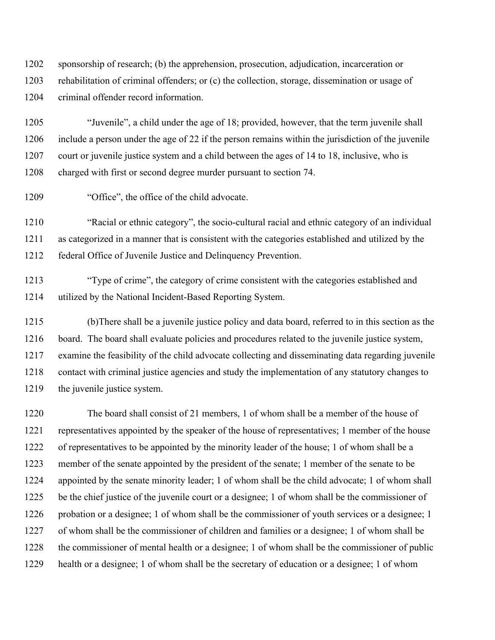1202 sponsorship of research; (b) the apprehension, prosecution, adjudication, incarceration or 1203 rehabilitation of criminal offenders; or (c) the collection, storage, dissemination or usage of 1204 criminal offender record information.

1205 "Juvenile", a child under the age of 18; provided, however, that the term juvenile shall 1206 include a person under the age of 22 if the person remains within the jurisdiction of the juvenile 1207 court or juvenile justice system and a child between the ages of 14 to 18, inclusive, who is 1208 charged with first or second degree murder pursuant to section 74.

1209 "Office", the office of the child advocate.

1210 "Racial or ethnic category", the socio-cultural racial and ethnic category of an individual 1211 as categorized in a manner that is consistent with the categories established and utilized by the 1212 federal Office of Juvenile Justice and Delinquency Prevention.

1213 "Type of crime", the category of crime consistent with the categories established and 1214 utilized by the National Incident-Based Reporting System.

1215 (b)There shall be a juvenile justice policy and data board, referred to in this section as the 1216 board. The board shall evaluate policies and procedures related to the juvenile justice system, 1217 examine the feasibility of the child advocate collecting and disseminating data regarding juvenile 1218 contact with criminal justice agencies and study the implementation of any statutory changes to 1219 the juvenile justice system.

1220 The board shall consist of 21 members, 1 of whom shall be a member of the house of 1221 representatives appointed by the speaker of the house of representatives; 1 member of the house 1222 of representatives to be appointed by the minority leader of the house; 1 of whom shall be a 1223 member of the senate appointed by the president of the senate; 1 member of the senate to be 1224 appointed by the senate minority leader; 1 of whom shall be the child advocate; 1 of whom shall 1225 be the chief justice of the juvenile court or a designee; 1 of whom shall be the commissioner of 1226 probation or a designee; 1 of whom shall be the commissioner of youth services or a designee; 1 1227 of whom shall be the commissioner of children and families or a designee; 1 of whom shall be 1228 the commissioner of mental health or a designee; 1 of whom shall be the commissioner of public 1229 health or a designee; 1 of whom shall be the secretary of education or a designee; 1 of whom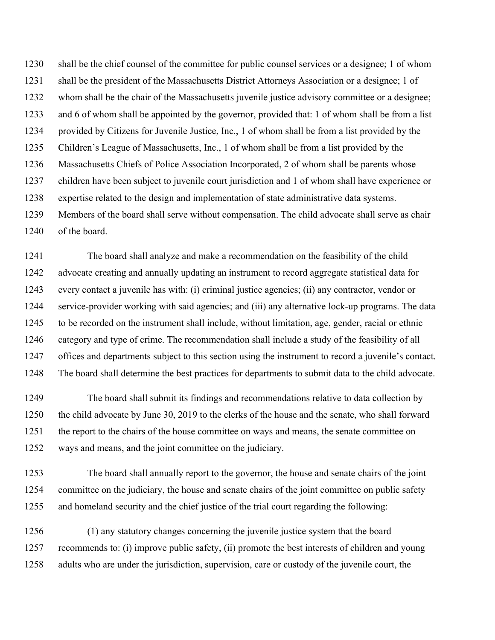1230 shall be the chief counsel of the committee for public counsel services or a designee; 1 of whom 1231 shall be the president of the Massachusetts District Attorneys Association or a designee; 1 of 1232 whom shall be the chair of the Massachusetts juvenile justice advisory committee or a designee; 1233 and 6 of whom shall be appointed by the governor, provided that: 1 of whom shall be from a list 1234 provided by Citizens for Juvenile Justice, Inc., 1 of whom shall be from a list provided by the 1235 Children's League of Massachusetts, Inc., 1 of whom shall be from a list provided by the 1236 Massachusetts Chiefs of Police Association Incorporated, 2 of whom shall be parents whose 1237 children have been subject to juvenile court jurisdiction and 1 of whom shall have experience or 1238 expertise related to the design and implementation of state administrative data systems. 1239 Members of the board shall serve without compensation. The child advocate shall serve as chair 1240 of the board.

1241 The board shall analyze and make a recommendation on the feasibility of the child 1242 advocate creating and annually updating an instrument to record aggregate statistical data for 1243 every contact a juvenile has with: (i) criminal justice agencies; (ii) any contractor, vendor or 1244 service-provider working with said agencies; and (iii) any alternative lock-up programs. The data 1245 to be recorded on the instrument shall include, without limitation, age, gender, racial or ethnic 1246 category and type of crime. The recommendation shall include a study of the feasibility of all 1247 offices and departments subject to this section using the instrument to record a juvenile's contact. 1248 The board shall determine the best practices for departments to submit data to the child advocate.

1249 The board shall submit its findings and recommendations relative to data collection by 1250 the child advocate by June 30, 2019 to the clerks of the house and the senate, who shall forward 1251 the report to the chairs of the house committee on ways and means, the senate committee on 1252 ways and means, and the joint committee on the judiciary.

1253 The board shall annually report to the governor, the house and senate chairs of the joint 1254 committee on the judiciary, the house and senate chairs of the joint committee on public safety 1255 and homeland security and the chief justice of the trial court regarding the following:

1256 (1) any statutory changes concerning the juvenile justice system that the board 1257 recommends to: (i) improve public safety, (ii) promote the best interests of children and young 1258 adults who are under the jurisdiction, supervision, care or custody of the juvenile court, the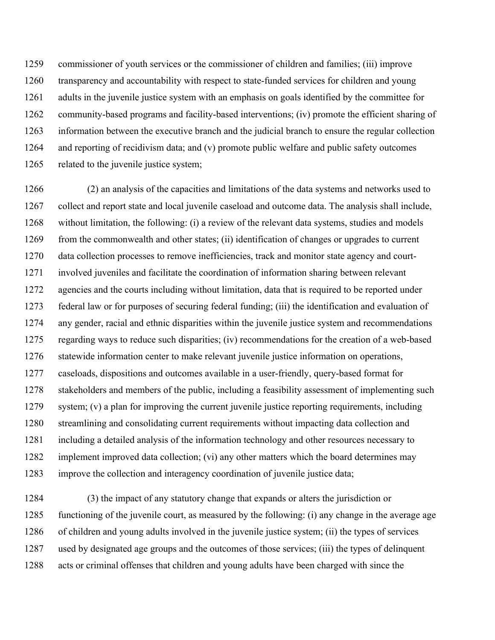1259 commissioner of youth services or the commissioner of children and families; (iii) improve 1260 transparency and accountability with respect to state-funded services for children and young 1261 adults in the juvenile justice system with an emphasis on goals identified by the committee for 1262 community-based programs and facility-based interventions; (iv) promote the efficient sharing of 1263 information between the executive branch and the judicial branch to ensure the regular collection 1264 and reporting of recidivism data; and (v) promote public welfare and public safety outcomes 1265 related to the juvenile justice system;

1266 (2) an analysis of the capacities and limitations of the data systems and networks used to 1267 collect and report state and local juvenile caseload and outcome data. The analysis shall include, 1268 without limitation, the following: (i) a review of the relevant data systems, studies and models 1269 from the commonwealth and other states; (ii) identification of changes or upgrades to current 1270 data collection processes to remove inefficiencies, track and monitor state agency and court-1271 involved juveniles and facilitate the coordination of information sharing between relevant 1272 agencies and the courts including without limitation, data that is required to be reported under 1273 federal law or for purposes of securing federal funding; (iii) the identification and evaluation of 1274 any gender, racial and ethnic disparities within the juvenile justice system and recommendations 1275 regarding ways to reduce such disparities; (iv) recommendations for the creation of a web-based 1276 statewide information center to make relevant juvenile justice information on operations, 1277 caseloads, dispositions and outcomes available in a user-friendly, query-based format for 1278 stakeholders and members of the public, including a feasibility assessment of implementing such 1279 system; (v) a plan for improving the current juvenile justice reporting requirements, including 1280 streamlining and consolidating current requirements without impacting data collection and 1281 including a detailed analysis of the information technology and other resources necessary to 1282 implement improved data collection; (vi) any other matters which the board determines may 1283 improve the collection and interagency coordination of juvenile justice data;

1284 (3) the impact of any statutory change that expands or alters the jurisdiction or 1285 functioning of the juvenile court, as measured by the following: (i) any change in the average age 1286 of children and young adults involved in the juvenile justice system; (ii) the types of services 1287 used by designated age groups and the outcomes of those services; (iii) the types of delinquent 1288 acts or criminal offenses that children and young adults have been charged with since the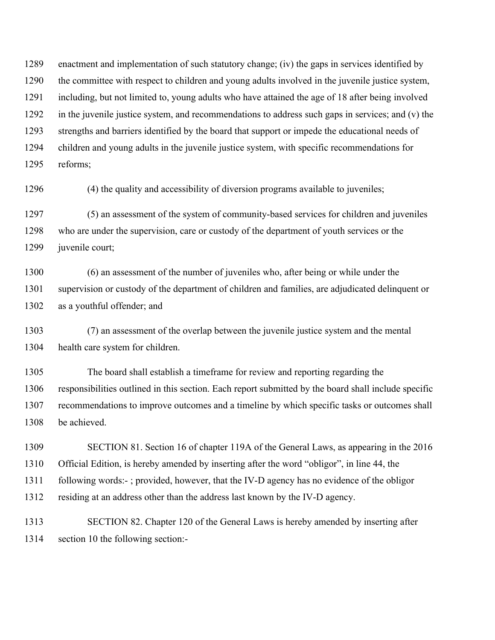1289 enactment and implementation of such statutory change; (iv) the gaps in services identified by 1290 the committee with respect to children and young adults involved in the juvenile justice system, 1291 including, but not limited to, young adults who have attained the age of 18 after being involved 1292 in the juvenile justice system, and recommendations to address such gaps in services; and (v) the 1293 strengths and barriers identified by the board that support or impede the educational needs of 1294 children and young adults in the juvenile justice system, with specific recommendations for 1295 reforms;

1296 (4) the quality and accessibility of diversion programs available to juveniles;

1297 (5) an assessment of the system of community-based services for children and juveniles 1298 who are under the supervision, care or custody of the department of youth services or the 1299 juvenile court;

1300 (6) an assessment of the number of juveniles who, after being or while under the 1301 supervision or custody of the department of children and families, are adjudicated delinquent or 1302 as a youthful offender; and

1303 (7) an assessment of the overlap between the juvenile justice system and the mental 1304 health care system for children.

1305 The board shall establish a timeframe for review and reporting regarding the 1306 responsibilities outlined in this section. Each report submitted by the board shall include specific 1307 recommendations to improve outcomes and a timeline by which specific tasks or outcomes shall 1308 be achieved.

1309 SECTION 81. Section 16 of chapter 119A of the General Laws, as appearing in the 2016 1310 Official Edition, is hereby amended by inserting after the word "obligor", in line 44, the 1311 following words:- ; provided, however, that the IV-D agency has no evidence of the obligor 1312 residing at an address other than the address last known by the IV-D agency.

1313 SECTION 82. Chapter 120 of the General Laws is hereby amended by inserting after 1314 section 10 the following section:-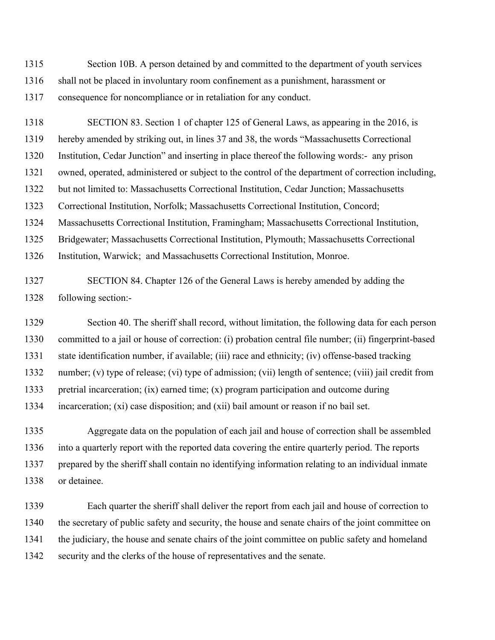1315 Section 10B. A person detained by and committed to the department of youth services 1316 shall not be placed in involuntary room confinement as a punishment, harassment or 1317 consequence for noncompliance or in retaliation for any conduct.

1318 SECTION 83. Section 1 of chapter 125 of General Laws, as appearing in the 2016, is 1319 hereby amended by striking out, in lines 37 and 38, the words "Massachusetts Correctional 1320 Institution, Cedar Junction" and inserting in place thereof the following words:- any prison 1321 owned, operated, administered or subject to the control of the department of correction including, 1322 but not limited to: Massachusetts Correctional Institution, Cedar Junction; Massachusetts 1323 Correctional Institution, Norfolk; Massachusetts Correctional Institution, Concord; 1324 Massachusetts Correctional Institution, Framingham; Massachusetts Correctional Institution, 1325 Bridgewater; Massachusetts Correctional Institution, Plymouth; Massachusetts Correctional 1326 Institution, Warwick; and Massachusetts Correctional Institution, Monroe.

1327 SECTION 84. Chapter 126 of the General Laws is hereby amended by adding the 1328 following section:-

1329 Section 40. The sheriff shall record, without limitation, the following data for each person 1330 committed to a jail or house of correction: (i) probation central file number; (ii) fingerprint-based 1331 state identification number, if available; (iii) race and ethnicity; (iv) offense-based tracking 1332 number; (v) type of release; (vi) type of admission; (vii) length of sentence; (viii) jail credit from 1333 pretrial incarceration; (ix) earned time; (x) program participation and outcome during 1334 incarceration; (xi) case disposition; and (xii) bail amount or reason if no bail set.

1335 Aggregate data on the population of each jail and house of correction shall be assembled 1336 into a quarterly report with the reported data covering the entire quarterly period. The reports 1337 prepared by the sheriff shall contain no identifying information relating to an individual inmate 1338 or detainee.

1339 Each quarter the sheriff shall deliver the report from each jail and house of correction to 1340 the secretary of public safety and security, the house and senate chairs of the joint committee on 1341 the judiciary, the house and senate chairs of the joint committee on public safety and homeland 1342 security and the clerks of the house of representatives and the senate.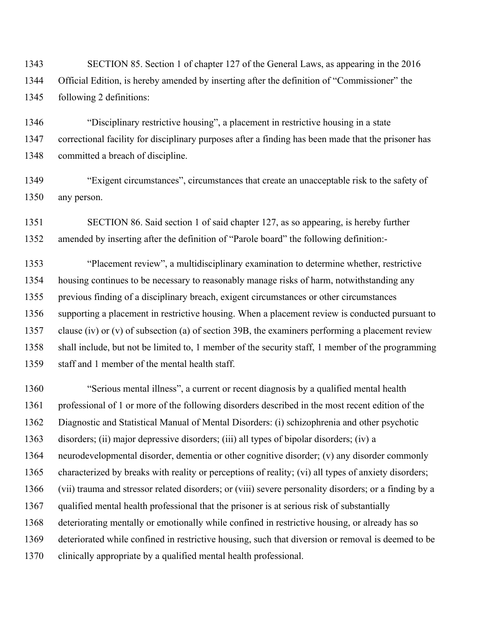1343 SECTION 85. Section 1 of chapter 127 of the General Laws, as appearing in the 2016 1344 Official Edition, is hereby amended by inserting after the definition of "Commissioner" the 1345 following 2 definitions:

1346 "Disciplinary restrictive housing", a placement in restrictive housing in a state 1347 correctional facility for disciplinary purposes after a finding has been made that the prisoner has 1348 committed a breach of discipline.

1349 "Exigent circumstances", circumstances that create an unacceptable risk to the safety of 1350 any person.

1351 SECTION 86. Said section 1 of said chapter 127, as so appearing, is hereby further 1352 amended by inserting after the definition of "Parole board" the following definition:-

1353 "Placement review", a multidisciplinary examination to determine whether, restrictive 1354 housing continues to be necessary to reasonably manage risks of harm, notwithstanding any 1355 previous finding of a disciplinary breach, exigent circumstances or other circumstances 1356 supporting a placement in restrictive housing. When a placement review is conducted pursuant to 1357 clause (iv) or (v) of subsection (a) of section 39B, the examiners performing a placement review 1358 shall include, but not be limited to, 1 member of the security staff, 1 member of the programming 1359 staff and 1 member of the mental health staff.

1360 "Serious mental illness", a current or recent diagnosis by a qualified mental health 1361 professional of 1 or more of the following disorders described in the most recent edition of the 1362 Diagnostic and Statistical Manual of Mental Disorders: (i) schizophrenia and other psychotic 1363 disorders; (ii) major depressive disorders; (iii) all types of bipolar disorders; (iv) a 1364 neurodevelopmental disorder, dementia or other cognitive disorder; (v) any disorder commonly 1365 characterized by breaks with reality or perceptions of reality; (vi) all types of anxiety disorders; 1366 (vii) trauma and stressor related disorders; or (viii) severe personality disorders; or a finding by a 1367 qualified mental health professional that the prisoner is at serious risk of substantially 1368 deteriorating mentally or emotionally while confined in restrictive housing, or already has so 1369 deteriorated while confined in restrictive housing, such that diversion or removal is deemed to be 1370 clinically appropriate by a qualified mental health professional.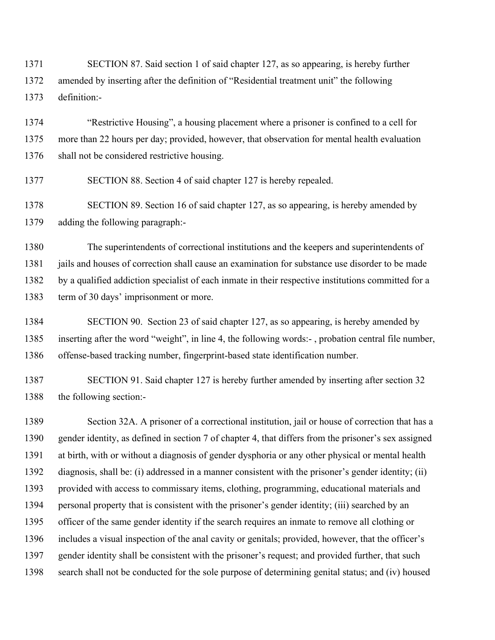1371 SECTION 87. Said section 1 of said chapter 127, as so appearing, is hereby further 1372 amended by inserting after the definition of "Residential treatment unit" the following 1373 definition:-

1374 "Restrictive Housing", a housing placement where a prisoner is confined to a cell for 1375 more than 22 hours per day; provided, however, that observation for mental health evaluation 1376 shall not be considered restrictive housing.

1377 SECTION 88. Section 4 of said chapter 127 is hereby repealed.

1378 SECTION 89. Section 16 of said chapter 127, as so appearing, is hereby amended by 1379 adding the following paragraph:-

1380 The superintendents of correctional institutions and the keepers and superintendents of 1381 jails and houses of correction shall cause an examination for substance use disorder to be made 1382 by a qualified addiction specialist of each inmate in their respective institutions committed for a 1383 term of 30 days' imprisonment or more.

1384 SECTION 90. Section 23 of said chapter 127, as so appearing, is hereby amended by 1385 inserting after the word "weight", in line 4, the following words:- , probation central file number, 1386 offense-based tracking number, fingerprint-based state identification number.

1387 SECTION 91. Said chapter 127 is hereby further amended by inserting after section 32 1388 the following section:-

1389 Section 32A. A prisoner of a correctional institution, jail or house of correction that has a 1390 gender identity, as defined in section 7 of chapter 4, that differs from the prisoner's sex assigned 1391 at birth, with or without a diagnosis of gender dysphoria or any other physical or mental health 1392 diagnosis, shall be: (i) addressed in a manner consistent with the prisoner's gender identity; (ii) 1393 provided with access to commissary items, clothing, programming, educational materials and 1394 personal property that is consistent with the prisoner's gender identity; (iii) searched by an 1395 officer of the same gender identity if the search requires an inmate to remove all clothing or 1396 includes a visual inspection of the anal cavity or genitals; provided, however, that the officer's 1397 gender identity shall be consistent with the prisoner's request; and provided further, that such 1398 search shall not be conducted for the sole purpose of determining genital status; and (iv) housed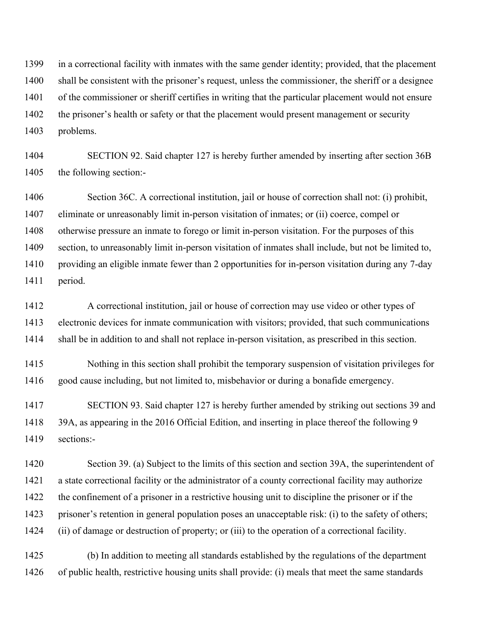1399 in a correctional facility with inmates with the same gender identity; provided, that the placement 1400 shall be consistent with the prisoner's request, unless the commissioner, the sheriff or a designee 1401 of the commissioner or sheriff certifies in writing that the particular placement would not ensure 1402 the prisoner's health or safety or that the placement would present management or security 1403 problems.

1404 SECTION 92. Said chapter 127 is hereby further amended by inserting after section 36B 1405 the following section:-

1406 Section 36C. A correctional institution, jail or house of correction shall not: (i) prohibit, 1407 eliminate or unreasonably limit in-person visitation of inmates; or (ii) coerce, compel or 1408 otherwise pressure an inmate to forego or limit in-person visitation. For the purposes of this 1409 section, to unreasonably limit in-person visitation of inmates shall include, but not be limited to, 1410 providing an eligible inmate fewer than 2 opportunities for in-person visitation during any 7-day 1411 period.

1412 A correctional institution, jail or house of correction may use video or other types of 1413 electronic devices for inmate communication with visitors; provided, that such communications 1414 shall be in addition to and shall not replace in-person visitation, as prescribed in this section.

1415 Nothing in this section shall prohibit the temporary suspension of visitation privileges for 1416 good cause including, but not limited to, misbehavior or during a bonafide emergency.

1417 SECTION 93. Said chapter 127 is hereby further amended by striking out sections 39 and 1418 39A, as appearing in the 2016 Official Edition, and inserting in place thereof the following 9 1419 sections:-

1420 Section 39. (a) Subject to the limits of this section and section 39A, the superintendent of 1421 a state correctional facility or the administrator of a county correctional facility may authorize 1422 the confinement of a prisoner in a restrictive housing unit to discipline the prisoner or if the 1423 prisoner's retention in general population poses an unacceptable risk: (i) to the safety of others; 1424 (ii) of damage or destruction of property; or (iii) to the operation of a correctional facility.

1425 (b) In addition to meeting all standards established by the regulations of the department 1426 of public health, restrictive housing units shall provide: (i) meals that meet the same standards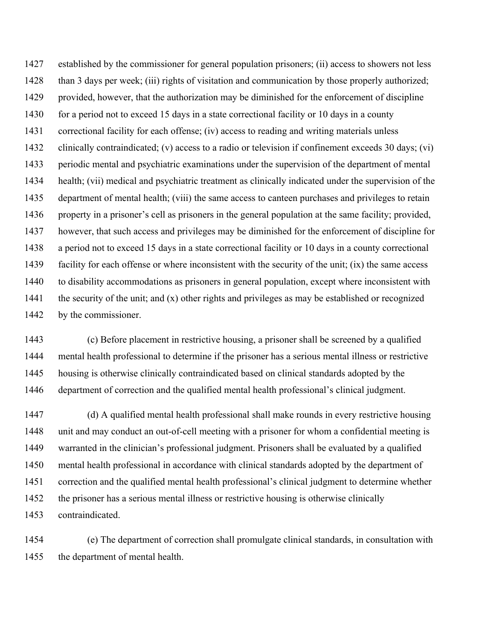1427 established by the commissioner for general population prisoners; (ii) access to showers not less 1428 than 3 days per week; (iii) rights of visitation and communication by those properly authorized; 1429 provided, however, that the authorization may be diminished for the enforcement of discipline 1430 for a period not to exceed 15 days in a state correctional facility or 10 days in a county 1431 correctional facility for each offense; (iv) access to reading and writing materials unless 1432 clinically contraindicated; (v) access to a radio or television if confinement exceeds 30 days; (vi) 1433 periodic mental and psychiatric examinations under the supervision of the department of mental 1434 health; (vii) medical and psychiatric treatment as clinically indicated under the supervision of the 1435 department of mental health; (viii) the same access to canteen purchases and privileges to retain 1436 property in a prisoner's cell as prisoners in the general population at the same facility; provided, 1437 however, that such access and privileges may be diminished for the enforcement of discipline for 1438 a period not to exceed 15 days in a state correctional facility or 10 days in a county correctional 1439 facility for each offense or where inconsistent with the security of the unit; (ix) the same access 1440 to disability accommodations as prisoners in general population, except where inconsistent with 1441 the security of the unit; and (x) other rights and privileges as may be established or recognized 1442 by the commissioner.

1443 (c) Before placement in restrictive housing, a prisoner shall be screened by a qualified 1444 mental health professional to determine if the prisoner has a serious mental illness or restrictive 1445 housing is otherwise clinically contraindicated based on clinical standards adopted by the 1446 department of correction and the qualified mental health professional's clinical judgment.

1447 (d) A qualified mental health professional shall make rounds in every restrictive housing 1448 unit and may conduct an out-of-cell meeting with a prisoner for whom a confidential meeting is 1449 warranted in the clinician's professional judgment. Prisoners shall be evaluated by a qualified 1450 mental health professional in accordance with clinical standards adopted by the department of 1451 correction and the qualified mental health professional's clinical judgment to determine whether 1452 the prisoner has a serious mental illness or restrictive housing is otherwise clinically 1453 contraindicated.

1454 (e) The department of correction shall promulgate clinical standards, in consultation with 1455 the department of mental health.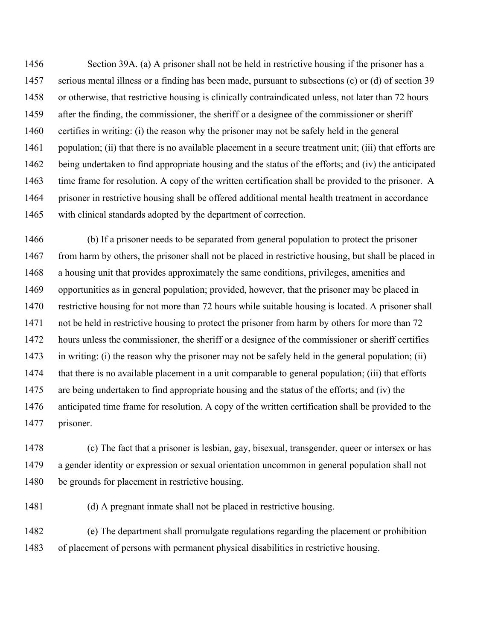1456 Section 39A. (a) A prisoner shall not be held in restrictive housing if the prisoner has a 1457 serious mental illness or a finding has been made, pursuant to subsections (c) or (d) of section 39 1458 or otherwise, that restrictive housing is clinically contraindicated unless, not later than 72 hours 1459 after the finding, the commissioner, the sheriff or a designee of the commissioner or sheriff 1460 certifies in writing: (i) the reason why the prisoner may not be safely held in the general 1461 population; (ii) that there is no available placement in a secure treatment unit; (iii) that efforts are 1462 being undertaken to find appropriate housing and the status of the efforts; and (iv) the anticipated 1463 time frame for resolution. A copy of the written certification shall be provided to the prisoner. A 1464 prisoner in restrictive housing shall be offered additional mental health treatment in accordance 1465 with clinical standards adopted by the department of correction.

1466 (b) If a prisoner needs to be separated from general population to protect the prisoner 1467 from harm by others, the prisoner shall not be placed in restrictive housing, but shall be placed in 1468 a housing unit that provides approximately the same conditions, privileges, amenities and 1469 opportunities as in general population; provided, however, that the prisoner may be placed in 1470 restrictive housing for not more than 72 hours while suitable housing is located. A prisoner shall 1471 not be held in restrictive housing to protect the prisoner from harm by others for more than 72 1472 hours unless the commissioner, the sheriff or a designee of the commissioner or sheriff certifies 1473 in writing: (i) the reason why the prisoner may not be safely held in the general population; (ii) 1474 that there is no available placement in a unit comparable to general population; (iii) that efforts 1475 are being undertaken to find appropriate housing and the status of the efforts; and (iv) the 1476 anticipated time frame for resolution. A copy of the written certification shall be provided to the 1477 prisoner.

1478 (c) The fact that a prisoner is lesbian, gay, bisexual, transgender, queer or intersex or has 1479 a gender identity or expression or sexual orientation uncommon in general population shall not 1480 be grounds for placement in restrictive housing.

1481 (d) A pregnant inmate shall not be placed in restrictive housing.

1482 (e) The department shall promulgate regulations regarding the placement or prohibition 1483 of placement of persons with permanent physical disabilities in restrictive housing.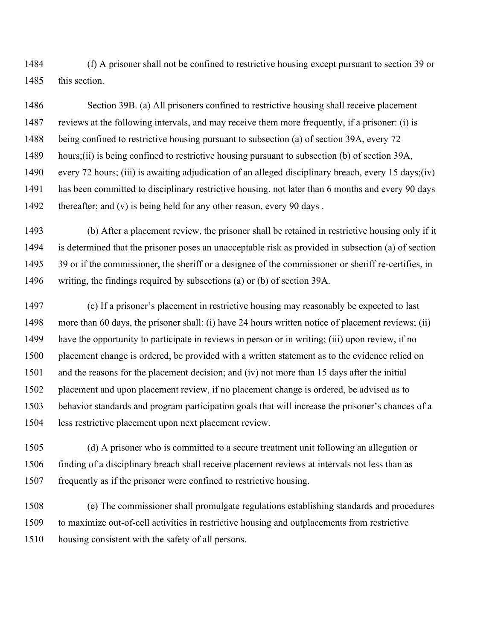1484 (f) A prisoner shall not be confined to restrictive housing except pursuant to section 39 or 1485 this section.

1486 Section 39B. (a) All prisoners confined to restrictive housing shall receive placement 1487 reviews at the following intervals, and may receive them more frequently, if a prisoner: (i) is 1488 being confined to restrictive housing pursuant to subsection (a) of section 39A, every 72 1489 hours;(ii) is being confined to restrictive housing pursuant to subsection (b) of section 39A, 1490 every 72 hours; (iii) is awaiting adjudication of an alleged disciplinary breach, every 15 days;(iv) 1491 has been committed to disciplinary restrictive housing, not later than 6 months and every 90 days 1492 thereafter; and (v) is being held for any other reason, every 90 days.

1493 (b) After a placement review, the prisoner shall be retained in restrictive housing only if it 1494 is determined that the prisoner poses an unacceptable risk as provided in subsection (a) of section 1495 39 or if the commissioner, the sheriff or a designee of the commissioner or sheriff re-certifies, in 1496 writing, the findings required by subsections (a) or (b) of section 39A.

1497 (c) If a prisoner's placement in restrictive housing may reasonably be expected to last 1498 more than 60 days, the prisoner shall: (i) have 24 hours written notice of placement reviews; (ii) 1499 have the opportunity to participate in reviews in person or in writing; (iii) upon review, if no 1500 placement change is ordered, be provided with a written statement as to the evidence relied on 1501 and the reasons for the placement decision; and (iv) not more than 15 days after the initial 1502 placement and upon placement review, if no placement change is ordered, be advised as to 1503 behavior standards and program participation goals that will increase the prisoner's chances of a 1504 less restrictive placement upon next placement review.

1505 (d) A prisoner who is committed to a secure treatment unit following an allegation or 1506 finding of a disciplinary breach shall receive placement reviews at intervals not less than as 1507 frequently as if the prisoner were confined to restrictive housing.

1508 (e) The commissioner shall promulgate regulations establishing standards and procedures 1509 to maximize out-of-cell activities in restrictive housing and outplacements from restrictive 1510 housing consistent with the safety of all persons.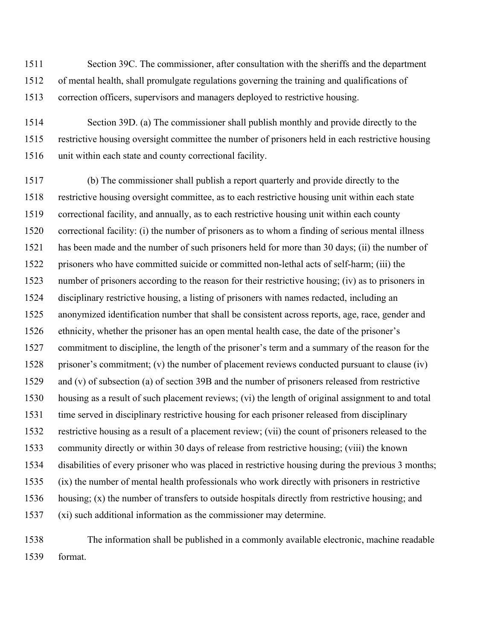1511 Section 39C. The commissioner, after consultation with the sheriffs and the department 1512 of mental health, shall promulgate regulations governing the training and qualifications of 1513 correction officers, supervisors and managers deployed to restrictive housing.

1514 Section 39D. (a) The commissioner shall publish monthly and provide directly to the 1515 restrictive housing oversight committee the number of prisoners held in each restrictive housing 1516 unit within each state and county correctional facility.

1517 (b) The commissioner shall publish a report quarterly and provide directly to the 1518 restrictive housing oversight committee, as to each restrictive housing unit within each state 1519 correctional facility, and annually, as to each restrictive housing unit within each county 1520 correctional facility: (i) the number of prisoners as to whom a finding of serious mental illness 1521 has been made and the number of such prisoners held for more than 30 days; (ii) the number of 1522 prisoners who have committed suicide or committed non-lethal acts of self-harm; (iii) the 1523 number of prisoners according to the reason for their restrictive housing; (iv) as to prisoners in 1524 disciplinary restrictive housing, a listing of prisoners with names redacted, including an 1525 anonymized identification number that shall be consistent across reports, age, race, gender and 1526 ethnicity, whether the prisoner has an open mental health case, the date of the prisoner's 1527 commitment to discipline, the length of the prisoner's term and a summary of the reason for the 1528 prisoner's commitment; (v) the number of placement reviews conducted pursuant to clause (iv) 1529 and (v) of subsection (a) of section 39B and the number of prisoners released from restrictive 1530 housing as a result of such placement reviews; (vi) the length of original assignment to and total 1531 time served in disciplinary restrictive housing for each prisoner released from disciplinary 1532 restrictive housing as a result of a placement review; (vii) the count of prisoners released to the 1533 community directly or within 30 days of release from restrictive housing; (viii) the known 1534 disabilities of every prisoner who was placed in restrictive housing during the previous 3 months; 1535 (ix) the number of mental health professionals who work directly with prisoners in restrictive 1536 housing; (x) the number of transfers to outside hospitals directly from restrictive housing; and 1537 (xi) such additional information as the commissioner may determine.

1538 The information shall be published in a commonly available electronic, machine readable 1539 format.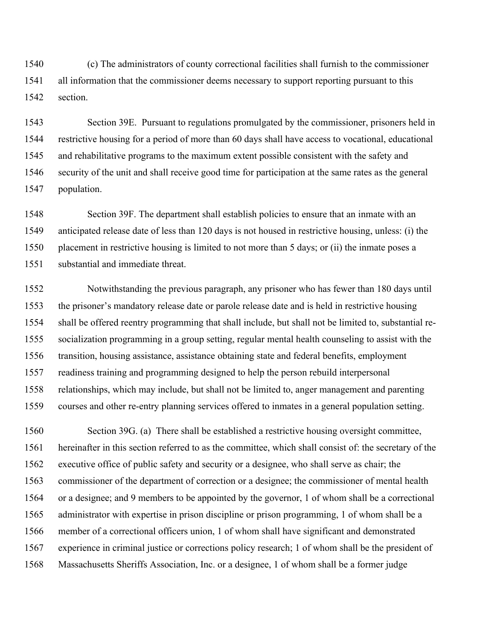1540 (c) The administrators of county correctional facilities shall furnish to the commissioner 1541 all information that the commissioner deems necessary to support reporting pursuant to this 1542 section.

1543 Section 39E. Pursuant to regulations promulgated by the commissioner, prisoners held in 1544 restrictive housing for a period of more than 60 days shall have access to vocational, educational 1545 and rehabilitative programs to the maximum extent possible consistent with the safety and 1546 security of the unit and shall receive good time for participation at the same rates as the general 1547 population.

1548 Section 39F. The department shall establish policies to ensure that an inmate with an 1549 anticipated release date of less than 120 days is not housed in restrictive housing, unless: (i) the 1550 placement in restrictive housing is limited to not more than 5 days; or (ii) the inmate poses a 1551 substantial and immediate threat.

1552 Notwithstanding the previous paragraph, any prisoner who has fewer than 180 days until 1553 the prisoner's mandatory release date or parole release date and is held in restrictive housing 1554 shall be offered reentry programming that shall include, but shall not be limited to, substantial re-1555 socialization programming in a group setting, regular mental health counseling to assist with the 1556 transition, housing assistance, assistance obtaining state and federal benefits, employment 1557 readiness training and programming designed to help the person rebuild interpersonal 1558 relationships, which may include, but shall not be limited to, anger management and parenting 1559 courses and other re-entry planning services offered to inmates in a general population setting.

1560 Section 39G. (a) There shall be established a restrictive housing oversight committee, 1561 hereinafter in this section referred to as the committee, which shall consist of: the secretary of the 1562 executive office of public safety and security or a designee, who shall serve as chair; the 1563 commissioner of the department of correction or a designee; the commissioner of mental health 1564 or a designee; and 9 members to be appointed by the governor, 1 of whom shall be a correctional 1565 administrator with expertise in prison discipline or prison programming, 1 of whom shall be a 1566 member of a correctional officers union, 1 of whom shall have significant and demonstrated 1567 experience in criminal justice or corrections policy research; 1 of whom shall be the president of 1568 Massachusetts Sheriffs Association, Inc. or a designee, 1 of whom shall be a former judge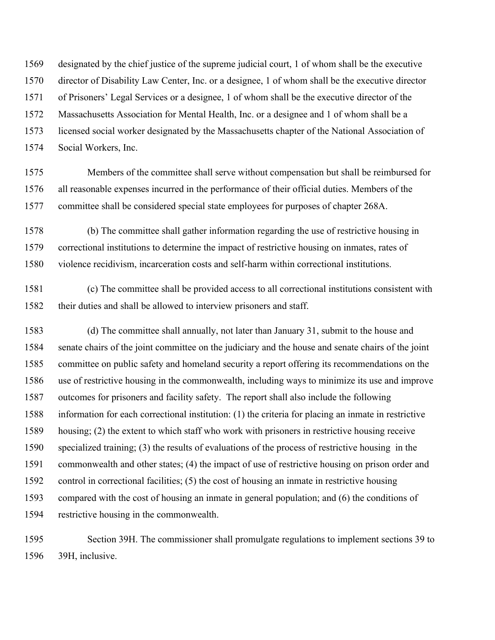1569 designated by the chief justice of the supreme judicial court, 1 of whom shall be the executive 1570 director of Disability Law Center, Inc. or a designee, 1 of whom shall be the executive director 1571 of Prisoners' Legal Services or a designee, 1 of whom shall be the executive director of the 1572 Massachusetts Association for Mental Health, Inc. or a designee and 1 of whom shall be a 1573 licensed social worker designated by the Massachusetts chapter of the National Association of 1574 Social Workers, Inc.

1575 Members of the committee shall serve without compensation but shall be reimbursed for 1576 all reasonable expenses incurred in the performance of their official duties. Members of the 1577 committee shall be considered special state employees for purposes of chapter 268A.

1578 (b) The committee shall gather information regarding the use of restrictive housing in 1579 correctional institutions to determine the impact of restrictive housing on inmates, rates of 1580 violence recidivism, incarceration costs and self-harm within correctional institutions.

1581 (c) The committee shall be provided access to all correctional institutions consistent with 1582 their duties and shall be allowed to interview prisoners and staff.

1583 (d) The committee shall annually, not later than January 31, submit to the house and 1584 senate chairs of the joint committee on the judiciary and the house and senate chairs of the joint 1585 committee on public safety and homeland security a report offering its recommendations on the 1586 use of restrictive housing in the commonwealth, including ways to minimize its use and improve 1587 outcomes for prisoners and facility safety. The report shall also include the following 1588 information for each correctional institution: (1) the criteria for placing an inmate in restrictive 1589 housing; (2) the extent to which staff who work with prisoners in restrictive housing receive 1590 specialized training; (3) the results of evaluations of the process of restrictive housing in the 1591 commonwealth and other states; (4) the impact of use of restrictive housing on prison order and 1592 control in correctional facilities; (5) the cost of housing an inmate in restrictive housing 1593 compared with the cost of housing an inmate in general population; and (6) the conditions of 1594 restrictive housing in the commonwealth.

1595 Section 39H. The commissioner shall promulgate regulations to implement sections 39 to 1596 39H, inclusive.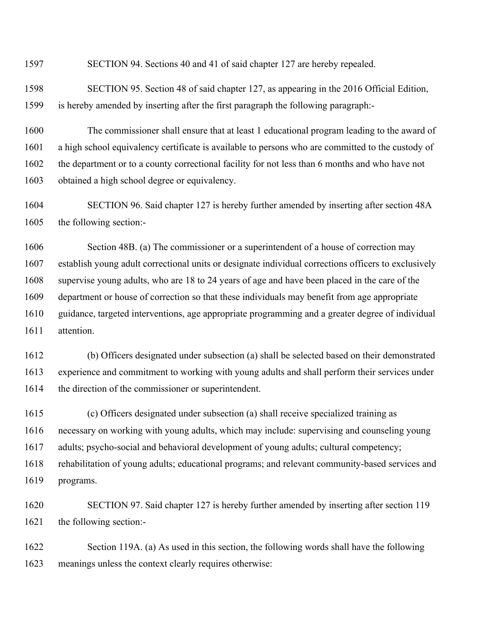1597 SECTION 94. Sections 40 and 41 of said chapter 127 are hereby repealed.

1598 SECTION 95. Section 48 of said chapter 127, as appearing in the 2016 Official Edition, 1599 is hereby amended by inserting after the first paragraph the following paragraph:-

1600 The commissioner shall ensure that at least 1 educational program leading to the award of 1601 a high school equivalency certificate is available to persons who are committed to the custody of 1602 the department or to a county correctional facility for not less than 6 months and who have not 1603 obtained a high school degree or equivalency.

1604 SECTION 96. Said chapter 127 is hereby further amended by inserting after section 48A 1605 the following section:-

1606 Section 48B. (a) The commissioner or a superintendent of a house of correction may 1607 establish young adult correctional units or designate individual corrections officers to exclusively 1608 supervise young adults, who are 18 to 24 years of age and have been placed in the care of the 1609 department or house of correction so that these individuals may benefit from age appropriate 1610 guidance, targeted interventions, age appropriate programming and a greater degree of individual 1611 attention.

1612 (b) Officers designated under subsection (a) shall be selected based on their demonstrated 1613 experience and commitment to working with young adults and shall perform their services under 1614 the direction of the commissioner or superintendent.

1615 (c) Officers designated under subsection (a) shall receive specialized training as 1616 necessary on working with young adults, which may include: supervising and counseling young 1617 adults; psycho-social and behavioral development of young adults; cultural competency; 1618 rehabilitation of young adults; educational programs; and relevant community-based services and 1619 programs.

1620 SECTION 97. Said chapter 127 is hereby further amended by inserting after section 119 1621 the following section:-

1622 Section 119A. (a) As used in this section, the following words shall have the following 1623 meanings unless the context clearly requires otherwise: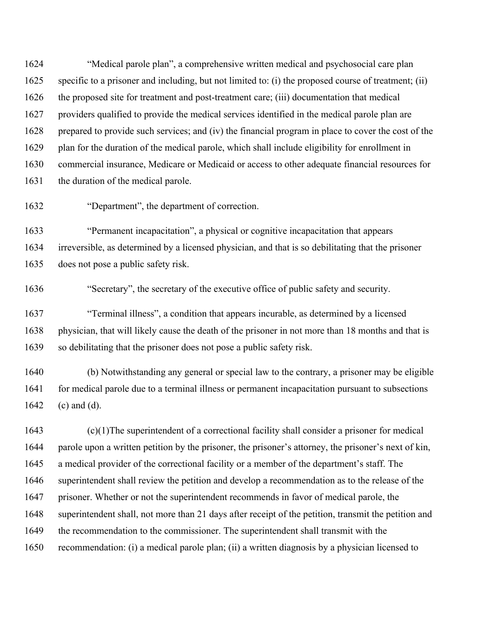1624 "Medical parole plan", a comprehensive written medical and psychosocial care plan 1625 specific to a prisoner and including, but not limited to: (i) the proposed course of treatment; (ii) 1626 the proposed site for treatment and post-treatment care; (iii) documentation that medical 1627 providers qualified to provide the medical services identified in the medical parole plan are 1628 prepared to provide such services; and (iv) the financial program in place to cover the cost of the 1629 plan for the duration of the medical parole, which shall include eligibility for enrollment in 1630 commercial insurance, Medicare or Medicaid or access to other adequate financial resources for 1631 the duration of the medical parole.

1632 "Department", the department of correction.

1633 "Permanent incapacitation", a physical or cognitive incapacitation that appears 1634 irreversible, as determined by a licensed physician, and that is so debilitating that the prisoner 1635 does not pose a public safety risk.

1636 "Secretary", the secretary of the executive office of public safety and security.

1637 "Terminal illness", a condition that appears incurable, as determined by a licensed 1638 physician, that will likely cause the death of the prisoner in not more than 18 months and that is 1639 so debilitating that the prisoner does not pose a public safety risk.

1640 (b) Notwithstanding any general or special law to the contrary, a prisoner may be eligible 1641 for medical parole due to a terminal illness or permanent incapacitation pursuant to subsections  $1642$  (c) and (d).

1643 (c)(1)The superintendent of a correctional facility shall consider a prisoner for medical 1644 parole upon a written petition by the prisoner, the prisoner's attorney, the prisoner's next of kin, 1645 a medical provider of the correctional facility or a member of the department's staff. The 1646 superintendent shall review the petition and develop a recommendation as to the release of the 1647 prisoner. Whether or not the superintendent recommends in favor of medical parole, the 1648 superintendent shall, not more than 21 days after receipt of the petition, transmit the petition and 1649 the recommendation to the commissioner. The superintendent shall transmit with the 1650 recommendation: (i) a medical parole plan; (ii) a written diagnosis by a physician licensed to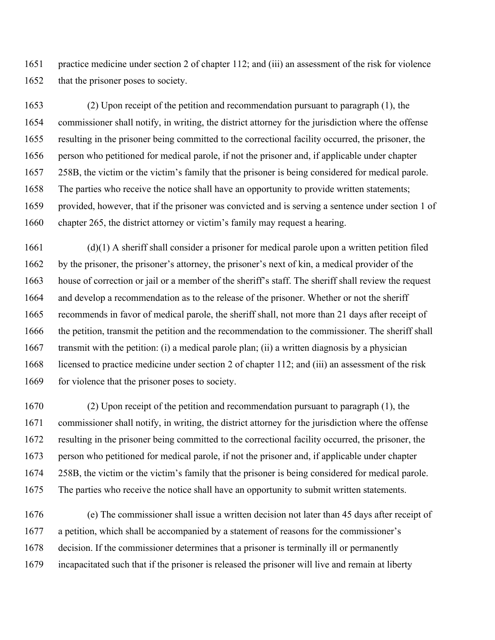1651 practice medicine under section 2 of chapter 112; and (iii) an assessment of the risk for violence 1652 that the prisoner poses to society.

1653 (2) Upon receipt of the petition and recommendation pursuant to paragraph (1), the 1654 commissioner shall notify, in writing, the district attorney for the jurisdiction where the offense 1655 resulting in the prisoner being committed to the correctional facility occurred, the prisoner, the 1656 person who petitioned for medical parole, if not the prisoner and, if applicable under chapter 1657 258B, the victim or the victim's family that the prisoner is being considered for medical parole. 1658 The parties who receive the notice shall have an opportunity to provide written statements; 1659 provided, however, that if the prisoner was convicted and is serving a sentence under section 1 of 1660 chapter 265, the district attorney or victim's family may request a hearing.

1661 (d)(1) A sheriff shall consider a prisoner for medical parole upon a written petition filed 1662 by the prisoner, the prisoner's attorney, the prisoner's next of kin, a medical provider of the 1663 house of correction or jail or a member of the sheriff's staff. The sheriff shall review the request 1664 and develop a recommendation as to the release of the prisoner. Whether or not the sheriff 1665 recommends in favor of medical parole, the sheriff shall, not more than 21 days after receipt of 1666 the petition, transmit the petition and the recommendation to the commissioner. The sheriff shall 1667 transmit with the petition: (i) a medical parole plan; (ii) a written diagnosis by a physician 1668 licensed to practice medicine under section 2 of chapter 112; and (iii) an assessment of the risk 1669 for violence that the prisoner poses to society.

1670 (2) Upon receipt of the petition and recommendation pursuant to paragraph (1), the 1671 commissioner shall notify, in writing, the district attorney for the jurisdiction where the offense 1672 resulting in the prisoner being committed to the correctional facility occurred, the prisoner, the 1673 person who petitioned for medical parole, if not the prisoner and, if applicable under chapter 1674 258B, the victim or the victim's family that the prisoner is being considered for medical parole. 1675 The parties who receive the notice shall have an opportunity to submit written statements.

1676 (e) The commissioner shall issue a written decision not later than 45 days after receipt of 1677 a petition, which shall be accompanied by a statement of reasons for the commissioner's 1678 decision. If the commissioner determines that a prisoner is terminally ill or permanently 1679 incapacitated such that if the prisoner is released the prisoner will live and remain at liberty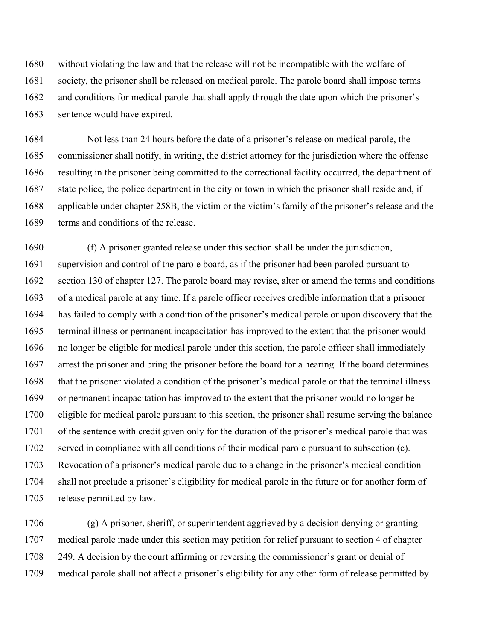1680 without violating the law and that the release will not be incompatible with the welfare of 1681 society, the prisoner shall be released on medical parole. The parole board shall impose terms 1682 and conditions for medical parole that shall apply through the date upon which the prisoner's 1683 sentence would have expired.

1684 Not less than 24 hours before the date of a prisoner's release on medical parole, the 1685 commissioner shall notify, in writing, the district attorney for the jurisdiction where the offense 1686 resulting in the prisoner being committed to the correctional facility occurred, the department of 1687 state police, the police department in the city or town in which the prisoner shall reside and, if 1688 applicable under chapter 258B, the victim or the victim's family of the prisoner's release and the 1689 terms and conditions of the release.

1690 (f) A prisoner granted release under this section shall be under the jurisdiction, 1691 supervision and control of the parole board, as if the prisoner had been paroled pursuant to 1692 section 130 of chapter 127. The parole board may revise, alter or amend the terms and conditions 1693 of a medical parole at any time. If a parole officer receives credible information that a prisoner 1694 has failed to comply with a condition of the prisoner's medical parole or upon discovery that the 1695 terminal illness or permanent incapacitation has improved to the extent that the prisoner would 1696 no longer be eligible for medical parole under this section, the parole officer shall immediately 1697 arrest the prisoner and bring the prisoner before the board for a hearing. If the board determines 1698 that the prisoner violated a condition of the prisoner's medical parole or that the terminal illness 1699 or permanent incapacitation has improved to the extent that the prisoner would no longer be 1700 eligible for medical parole pursuant to this section, the prisoner shall resume serving the balance 1701 of the sentence with credit given only for the duration of the prisoner's medical parole that was 1702 served in compliance with all conditions of their medical parole pursuant to subsection (e). 1703 Revocation of a prisoner's medical parole due to a change in the prisoner's medical condition 1704 shall not preclude a prisoner's eligibility for medical parole in the future or for another form of 1705 release permitted by law.

1706 (g) A prisoner, sheriff, or superintendent aggrieved by a decision denying or granting 1707 medical parole made under this section may petition for relief pursuant to section 4 of chapter 1708 249. A decision by the court affirming or reversing the commissioner's grant or denial of 1709 medical parole shall not affect a prisoner's eligibility for any other form of release permitted by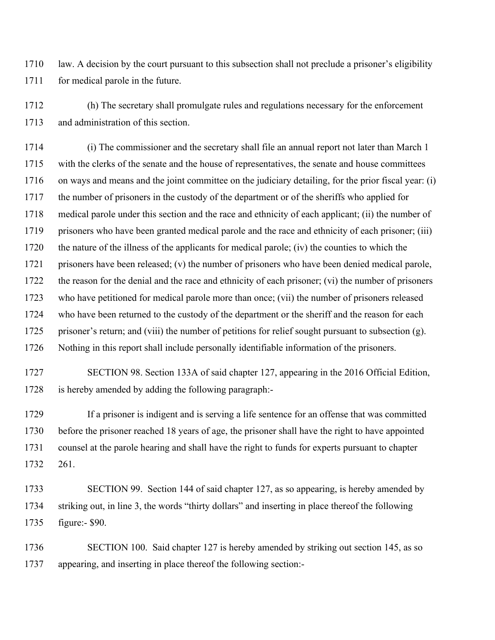1710 law. A decision by the court pursuant to this subsection shall not preclude a prisoner's eligibility 1711 for medical parole in the future.

1712 (h) The secretary shall promulgate rules and regulations necessary for the enforcement 1713 and administration of this section.

1714 (i) The commissioner and the secretary shall file an annual report not later than March 1 1715 with the clerks of the senate and the house of representatives, the senate and house committees 1716 on ways and means and the joint committee on the judiciary detailing, for the prior fiscal year: (i) 1717 the number of prisoners in the custody of the department or of the sheriffs who applied for 1718 medical parole under this section and the race and ethnicity of each applicant; (ii) the number of 1719 prisoners who have been granted medical parole and the race and ethnicity of each prisoner; (iii) 1720 the nature of the illness of the applicants for medical parole; (iv) the counties to which the 1721 prisoners have been released; (v) the number of prisoners who have been denied medical parole, 1722 the reason for the denial and the race and ethnicity of each prisoner; (vi) the number of prisoners 1723 who have petitioned for medical parole more than once; (vii) the number of prisoners released 1724 who have been returned to the custody of the department or the sheriff and the reason for each 1725 prisoner's return; and (viii) the number of petitions for relief sought pursuant to subsection (g). 1726 Nothing in this report shall include personally identifiable information of the prisoners.

1727 SECTION 98. Section 133A of said chapter 127, appearing in the 2016 Official Edition, 1728 is hereby amended by adding the following paragraph:-

1729 If a prisoner is indigent and is serving a life sentence for an offense that was committed 1730 before the prisoner reached 18 years of age, the prisoner shall have the right to have appointed 1731 counsel at the parole hearing and shall have the right to funds for experts pursuant to chapter 1732 261.

1733 SECTION 99. Section 144 of said chapter 127, as so appearing, is hereby amended by 1734 striking out, in line 3, the words "thirty dollars" and inserting in place thereof the following 1735 figure:- \$90.

1736 SECTION 100. Said chapter 127 is hereby amended by striking out section 145, as so 1737 appearing, and inserting in place thereof the following section:-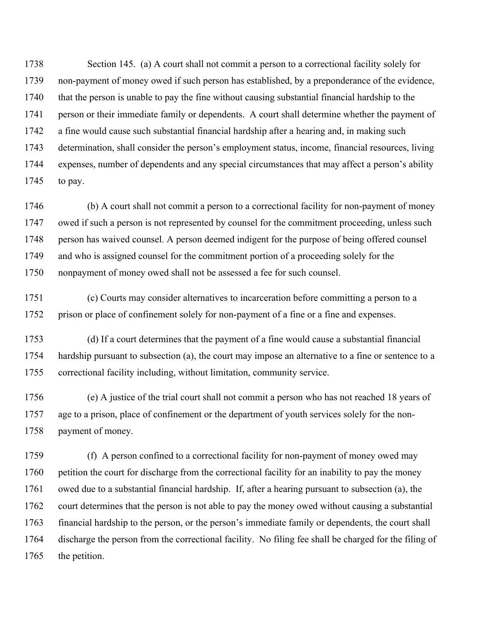1738 Section 145. (a) A court shall not commit a person to a correctional facility solely for 1739 non-payment of money owed if such person has established, by a preponderance of the evidence, 1740 that the person is unable to pay the fine without causing substantial financial hardship to the 1741 person or their immediate family or dependents. A court shall determine whether the payment of 1742 a fine would cause such substantial financial hardship after a hearing and, in making such 1743 determination, shall consider the person's employment status, income, financial resources, living 1744 expenses, number of dependents and any special circumstances that may affect a person's ability 1745 to pay.

1746 (b) A court shall not commit a person to a correctional facility for non-payment of money 1747 owed if such a person is not represented by counsel for the commitment proceeding, unless such 1748 person has waived counsel. A person deemed indigent for the purpose of being offered counsel 1749 and who is assigned counsel for the commitment portion of a proceeding solely for the 1750 nonpayment of money owed shall not be assessed a fee for such counsel.

1751 (c) Courts may consider alternatives to incarceration before committing a person to a 1752 prison or place of confinement solely for non-payment of a fine or a fine and expenses.

1753 (d) If a court determines that the payment of a fine would cause a substantial financial 1754 hardship pursuant to subsection (a), the court may impose an alternative to a fine or sentence to a 1755 correctional facility including, without limitation, community service.

1756 (e) A justice of the trial court shall not commit a person who has not reached 18 years of 1757 age to a prison, place of confinement or the department of youth services solely for the non-1758 payment of money.

1759 (f) A person confined to a correctional facility for non-payment of money owed may 1760 petition the court for discharge from the correctional facility for an inability to pay the money 1761 owed due to a substantial financial hardship. If, after a hearing pursuant to subsection (a), the 1762 court determines that the person is not able to pay the money owed without causing a substantial 1763 financial hardship to the person, or the person's immediate family or dependents, the court shall 1764 discharge the person from the correctional facility. No filing fee shall be charged for the filing of 1765 the petition.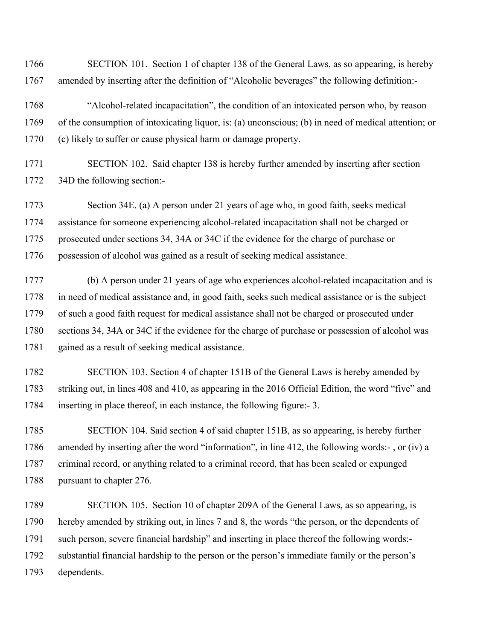1766 SECTION 101. Section 1 of chapter 138 of the General Laws, as so appearing, is hereby 1767 amended by inserting after the definition of "Alcoholic beverages" the following definition:-

- 1768 "Alcohol-related incapacitation", the condition of an intoxicated person who, by reason 1769 of the consumption of intoxicating liquor, is: (a) unconscious; (b) in need of medical attention; or 1770 (c) likely to suffer or cause physical harm or damage property.
- 1771 SECTION 102. Said chapter 138 is hereby further amended by inserting after section 1772 34D the following section:-

1773 Section 34E. (a) A person under 21 years of age who, in good faith, seeks medical 1774 assistance for someone experiencing alcohol-related incapacitation shall not be charged or 1775 prosecuted under sections 34, 34A or 34C if the evidence for the charge of purchase or 1776 possession of alcohol was gained as a result of seeking medical assistance.

1777 (b) A person under 21 years of age who experiences alcohol-related incapacitation and is 1778 in need of medical assistance and, in good faith, seeks such medical assistance or is the subject 1779 of such a good faith request for medical assistance shall not be charged or prosecuted under 1780 sections 34, 34A or 34C if the evidence for the charge of purchase or possession of alcohol was 1781 gained as a result of seeking medical assistance.

1782 SECTION 103. Section 4 of chapter 151B of the General Laws is hereby amended by 1783 striking out, in lines 408 and 410, as appearing in the 2016 Official Edition, the word "five" and 1784 inserting in place thereof, in each instance, the following figure:- 3.

1785 SECTION 104. Said section 4 of said chapter 151B, as so appearing, is hereby further 1786 amended by inserting after the word "information", in line 412, the following words:- , or (iv) a 1787 criminal record, or anything related to a criminal record, that has been sealed or expunged 1788 pursuant to chapter 276.

1789 SECTION 105. Section 10 of chapter 209A of the General Laws, as so appearing, is 1790 hereby amended by striking out, in lines 7 and 8, the words "the person, or the dependents of 1791 such person, severe financial hardship" and inserting in place thereof the following words:- 1792 substantial financial hardship to the person or the person's immediate family or the person's 1793 dependents.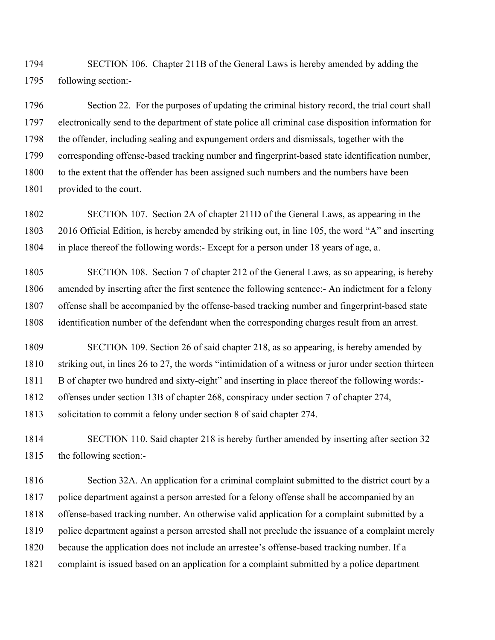1794 SECTION 106. Chapter 211B of the General Laws is hereby amended by adding the 1795 following section:-

1796 Section 22. For the purposes of updating the criminal history record, the trial court shall 1797 electronically send to the department of state police all criminal case disposition information for 1798 the offender, including sealing and expungement orders and dismissals, together with the 1799 corresponding offense-based tracking number and fingerprint-based state identification number, 1800 to the extent that the offender has been assigned such numbers and the numbers have been 1801 provided to the court.

1802 SECTION 107. Section 2A of chapter 211D of the General Laws, as appearing in the 1803 2016 Official Edition, is hereby amended by striking out, in line 105, the word "A" and inserting 1804 in place thereof the following words:- Except for a person under 18 years of age, a.

1805 SECTION 108. Section 7 of chapter 212 of the General Laws, as so appearing, is hereby 1806 amended by inserting after the first sentence the following sentence:- An indictment for a felony 1807 offense shall be accompanied by the offense-based tracking number and fingerprint-based state 1808 identification number of the defendant when the corresponding charges result from an arrest.

1809 SECTION 109. Section 26 of said chapter 218, as so appearing, is hereby amended by 1810 striking out, in lines 26 to 27, the words "intimidation of a witness or juror under section thirteen 1811 B of chapter two hundred and sixty-eight" and inserting in place thereof the following words:- 1812 offenses under section 13B of chapter 268, conspiracy under section 7 of chapter 274,

1813 solicitation to commit a felony under section 8 of said chapter 274.

1814 SECTION 110. Said chapter 218 is hereby further amended by inserting after section 32 1815 the following section:-

1816 Section 32A. An application for a criminal complaint submitted to the district court by a 1817 police department against a person arrested for a felony offense shall be accompanied by an 1818 offense-based tracking number. An otherwise valid application for a complaint submitted by a 1819 police department against a person arrested shall not preclude the issuance of a complaint merely 1820 because the application does not include an arrestee's offense-based tracking number. If a 1821 complaint is issued based on an application for a complaint submitted by a police department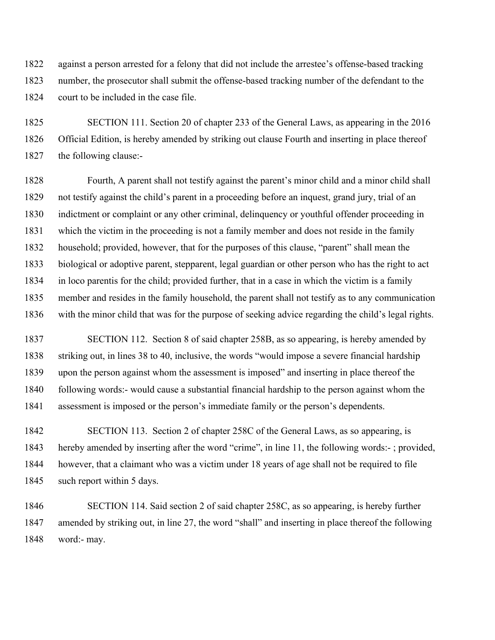1822 against a person arrested for a felony that did not include the arrestee's offense-based tracking 1823 number, the prosecutor shall submit the offense-based tracking number of the defendant to the 1824 court to be included in the case file.

1825 SECTION 111. Section 20 of chapter 233 of the General Laws, as appearing in the 2016 1826 Official Edition, is hereby amended by striking out clause Fourth and inserting in place thereof 1827 the following clause:-

1828 Fourth, A parent shall not testify against the parent's minor child and a minor child shall 1829 not testify against the child's parent in a proceeding before an inquest, grand jury, trial of an 1830 indictment or complaint or any other criminal, delinquency or youthful offender proceeding in 1831 which the victim in the proceeding is not a family member and does not reside in the family 1832 household; provided, however, that for the purposes of this clause, "parent" shall mean the 1833 biological or adoptive parent, stepparent, legal guardian or other person who has the right to act 1834 in loco parentis for the child; provided further, that in a case in which the victim is a family 1835 member and resides in the family household, the parent shall not testify as to any communication 1836 with the minor child that was for the purpose of seeking advice regarding the child's legal rights.

1837 SECTION 112. Section 8 of said chapter 258B, as so appearing, is hereby amended by 1838 striking out, in lines 38 to 40, inclusive, the words "would impose a severe financial hardship 1839 upon the person against whom the assessment is imposed" and inserting in place thereof the 1840 following words:- would cause a substantial financial hardship to the person against whom the 1841 assessment is imposed or the person's immediate family or the person's dependents.

1842 SECTION 113. Section 2 of chapter 258C of the General Laws, as so appearing, is 1843 hereby amended by inserting after the word "crime", in line 11, the following words:- ; provided, 1844 however, that a claimant who was a victim under 18 years of age shall not be required to file 1845 such report within 5 days.

1846 SECTION 114. Said section 2 of said chapter 258C, as so appearing, is hereby further 1847 amended by striking out, in line 27, the word "shall" and inserting in place thereof the following 1848 word:- may.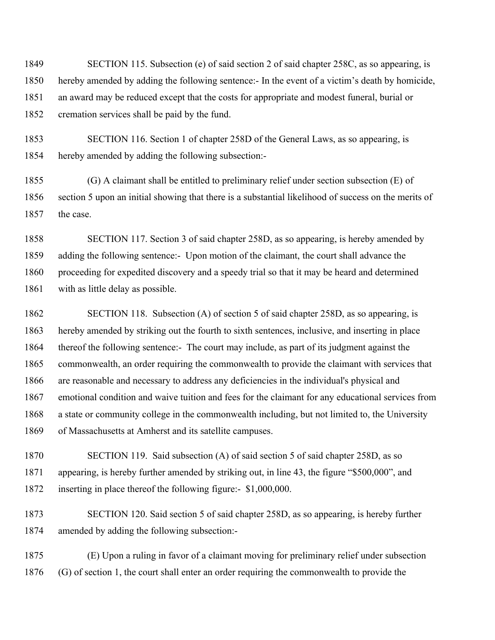1849 SECTION 115. Subsection (e) of said section 2 of said chapter 258C, as so appearing, is 1850 hereby amended by adding the following sentence:- In the event of a victim's death by homicide, 1851 an award may be reduced except that the costs for appropriate and modest funeral, burial or 1852 cremation services shall be paid by the fund.

1853 SECTION 116. Section 1 of chapter 258D of the General Laws, as so appearing, is 1854 hereby amended by adding the following subsection:-

1855 (G) A claimant shall be entitled to preliminary relief under section subsection (E) of 1856 section 5 upon an initial showing that there is a substantial likelihood of success on the merits of 1857 the case.

1858 SECTION 117. Section 3 of said chapter 258D, as so appearing, is hereby amended by 1859 adding the following sentence:- Upon motion of the claimant, the court shall advance the 1860 proceeding for expedited discovery and a speedy trial so that it may be heard and determined 1861 with as little delay as possible.

1862 SECTION 118. Subsection (A) of section 5 of said chapter 258D, as so appearing, is 1863 hereby amended by striking out the fourth to sixth sentences, inclusive, and inserting in place 1864 thereof the following sentence:- The court may include, as part of its judgment against the 1865 commonwealth, an order requiring the commonwealth to provide the claimant with services that 1866 are reasonable and necessary to address any deficiencies in the individual's physical and 1867 emotional condition and waive tuition and fees for the claimant for any educational services from 1868 a state or community college in the commonwealth including, but not limited to, the University 1869 of Massachusetts at Amherst and its satellite campuses.

1870 SECTION 119. Said subsection (A) of said section 5 of said chapter 258D, as so 1871 appearing, is hereby further amended by striking out, in line 43, the figure "\$500,000", and 1872 inserting in place thereof the following figure:- \$1,000,000.

1873 SECTION 120. Said section 5 of said chapter 258D, as so appearing, is hereby further 1874 amended by adding the following subsection:-

1875 (E) Upon a ruling in favor of a claimant moving for preliminary relief under subsection 1876 (G) of section 1, the court shall enter an order requiring the commonwealth to provide the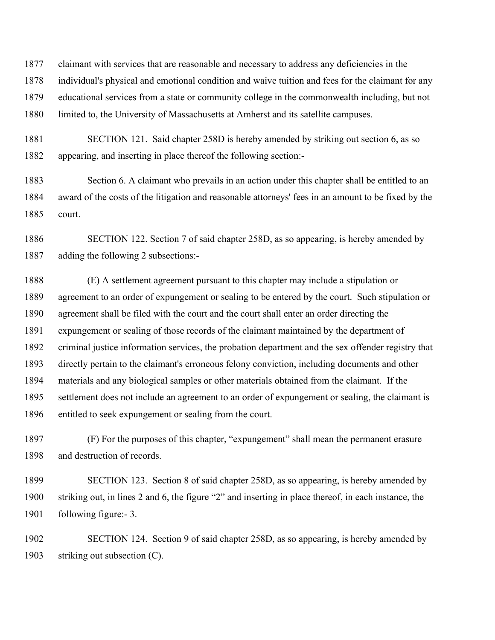1877 claimant with services that are reasonable and necessary to address any deficiencies in the 1878 individual's physical and emotional condition and waive tuition and fees for the claimant for any 1879 educational services from a state or community college in the commonwealth including, but not 1880 limited to, the University of Massachusetts at Amherst and its satellite campuses.

1881 SECTION 121. Said chapter 258D is hereby amended by striking out section 6, as so 1882 appearing, and inserting in place thereof the following section:-

1883 Section 6. A claimant who prevails in an action under this chapter shall be entitled to an 1884 award of the costs of the litigation and reasonable attorneys' fees in an amount to be fixed by the 1885 court.

1886 SECTION 122. Section 7 of said chapter 258D, as so appearing, is hereby amended by 1887 adding the following 2 subsections:-

1888 (E) A settlement agreement pursuant to this chapter may include a stipulation or 1889 agreement to an order of expungement or sealing to be entered by the court. Such stipulation or 1890 agreement shall be filed with the court and the court shall enter an order directing the 1891 expungement or sealing of those records of the claimant maintained by the department of 1892 criminal justice information services, the probation department and the sex offender registry that 1893 directly pertain to the claimant's erroneous felony conviction, including documents and other 1894 materials and any biological samples or other materials obtained from the claimant. If the 1895 settlement does not include an agreement to an order of expungement or sealing, the claimant is 1896 entitled to seek expungement or sealing from the court.

1897 (F) For the purposes of this chapter, "expungement" shall mean the permanent erasure 1898 and destruction of records.

1899 SECTION 123. Section 8 of said chapter 258D, as so appearing, is hereby amended by 1900 striking out, in lines 2 and 6, the figure "2" and inserting in place thereof, in each instance, the 1901 following figure:- 3.

1902 SECTION 124. Section 9 of said chapter 258D, as so appearing, is hereby amended by 1903 striking out subsection (C).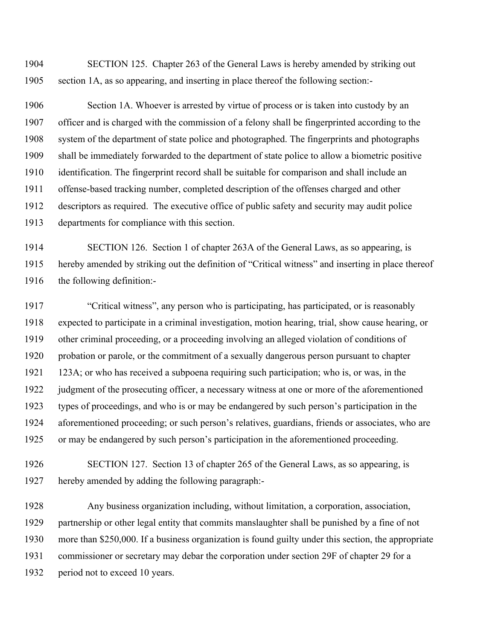1904 SECTION 125. Chapter 263 of the General Laws is hereby amended by striking out 1905 section 1A, as so appearing, and inserting in place thereof the following section:-

1906 Section 1A. Whoever is arrested by virtue of process or is taken into custody by an 1907 officer and is charged with the commission of a felony shall be fingerprinted according to the 1908 system of the department of state police and photographed. The fingerprints and photographs 1909 shall be immediately forwarded to the department of state police to allow a biometric positive 1910 identification. The fingerprint record shall be suitable for comparison and shall include an 1911 offense-based tracking number, completed description of the offenses charged and other 1912 descriptors as required. The executive office of public safety and security may audit police 1913 departments for compliance with this section.

1914 SECTION 126. Section 1 of chapter 263A of the General Laws, as so appearing, is 1915 hereby amended by striking out the definition of "Critical witness" and inserting in place thereof 1916 the following definition:-

1917 "Critical witness", any person who is participating, has participated, or is reasonably 1918 expected to participate in a criminal investigation, motion hearing, trial, show cause hearing, or 1919 other criminal proceeding, or a proceeding involving an alleged violation of conditions of 1920 probation or parole, or the commitment of a sexually dangerous person pursuant to chapter 1921 123A; or who has received a subpoena requiring such participation; who is, or was, in the 1922 judgment of the prosecuting officer, a necessary witness at one or more of the aforementioned 1923 types of proceedings, and who is or may be endangered by such person's participation in the 1924 aforementioned proceeding; or such person's relatives, guardians, friends or associates, who are 1925 or may be endangered by such person's participation in the aforementioned proceeding.

1926 SECTION 127. Section 13 of chapter 265 of the General Laws, as so appearing, is 1927 hereby amended by adding the following paragraph:-

1928 Any business organization including, without limitation, a corporation, association, 1929 partnership or other legal entity that commits manslaughter shall be punished by a fine of not 1930 more than \$250,000. If a business organization is found guilty under this section, the appropriate 1931 commissioner or secretary may debar the corporation under section 29F of chapter 29 for a 1932 period not to exceed 10 years.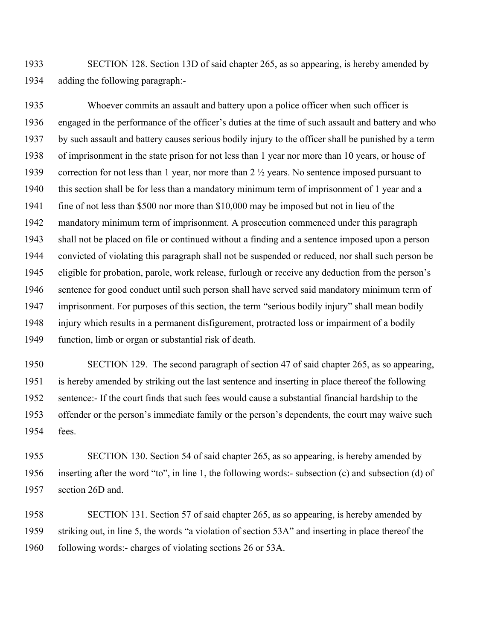1933 SECTION 128. Section 13D of said chapter 265, as so appearing, is hereby amended by 1934 adding the following paragraph:-

1935 Whoever commits an assault and battery upon a police officer when such officer is 1936 engaged in the performance of the officer's duties at the time of such assault and battery and who 1937 by such assault and battery causes serious bodily injury to the officer shall be punished by a term 1938 of imprisonment in the state prison for not less than 1 year nor more than 10 years, or house of 1939 correction for not less than 1 year, nor more than 2 ½ years. No sentence imposed pursuant to 1940 this section shall be for less than a mandatory minimum term of imprisonment of 1 year and a 1941 fine of not less than \$500 nor more than \$10,000 may be imposed but not in lieu of the 1942 mandatory minimum term of imprisonment. A prosecution commenced under this paragraph 1943 shall not be placed on file or continued without a finding and a sentence imposed upon a person 1944 convicted of violating this paragraph shall not be suspended or reduced, nor shall such person be 1945 eligible for probation, parole, work release, furlough or receive any deduction from the person's 1946 sentence for good conduct until such person shall have served said mandatory minimum term of 1947 imprisonment. For purposes of this section, the term "serious bodily injury" shall mean bodily 1948 injury which results in a permanent disfigurement, protracted loss or impairment of a bodily 1949 function, limb or organ or substantial risk of death.

1950 SECTION 129. The second paragraph of section 47 of said chapter 265, as so appearing, 1951 is hereby amended by striking out the last sentence and inserting in place thereof the following 1952 sentence:- If the court finds that such fees would cause a substantial financial hardship to the 1953 offender or the person's immediate family or the person's dependents, the court may waive such 1954 fees.

1955 SECTION 130. Section 54 of said chapter 265, as so appearing, is hereby amended by 1956 inserting after the word "to", in line 1, the following words:- subsection (c) and subsection (d) of 1957 section 26D and.

1958 SECTION 131. Section 57 of said chapter 265, as so appearing, is hereby amended by 1959 striking out, in line 5, the words "a violation of section 53A" and inserting in place thereof the 1960 following words:- charges of violating sections 26 or 53A.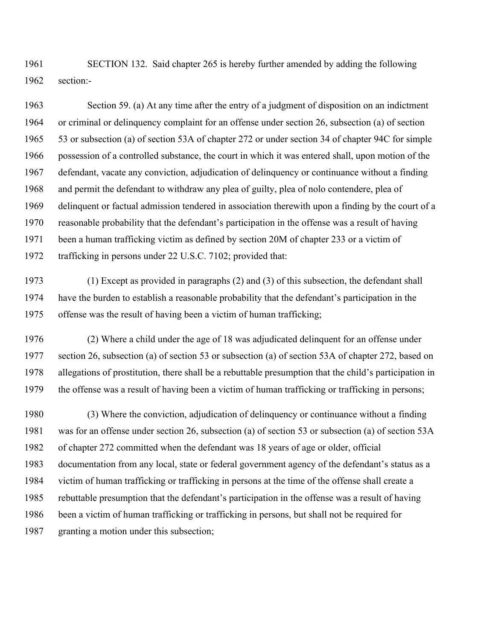1961 SECTION 132. Said chapter 265 is hereby further amended by adding the following 1962 section:-

1963 Section 59. (a) At any time after the entry of a judgment of disposition on an indictment 1964 or criminal or delinquency complaint for an offense under section 26, subsection (a) of section 1965 53 or subsection (a) of section 53A of chapter 272 or under section 34 of chapter 94C for simple 1966 possession of a controlled substance, the court in which it was entered shall, upon motion of the 1967 defendant, vacate any conviction, adjudication of delinquency or continuance without a finding 1968 and permit the defendant to withdraw any plea of guilty, plea of nolo contendere, plea of 1969 delinquent or factual admission tendered in association therewith upon a finding by the court of a 1970 reasonable probability that the defendant's participation in the offense was a result of having 1971 been a human trafficking victim as defined by section 20M of chapter 233 or a victim of 1972 trafficking in persons under 22 U.S.C. 7102; provided that:

1973 (1) Except as provided in paragraphs (2) and (3) of this subsection, the defendant shall 1974 have the burden to establish a reasonable probability that the defendant's participation in the 1975 offense was the result of having been a victim of human trafficking;

1976 (2) Where a child under the age of 18 was adjudicated delinquent for an offense under 1977 section 26, subsection (a) of section 53 or subsection (a) of section 53A of chapter 272, based on 1978 allegations of prostitution, there shall be a rebuttable presumption that the child's participation in 1979 the offense was a result of having been a victim of human trafficking or trafficking in persons;

1980 (3) Where the conviction, adjudication of delinquency or continuance without a finding 1981 was for an offense under section 26, subsection (a) of section 53 or subsection (a) of section 53A 1982 of chapter 272 committed when the defendant was 18 years of age or older, official 1983 documentation from any local, state or federal government agency of the defendant's status as a 1984 victim of human trafficking or trafficking in persons at the time of the offense shall create a 1985 rebuttable presumption that the defendant's participation in the offense was a result of having 1986 been a victim of human trafficking or trafficking in persons, but shall not be required for 1987 granting a motion under this subsection;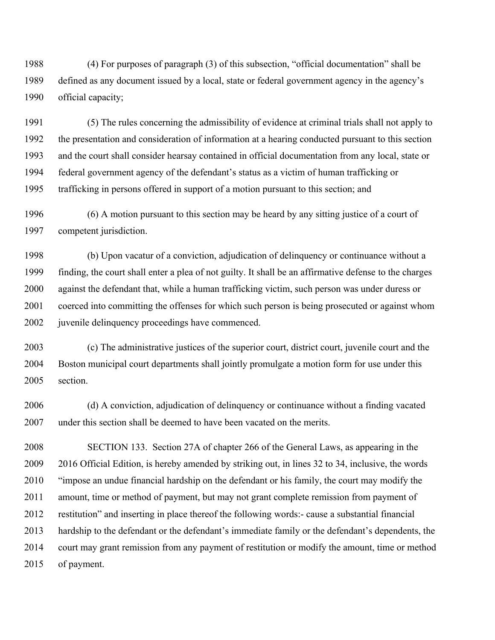1988 (4) For purposes of paragraph (3) of this subsection, "official documentation" shall be 1989 defined as any document issued by a local, state or federal government agency in the agency's 1990 official capacity;

1991 (5) The rules concerning the admissibility of evidence at criminal trials shall not apply to 1992 the presentation and consideration of information at a hearing conducted pursuant to this section 1993 and the court shall consider hearsay contained in official documentation from any local, state or 1994 federal government agency of the defendant's status as a victim of human trafficking or 1995 trafficking in persons offered in support of a motion pursuant to this section; and

1996 (6) A motion pursuant to this section may be heard by any sitting justice of a court of 1997 competent jurisdiction.

1998 (b) Upon vacatur of a conviction, adjudication of delinquency or continuance without a 1999 finding, the court shall enter a plea of not guilty. It shall be an affirmative defense to the charges 2000 against the defendant that, while a human trafficking victim, such person was under duress or 2001 coerced into committing the offenses for which such person is being prosecuted or against whom 2002 juvenile delinquency proceedings have commenced.

2003 (c) The administrative justices of the superior court, district court, juvenile court and the 2004 Boston municipal court departments shall jointly promulgate a motion form for use under this 2005 section.

2006 (d) A conviction, adjudication of delinquency or continuance without a finding vacated 2007 under this section shall be deemed to have been vacated on the merits.

2008 SECTION 133. Section 27A of chapter 266 of the General Laws, as appearing in the 2009 2016 Official Edition, is hereby amended by striking out, in lines 32 to 34, inclusive, the words 2010 "impose an undue financial hardship on the defendant or his family, the court may modify the 2011 amount, time or method of payment, but may not grant complete remission from payment of 2012 restitution" and inserting in place thereof the following words:- cause a substantial financial 2013 hardship to the defendant or the defendant's immediate family or the defendant's dependents, the 2014 court may grant remission from any payment of restitution or modify the amount, time or method 2015 of payment.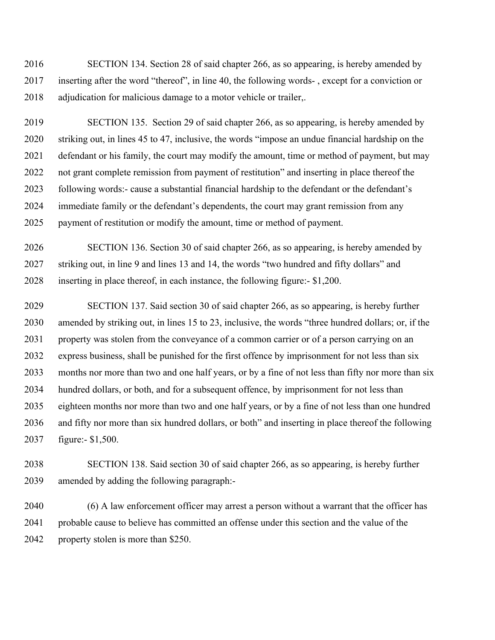2016 SECTION 134. Section 28 of said chapter 266, as so appearing, is hereby amended by 2017 inserting after the word "thereof", in line 40, the following words- , except for a conviction or 2018 adjudication for malicious damage to a motor vehicle or trailer,.

2019 SECTION 135. Section 29 of said chapter 266, as so appearing, is hereby amended by 2020 striking out, in lines 45 to 47, inclusive, the words "impose an undue financial hardship on the 2021 defendant or his family, the court may modify the amount, time or method of payment, but may 2022 not grant complete remission from payment of restitution" and inserting in place thereof the 2023 following words:- cause a substantial financial hardship to the defendant or the defendant's 2024 immediate family or the defendant's dependents, the court may grant remission from any 2025 payment of restitution or modify the amount, time or method of payment.

2026 SECTION 136. Section 30 of said chapter 266, as so appearing, is hereby amended by 2027 striking out, in line 9 and lines 13 and 14, the words "two hundred and fifty dollars" and 2028 inserting in place thereof, in each instance, the following figure:- \$1,200.

2029 SECTION 137. Said section 30 of said chapter 266, as so appearing, is hereby further 2030 amended by striking out, in lines 15 to 23, inclusive, the words "three hundred dollars; or, if the 2031 property was stolen from the conveyance of a common carrier or of a person carrying on an 2032 express business, shall be punished for the first offence by imprisonment for not less than six 2033 months nor more than two and one half years, or by a fine of not less than fifty nor more than six 2034 hundred dollars, or both, and for a subsequent offence, by imprisonment for not less than 2035 eighteen months nor more than two and one half years, or by a fine of not less than one hundred 2036 and fifty nor more than six hundred dollars, or both" and inserting in place thereof the following 2037 figure:- \$1,500.

2038 SECTION 138. Said section 30 of said chapter 266, as so appearing, is hereby further 2039 amended by adding the following paragraph:-

2040 (6) A law enforcement officer may arrest a person without a warrant that the officer has 2041 probable cause to believe has committed an offense under this section and the value of the 2042 property stolen is more than \$250.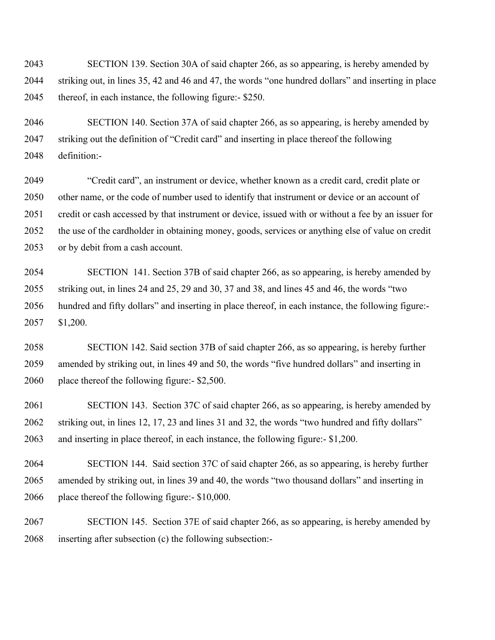2043 SECTION 139. Section 30A of said chapter 266, as so appearing, is hereby amended by 2044 striking out, in lines 35, 42 and 46 and 47, the words "one hundred dollars" and inserting in place 2045 thereof, in each instance, the following figure:- \$250.

2046 SECTION 140. Section 37A of said chapter 266, as so appearing, is hereby amended by 2047 striking out the definition of "Credit card" and inserting in place thereof the following 2048 definition:-

2049 "Credit card", an instrument or device, whether known as a credit card, credit plate or 2050 other name, or the code of number used to identify that instrument or device or an account of 2051 credit or cash accessed by that instrument or device, issued with or without a fee by an issuer for 2052 the use of the cardholder in obtaining money, goods, services or anything else of value on credit 2053 or by debit from a cash account.

2054 SECTION 141. Section 37B of said chapter 266, as so appearing, is hereby amended by 2055 striking out, in lines 24 and 25, 29 and 30, 37 and 38, and lines 45 and 46, the words "two 2056 hundred and fifty dollars" and inserting in place thereof, in each instance, the following figure:- 2057 \$1,200.

2058 SECTION 142. Said section 37B of said chapter 266, as so appearing, is hereby further 2059 amended by striking out, in lines 49 and 50, the words "five hundred dollars" and inserting in 2060 place thereof the following figure:- \$2,500.

2061 SECTION 143. Section 37C of said chapter 266, as so appearing, is hereby amended by 2062 striking out, in lines 12, 17, 23 and lines 31 and 32, the words "two hundred and fifty dollars" 2063 and inserting in place thereof, in each instance, the following figure:- \$1,200.

2064 SECTION 144. Said section 37C of said chapter 266, as so appearing, is hereby further 2065 amended by striking out, in lines 39 and 40, the words "two thousand dollars" and inserting in 2066 place thereof the following figure:- \$10,000.

2067 SECTION 145. Section 37E of said chapter 266, as so appearing, is hereby amended by 2068 inserting after subsection (c) the following subsection:-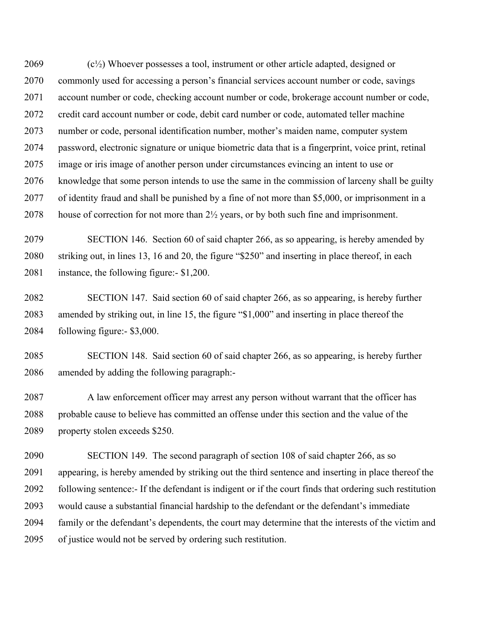2069  $(c<sup>1</sup>/<sub>2</sub>)$  Whoever possesses a tool, instrument or other article adapted, designed or 2070 commonly used for accessing a person's financial services account number or code, savings 2071 account number or code, checking account number or code, brokerage account number or code, 2072 credit card account number or code, debit card number or code, automated teller machine 2073 number or code, personal identification number, mother's maiden name, computer system 2074 password, electronic signature or unique biometric data that is a fingerprint, voice print, retinal 2075 image or iris image of another person under circumstances evincing an intent to use or 2076 knowledge that some person intends to use the same in the commission of larceny shall be guilty 2077 of identity fraud and shall be punished by a fine of not more than \$5,000, or imprisonment in a 2078 house of correction for not more than  $2\frac{1}{2}$  years, or by both such fine and imprisonment.

2079 SECTION 146. Section 60 of said chapter 266, as so appearing, is hereby amended by 2080 striking out, in lines 13, 16 and 20, the figure "\$250" and inserting in place thereof, in each 2081 instance, the following figure:- \$1,200.

2082 SECTION 147. Said section 60 of said chapter 266, as so appearing, is hereby further 2083 amended by striking out, in line 15, the figure "\$1,000" and inserting in place thereof the 2084 following figure:- \$3,000.

2085 SECTION 148. Said section 60 of said chapter 266, as so appearing, is hereby further 2086 amended by adding the following paragraph:-

2087 A law enforcement officer may arrest any person without warrant that the officer has 2088 probable cause to believe has committed an offense under this section and the value of the 2089 property stolen exceeds \$250.

2090 SECTION 149. The second paragraph of section 108 of said chapter 266, as so 2091 appearing, is hereby amended by striking out the third sentence and inserting in place thereof the 2092 following sentence:- If the defendant is indigent or if the court finds that ordering such restitution 2093 would cause a substantial financial hardship to the defendant or the defendant's immediate 2094 family or the defendant's dependents, the court may determine that the interests of the victim and 2095 of justice would not be served by ordering such restitution.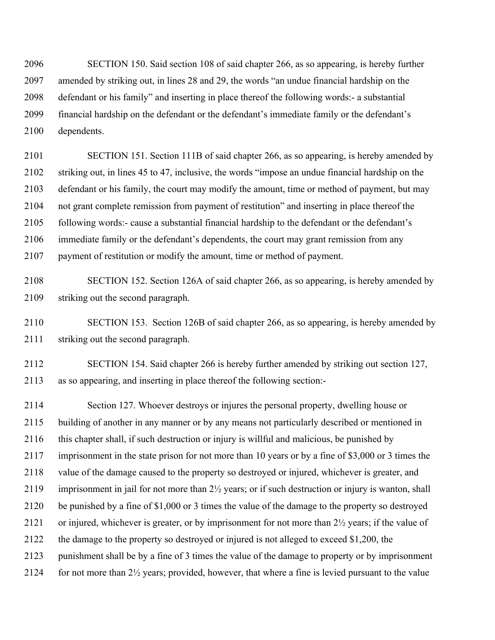2096 SECTION 150. Said section 108 of said chapter 266, as so appearing, is hereby further 2097 amended by striking out, in lines 28 and 29, the words "an undue financial hardship on the 2098 defendant or his family" and inserting in place thereof the following words:- a substantial 2099 financial hardship on the defendant or the defendant's immediate family or the defendant's 2100 dependents.

2101 SECTION 151. Section 111B of said chapter 266, as so appearing, is hereby amended by 2102 striking out, in lines 45 to 47, inclusive, the words "impose an undue financial hardship on the 2103 defendant or his family, the court may modify the amount, time or method of payment, but may 2104 not grant complete remission from payment of restitution" and inserting in place thereof the 2105 following words:- cause a substantial financial hardship to the defendant or the defendant's 2106 immediate family or the defendant's dependents, the court may grant remission from any 2107 payment of restitution or modify the amount, time or method of payment.

2108 SECTION 152. Section 126A of said chapter 266, as so appearing, is hereby amended by 2109 striking out the second paragraph.

2110 SECTION 153. Section 126B of said chapter 266, as so appearing, is hereby amended by 2111 striking out the second paragraph.

2112 SECTION 154. Said chapter 266 is hereby further amended by striking out section 127, 2113 as so appearing, and inserting in place thereof the following section:-

2114 Section 127. Whoever destroys or injures the personal property, dwelling house or 2115 building of another in any manner or by any means not particularly described or mentioned in 2116 this chapter shall, if such destruction or injury is willful and malicious, be punished by 2117 imprisonment in the state prison for not more than 10 years or by a fine of \$3,000 or 3 times the 2118 value of the damage caused to the property so destroyed or injured, whichever is greater, and 2119 imprisonment in jail for not more than 2½ years; or if such destruction or injury is wanton, shall 2120 be punished by a fine of \$1,000 or 3 times the value of the damage to the property so destroyed 2121 or injured, whichever is greater, or by imprisonment for not more than 2½ years; if the value of 2122 the damage to the property so destroyed or injured is not alleged to exceed \$1,200, the 2123 punishment shall be by a fine of 3 times the value of the damage to property or by imprisonment 2124 for not more than 2½ years; provided, however, that where a fine is levied pursuant to the value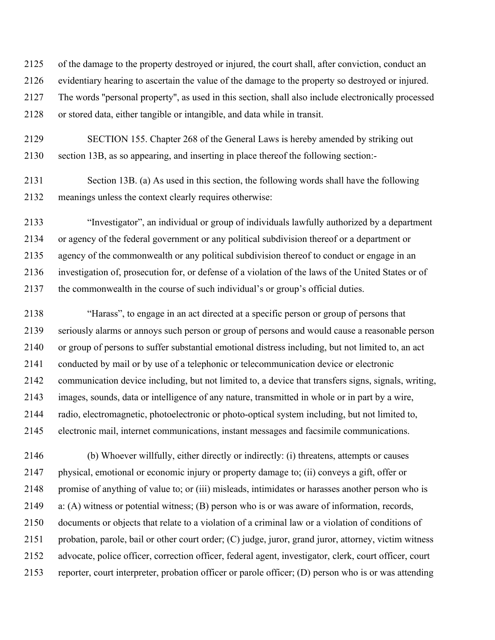2125 of the damage to the property destroyed or injured, the court shall, after conviction, conduct an 2126 evidentiary hearing to ascertain the value of the damage to the property so destroyed or injured. 2127 The words ''personal property'', as used in this section, shall also include electronically processed 2128 or stored data, either tangible or intangible, and data while in transit.

2129 SECTION 155. Chapter 268 of the General Laws is hereby amended by striking out 2130 section 13B, as so appearing, and inserting in place thereof the following section:-

2131 Section 13B. (a) As used in this section, the following words shall have the following 2132 meanings unless the context clearly requires otherwise:

2133 "Investigator", an individual or group of individuals lawfully authorized by a department 2134 or agency of the federal government or any political subdivision thereof or a department or 2135 agency of the commonwealth or any political subdivision thereof to conduct or engage in an 2136 investigation of, prosecution for, or defense of a violation of the laws of the United States or of 2137 the commonwealth in the course of such individual's or group's official duties.

2138 "Harass", to engage in an act directed at a specific person or group of persons that 2139 seriously alarms or annoys such person or group of persons and would cause a reasonable person 2140 or group of persons to suffer substantial emotional distress including, but not limited to, an act 2141 conducted by mail or by use of a telephonic or telecommunication device or electronic 2142 communication device including, but not limited to, a device that transfers signs, signals, writing, 2143 images, sounds, data or intelligence of any nature, transmitted in whole or in part by a wire, 2144 radio, electromagnetic, photoelectronic or photo-optical system including, but not limited to, 2145 electronic mail, internet communications, instant messages and facsimile communications.

2146 (b) Whoever willfully, either directly or indirectly: (i) threatens, attempts or causes 2147 physical, emotional or economic injury or property damage to; (ii) conveys a gift, offer or 2148 promise of anything of value to; or (iii) misleads, intimidates or harasses another person who is 2149 a: (A) witness or potential witness; (B) person who is or was aware of information, records, 2150 documents or objects that relate to a violation of a criminal law or a violation of conditions of 2151 probation, parole, bail or other court order; (C) judge, juror, grand juror, attorney, victim witness 2152 advocate, police officer, correction officer, federal agent, investigator, clerk, court officer, court 2153 reporter, court interpreter, probation officer or parole officer; (D) person who is or was attending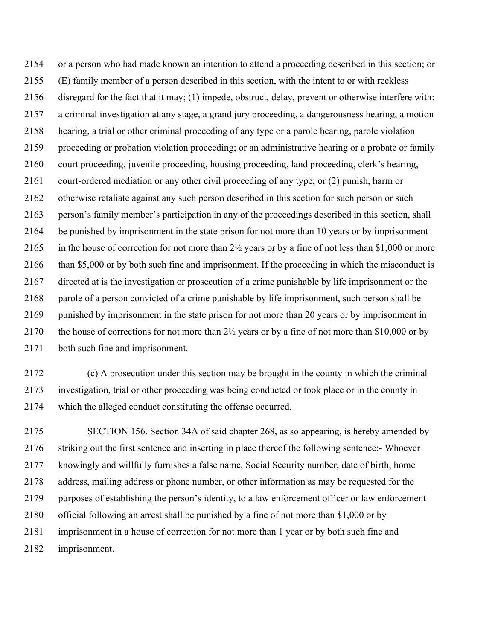2154 or a person who had made known an intention to attend a proceeding described in this section; or 2155 (E) family member of a person described in this section, with the intent to or with reckless 2156 disregard for the fact that it may; (1) impede, obstruct, delay, prevent or otherwise interfere with: 2157 a criminal investigation at any stage, a grand jury proceeding, a dangerousness hearing, a motion 2158 hearing, a trial or other criminal proceeding of any type or a parole hearing, parole violation 2159 proceeding or probation violation proceeding; or an administrative hearing or a probate or family 2160 court proceeding, juvenile proceeding, housing proceeding, land proceeding, clerk's hearing, 2161 court-ordered mediation or any other civil proceeding of any type; or (2) punish, harm or 2162 otherwise retaliate against any such person described in this section for such person or such 2163 person's family member's participation in any of the proceedings described in this section, shall 2164 be punished by imprisonment in the state prison for not more than 10 years or by imprisonment 2165 in the house of correction for not more than 2½ years or by a fine of not less than \$1,000 or more 2166 than \$5,000 or by both such fine and imprisonment. If the proceeding in which the misconduct is 2167 directed at is the investigation or prosecution of a crime punishable by life imprisonment or the 2168 parole of a person convicted of a crime punishable by life imprisonment, such person shall be 2169 punished by imprisonment in the state prison for not more than 20 years or by imprisonment in 2170 the house of corrections for not more than 2½ years or by a fine of not more than \$10,000 or by 2171 both such fine and imprisonment.

2172 (c) A prosecution under this section may be brought in the county in which the criminal 2173 investigation, trial or other proceeding was being conducted or took place or in the county in 2174 which the alleged conduct constituting the offense occurred.

2175 SECTION 156. Section 34A of said chapter 268, as so appearing, is hereby amended by 2176 striking out the first sentence and inserting in place thereof the following sentence:- Whoever 2177 knowingly and willfully furnishes a false name, Social Security number, date of birth, home 2178 address, mailing address or phone number, or other information as may be requested for the 2179 purposes of establishing the person's identity, to a law enforcement officer or law enforcement 2180 official following an arrest shall be punished by a fine of not more than \$1,000 or by 2181 imprisonment in a house of correction for not more than 1 year or by both such fine and 2182 imprisonment.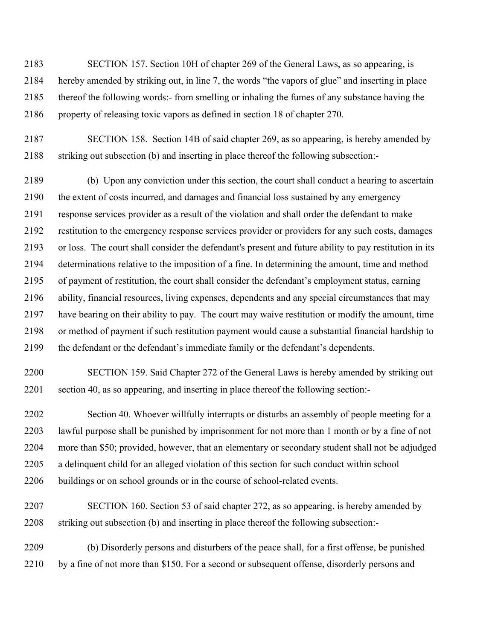2183 SECTION 157. Section 10H of chapter 269 of the General Laws, as so appearing, is 2184 hereby amended by striking out, in line 7, the words "the vapors of glue" and inserting in place 2185 thereof the following words:- from smelling or inhaling the fumes of any substance having the 2186 property of releasing toxic vapors as defined in section 18 of chapter 270.

2187 SECTION 158. Section 14B of said chapter 269, as so appearing, is hereby amended by 2188 striking out subsection (b) and inserting in place thereof the following subsection:-

2189 (b) Upon any conviction under this section, the court shall conduct a hearing to ascertain 2190 the extent of costs incurred, and damages and financial loss sustained by any emergency 2191 response services provider as a result of the violation and shall order the defendant to make 2192 restitution to the emergency response services provider or providers for any such costs, damages 2193 or loss. The court shall consider the defendant's present and future ability to pay restitution in its 2194 determinations relative to the imposition of a fine. In determining the amount, time and method 2195 of payment of restitution, the court shall consider the defendant's employment status, earning 2196 ability, financial resources, living expenses, dependents and any special circumstances that may 2197 have bearing on their ability to pay. The court may waive restitution or modify the amount, time 2198 or method of payment if such restitution payment would cause a substantial financial hardship to 2199 the defendant or the defendant's immediate family or the defendant's dependents.

2200 SECTION 159. Said Chapter 272 of the General Laws is hereby amended by striking out 2201 section 40, as so appearing, and inserting in place thereof the following section:-

2202 Section 40. Whoever willfully interrupts or disturbs an assembly of people meeting for a 2203 lawful purpose shall be punished by imprisonment for not more than 1 month or by a fine of not 2204 more than \$50; provided, however, that an elementary or secondary student shall not be adjudged 2205 a delinquent child for an alleged violation of this section for such conduct within school 2206 buildings or on school grounds or in the course of school-related events.

2207 SECTION 160. Section 53 of said chapter 272, as so appearing, is hereby amended by 2208 striking out subsection (b) and inserting in place thereof the following subsection:-

2209 (b) Disorderly persons and disturbers of the peace shall, for a first offense, be punished 2210 by a fine of not more than \$150. For a second or subsequent offense, disorderly persons and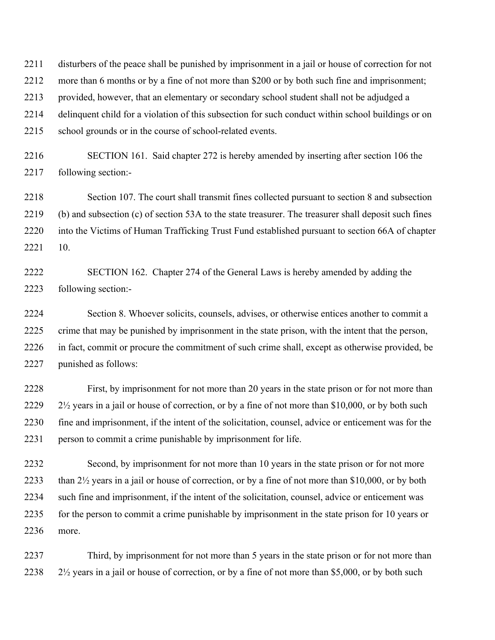2211 disturbers of the peace shall be punished by imprisonment in a jail or house of correction for not

2212 more than 6 months or by a fine of not more than \$200 or by both such fine and imprisonment;

2213 provided, however, that an elementary or secondary school student shall not be adjudged a

2214 delinquent child for a violation of this subsection for such conduct within school buildings or on

2215 school grounds or in the course of school-related events.

2216 SECTION 161. Said chapter 272 is hereby amended by inserting after section 106 the 2217 following section:-

2218 Section 107. The court shall transmit fines collected pursuant to section 8 and subsection 2219 (b) and subsection (c) of section 53A to the state treasurer. The treasurer shall deposit such fines 2220 into the Victims of Human Trafficking Trust Fund established pursuant to section 66A of chapter 2221 10.

2222 SECTION 162. Chapter 274 of the General Laws is hereby amended by adding the 2223 following section:-

2224 Section 8. Whoever solicits, counsels, advises, or otherwise entices another to commit a 2225 crime that may be punished by imprisonment in the state prison, with the intent that the person, 2226 in fact, commit or procure the commitment of such crime shall, except as otherwise provided, be 2227 punished as follows:

2228 First, by imprisonment for not more than 20 years in the state prison or for not more than 2229  $2\frac{1}{2}$  years in a jail or house of correction, or by a fine of not more than \$10,000, or by both such 2230 fine and imprisonment, if the intent of the solicitation, counsel, advice or enticement was for the 2231 person to commit a crime punishable by imprisonment for life.

2232 Second, by imprisonment for not more than 10 years in the state prison or for not more 2233 than 2½ years in a jail or house of correction, or by a fine of not more than \$10,000, or by both 2234 such fine and imprisonment, if the intent of the solicitation, counsel, advice or enticement was 2235 for the person to commit a crime punishable by imprisonment in the state prison for 10 years or 2236 more.

2237 Third, by imprisonment for not more than 5 years in the state prison or for not more than 2238 2½ years in a jail or house of correction, or by a fine of not more than \$5,000, or by both such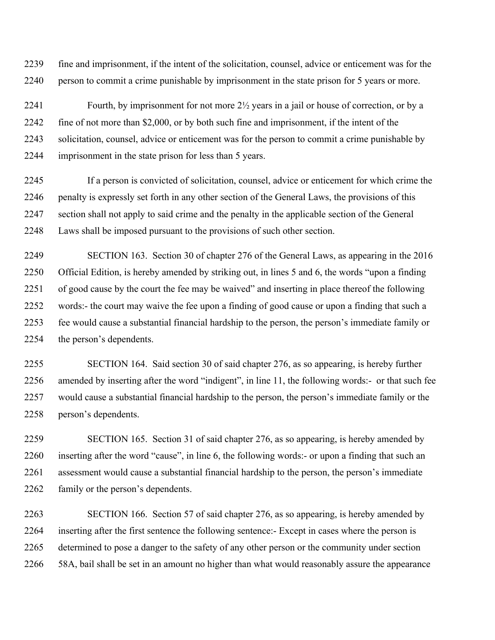2239 fine and imprisonment, if the intent of the solicitation, counsel, advice or enticement was for the 2240 person to commit a crime punishable by imprisonment in the state prison for 5 years or more.

2241 Fourth, by imprisonment for not more 2½ years in a jail or house of correction, or by a 2242 fine of not more than \$2,000, or by both such fine and imprisonment, if the intent of the 2243 solicitation, counsel, advice or enticement was for the person to commit a crime punishable by 2244 imprisonment in the state prison for less than 5 years.

2245 If a person is convicted of solicitation, counsel, advice or enticement for which crime the 2246 penalty is expressly set forth in any other section of the General Laws, the provisions of this 2247 section shall not apply to said crime and the penalty in the applicable section of the General 2248 Laws shall be imposed pursuant to the provisions of such other section.

2249 SECTION 163. Section 30 of chapter 276 of the General Laws, as appearing in the 2016 2250 Official Edition, is hereby amended by striking out, in lines 5 and 6, the words "upon a finding 2251 of good cause by the court the fee may be waived" and inserting in place thereof the following 2252 words:- the court may waive the fee upon a finding of good cause or upon a finding that such a 2253 fee would cause a substantial financial hardship to the person, the person's immediate family or 2254 the person's dependents.

2255 SECTION 164. Said section 30 of said chapter 276, as so appearing, is hereby further 2256 amended by inserting after the word "indigent", in line 11, the following words:- or that such fee 2257 would cause a substantial financial hardship to the person, the person's immediate family or the 2258 person's dependents.

2259 SECTION 165. Section 31 of said chapter 276, as so appearing, is hereby amended by 2260 inserting after the word "cause", in line 6, the following words:- or upon a finding that such an 2261 assessment would cause a substantial financial hardship to the person, the person's immediate 2262 family or the person's dependents.

2263 SECTION 166. Section 57 of said chapter 276, as so appearing, is hereby amended by 2264 inserting after the first sentence the following sentence:- Except in cases where the person is 2265 determined to pose a danger to the safety of any other person or the community under section 2266 58A, bail shall be set in an amount no higher than what would reasonably assure the appearance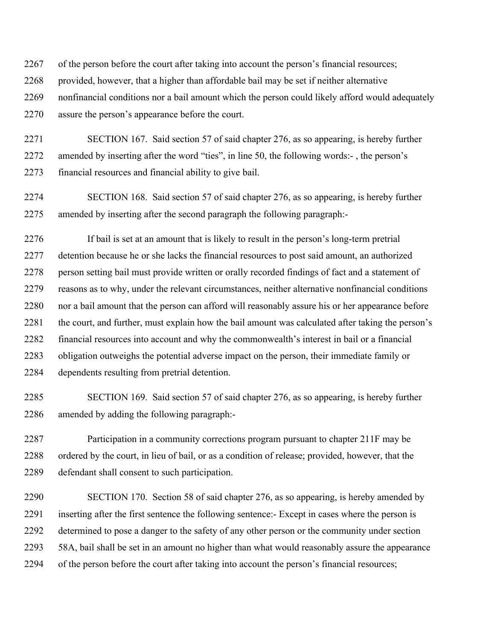2267 of the person before the court after taking into account the person's financial resources;

2268 provided, however, that a higher than affordable bail may be set if neither alternative

2269 nonfinancial conditions nor a bail amount which the person could likely afford would adequately 2270 assure the person's appearance before the court.

2271 SECTION 167. Said section 57 of said chapter 276, as so appearing, is hereby further 2272 amended by inserting after the word "ties", in line 50, the following words:- , the person's 2273 financial resources and financial ability to give bail.

2274 SECTION 168. Said section 57 of said chapter 276, as so appearing, is hereby further 2275 amended by inserting after the second paragraph the following paragraph:-

2276 If bail is set at an amount that is likely to result in the person's long-term pretrial 2277 detention because he or she lacks the financial resources to post said amount, an authorized 2278 person setting bail must provide written or orally recorded findings of fact and a statement of 2279 reasons as to why, under the relevant circumstances, neither alternative nonfinancial conditions 2280 nor a bail amount that the person can afford will reasonably assure his or her appearance before 2281 the court, and further, must explain how the bail amount was calculated after taking the person's 2282 financial resources into account and why the commonwealth's interest in bail or a financial 2283 obligation outweighs the potential adverse impact on the person, their immediate family or 2284 dependents resulting from pretrial detention.

2285 SECTION 169. Said section 57 of said chapter 276, as so appearing, is hereby further 2286 amended by adding the following paragraph:-

2287 Participation in a community corrections program pursuant to chapter 211F may be 2288 ordered by the court, in lieu of bail, or as a condition of release; provided, however, that the 2289 defendant shall consent to such participation.

2290 SECTION 170. Section 58 of said chapter 276, as so appearing, is hereby amended by 2291 inserting after the first sentence the following sentence:- Except in cases where the person is 2292 determined to pose a danger to the safety of any other person or the community under section 2293 58A, bail shall be set in an amount no higher than what would reasonably assure the appearance 2294 of the person before the court after taking into account the person's financial resources;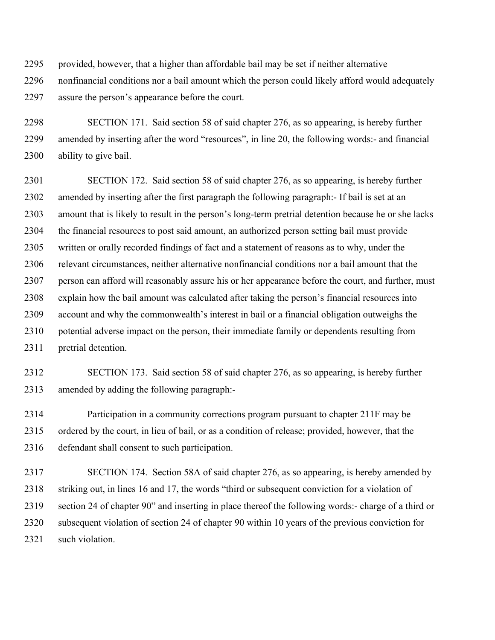2295 provided, however, that a higher than affordable bail may be set if neither alternative 2296 nonfinancial conditions nor a bail amount which the person could likely afford would adequately 2297 assure the person's appearance before the court.

2298 SECTION 171. Said section 58 of said chapter 276, as so appearing, is hereby further 2299 amended by inserting after the word "resources", in line 20, the following words:- and financial 2300 ability to give bail.

2301 SECTION 172. Said section 58 of said chapter 276, as so appearing, is hereby further 2302 amended by inserting after the first paragraph the following paragraph:- If bail is set at an 2303 amount that is likely to result in the person's long-term pretrial detention because he or she lacks 2304 the financial resources to post said amount, an authorized person setting bail must provide 2305 written or orally recorded findings of fact and a statement of reasons as to why, under the 2306 relevant circumstances, neither alternative nonfinancial conditions nor a bail amount that the 2307 person can afford will reasonably assure his or her appearance before the court, and further, must 2308 explain how the bail amount was calculated after taking the person's financial resources into 2309 account and why the commonwealth's interest in bail or a financial obligation outweighs the 2310 potential adverse impact on the person, their immediate family or dependents resulting from 2311 pretrial detention.

2312 SECTION 173. Said section 58 of said chapter 276, as so appearing, is hereby further 2313 amended by adding the following paragraph:-

2314 Participation in a community corrections program pursuant to chapter 211F may be 2315 ordered by the court, in lieu of bail, or as a condition of release; provided, however, that the 2316 defendant shall consent to such participation.

2317 SECTION 174. Section 58A of said chapter 276, as so appearing, is hereby amended by 2318 striking out, in lines 16 and 17, the words "third or subsequent conviction for a violation of 2319 section 24 of chapter 90" and inserting in place thereof the following words:- charge of a third or 2320 subsequent violation of section 24 of chapter 90 within 10 years of the previous conviction for 2321 such violation.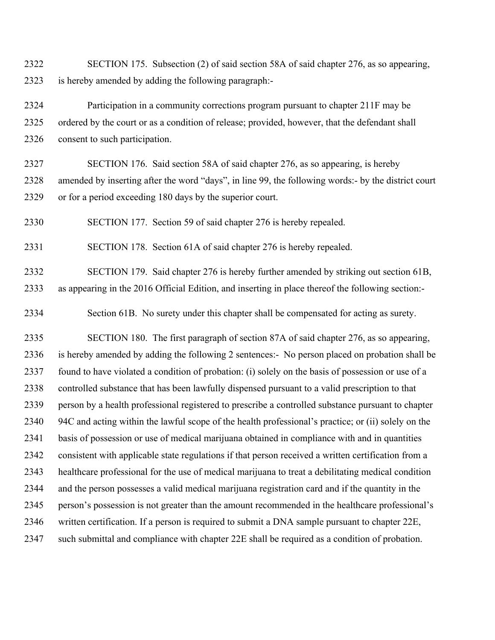2322 SECTION 175. Subsection (2) of said section 58A of said chapter 276, as so appearing, 2323 is hereby amended by adding the following paragraph:-

2324 Participation in a community corrections program pursuant to chapter 211F may be 2325 ordered by the court or as a condition of release; provided, however, that the defendant shall 2326 consent to such participation.

2327 SECTION 176. Said section 58A of said chapter 276, as so appearing, is hereby 2328 amended by inserting after the word "days", in line 99, the following words:- by the district court 2329 or for a period exceeding 180 days by the superior court.

2330 SECTION 177. Section 59 of said chapter 276 is hereby repealed.

2331 SECTION 178. Section 61A of said chapter 276 is hereby repealed.

2332 SECTION 179. Said chapter 276 is hereby further amended by striking out section 61B, 2333 as appearing in the 2016 Official Edition, and inserting in place thereof the following section:-

2334 Section 61B. No surety under this chapter shall be compensated for acting as surety.

2335 SECTION 180. The first paragraph of section 87A of said chapter 276, as so appearing, 2336 is hereby amended by adding the following 2 sentences:- No person placed on probation shall be 2337 found to have violated a condition of probation: (i) solely on the basis of possession or use of a 2338 controlled substance that has been lawfully dispensed pursuant to a valid prescription to that 2339 person by a health professional registered to prescribe a controlled substance pursuant to chapter 2340 94C and acting within the lawful scope of the health professional's practice; or (ii) solely on the 2341 basis of possession or use of medical marijuana obtained in compliance with and in quantities 2342 consistent with applicable state regulations if that person received a written certification from a 2343 healthcare professional for the use of medical marijuana to treat a debilitating medical condition 2344 and the person possesses a valid medical marijuana registration card and if the quantity in the 2345 person's possession is not greater than the amount recommended in the healthcare professional's 2346 written certification. If a person is required to submit a DNA sample pursuant to chapter 22E, 2347 such submittal and compliance with chapter 22E shall be required as a condition of probation.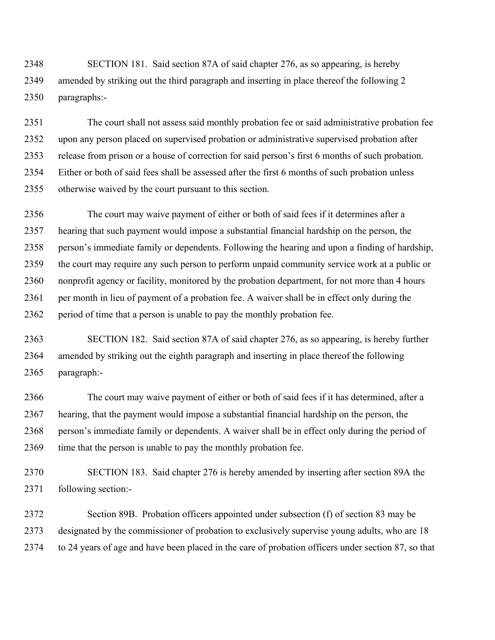2348 SECTION 181. Said section 87A of said chapter 276, as so appearing, is hereby 2349 amended by striking out the third paragraph and inserting in place thereof the following 2 2350 paragraphs:-

2351 The court shall not assess said monthly probation fee or said administrative probation fee 2352 upon any person placed on supervised probation or administrative supervised probation after 2353 release from prison or a house of correction for said person's first 6 months of such probation. 2354 Either or both of said fees shall be assessed after the first 6 months of such probation unless 2355 otherwise waived by the court pursuant to this section.

2356 The court may waive payment of either or both of said fees if it determines after a 2357 hearing that such payment would impose a substantial financial hardship on the person, the 2358 person's immediate family or dependents. Following the hearing and upon a finding of hardship, 2359 the court may require any such person to perform unpaid community service work at a public or 2360 nonprofit agency or facility, monitored by the probation department, for not more than 4 hours 2361 per month in lieu of payment of a probation fee. A waiver shall be in effect only during the 2362 period of time that a person is unable to pay the monthly probation fee.

2363 SECTION 182. Said section 87A of said chapter 276, as so appearing, is hereby further 2364 amended by striking out the eighth paragraph and inserting in place thereof the following 2365 paragraph:-

2366 The court may waive payment of either or both of said fees if it has determined, after a 2367 hearing, that the payment would impose a substantial financial hardship on the person, the 2368 person's immediate family or dependents. A waiver shall be in effect only during the period of 2369 time that the person is unable to pay the monthly probation fee.

2370 SECTION 183. Said chapter 276 is hereby amended by inserting after section 89A the 2371 following section:-

2372 Section 89B. Probation officers appointed under subsection (f) of section 83 may be 2373 designated by the commissioner of probation to exclusively supervise young adults, who are 18 2374 to 24 years of age and have been placed in the care of probation officers under section 87, so that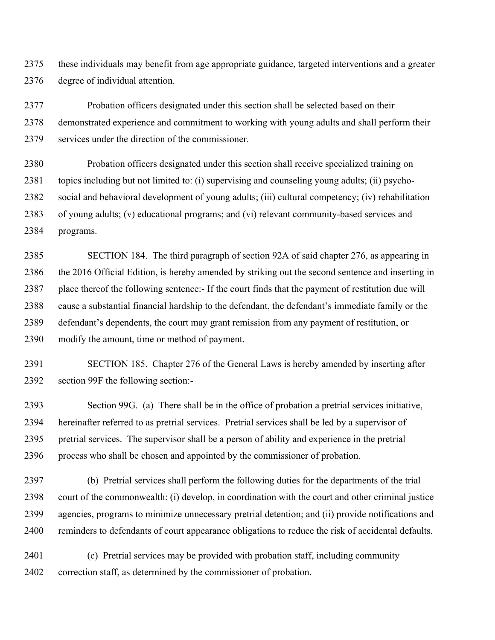2375 these individuals may benefit from age appropriate guidance, targeted interventions and a greater 2376 degree of individual attention.

2377 Probation officers designated under this section shall be selected based on their 2378 demonstrated experience and commitment to working with young adults and shall perform their 2379 services under the direction of the commissioner.

2380 Probation officers designated under this section shall receive specialized training on 2381 topics including but not limited to: (i) supervising and counseling young adults; (ii) psycho-2382 social and behavioral development of young adults; (iii) cultural competency; (iv) rehabilitation 2383 of young adults; (v) educational programs; and (vi) relevant community-based services and 2384 programs.

2385 SECTION 184. The third paragraph of section 92A of said chapter 276, as appearing in 2386 the 2016 Official Edition, is hereby amended by striking out the second sentence and inserting in 2387 place thereof the following sentence:- If the court finds that the payment of restitution due will 2388 cause a substantial financial hardship to the defendant, the defendant's immediate family or the 2389 defendant's dependents, the court may grant remission from any payment of restitution, or 2390 modify the amount, time or method of payment.

2391 SECTION 185. Chapter 276 of the General Laws is hereby amended by inserting after 2392 section 99F the following section:-

2393 Section 99G. (a) There shall be in the office of probation a pretrial services initiative, 2394 hereinafter referred to as pretrial services. Pretrial services shall be led by a supervisor of 2395 pretrial services. The supervisor shall be a person of ability and experience in the pretrial 2396 process who shall be chosen and appointed by the commissioner of probation.

2397 (b) Pretrial services shall perform the following duties for the departments of the trial 2398 court of the commonwealth: (i) develop, in coordination with the court and other criminal justice 2399 agencies, programs to minimize unnecessary pretrial detention; and (ii) provide notifications and 2400 reminders to defendants of court appearance obligations to reduce the risk of accidental defaults.

2401 (c) Pretrial services may be provided with probation staff, including community 2402 correction staff, as determined by the commissioner of probation.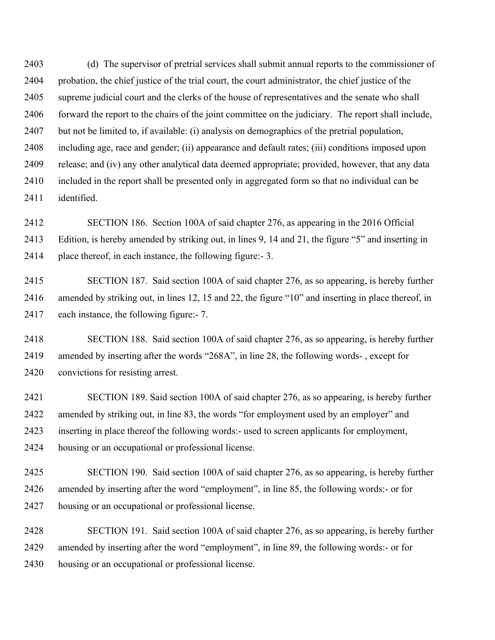2403 (d) The supervisor of pretrial services shall submit annual reports to the commissioner of 2404 probation, the chief justice of the trial court, the court administrator, the chief justice of the 2405 supreme judicial court and the clerks of the house of representatives and the senate who shall 2406 forward the report to the chairs of the joint committee on the judiciary. The report shall include, 2407 but not be limited to, if available: (i) analysis on demographics of the pretrial population, 2408 including age, race and gender; (ii) appearance and default rates; (iii) conditions imposed upon 2409 release; and (iv) any other analytical data deemed appropriate; provided, however, that any data 2410 included in the report shall be presented only in aggregated form so that no individual can be 2411 identified.

2412 SECTION 186. Section 100A of said chapter 276, as appearing in the 2016 Official 2413 Edition, is hereby amended by striking out, in lines 9, 14 and 21, the figure "5" and inserting in 2414 place thereof, in each instance, the following figure:- 3.

2415 SECTION 187. Said section 100A of said chapter 276, as so appearing, is hereby further 2416 amended by striking out, in lines 12, 15 and 22, the figure "10" and inserting in place thereof, in 2417 each instance, the following figure:- 7.

2418 SECTION 188. Said section 100A of said chapter 276, as so appearing, is hereby further 2419 amended by inserting after the words "268A", in line 28, the following words- , except for 2420 convictions for resisting arrest.

2421 SECTION 189. Said section 100A of said chapter 276, as so appearing, is hereby further 2422 amended by striking out, in line 83, the words "for employment used by an employer" and 2423 inserting in place thereof the following words:- used to screen applicants for employment, 2424 housing or an occupational or professional license.

2425 SECTION 190. Said section 100A of said chapter 276, as so appearing, is hereby further 2426 amended by inserting after the word "employment", in line 85, the following words:- or for 2427 housing or an occupational or professional license.

2428 SECTION 191. Said section 100A of said chapter 276, as so appearing, is hereby further 2429 amended by inserting after the word "employment", in line 89, the following words:- or for 2430 housing or an occupational or professional license.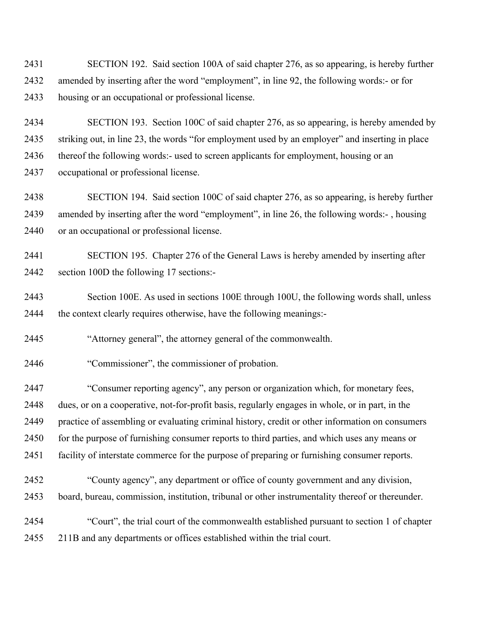2431 SECTION 192. Said section 100A of said chapter 276, as so appearing, is hereby further 2432 amended by inserting after the word "employment", in line 92, the following words:- or for 2433 housing or an occupational or professional license.

2434 SECTION 193. Section 100C of said chapter 276, as so appearing, is hereby amended by 2435 striking out, in line 23, the words "for employment used by an employer" and inserting in place 2436 thereof the following words:- used to screen applicants for employment, housing or an 2437 occupational or professional license.

2438 SECTION 194. Said section 100C of said chapter 276, as so appearing, is hereby further 2439 amended by inserting after the word "employment", in line 26, the following words:- , housing 2440 or an occupational or professional license.

2441 SECTION 195. Chapter 276 of the General Laws is hereby amended by inserting after 2442 section 100D the following 17 sections:-

2443 Section 100E. As used in sections 100E through 100U, the following words shall, unless 2444 the context clearly requires otherwise, have the following meanings:-

2445 "Attorney general", the attorney general of the commonwealth.

2446 "Commissioner", the commissioner of probation.

2447 "Consumer reporting agency", any person or organization which, for monetary fees, 2448 dues, or on a cooperative, not-for-profit basis, regularly engages in whole, or in part, in the 2449 practice of assembling or evaluating criminal history, credit or other information on consumers 2450 for the purpose of furnishing consumer reports to third parties, and which uses any means or 2451 facility of interstate commerce for the purpose of preparing or furnishing consumer reports.

2452 "County agency", any department or office of county government and any division, 2453 board, bureau, commission, institution, tribunal or other instrumentality thereof or thereunder.

2454 "Court", the trial court of the commonwealth established pursuant to section 1 of chapter 2455 211B and any departments or offices established within the trial court.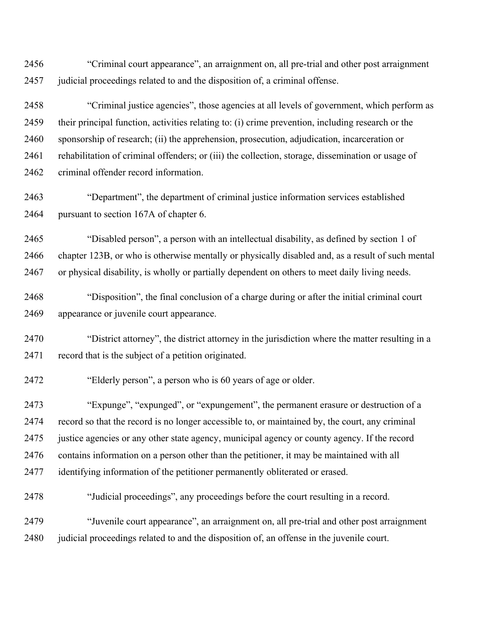2456 "Criminal court appearance", an arraignment on, all pre-trial and other post arraignment 2457 judicial proceedings related to and the disposition of, a criminal offense.

2458 "Criminal justice agencies", those agencies at all levels of government, which perform as 2459 their principal function, activities relating to: (i) crime prevention, including research or the 2460 sponsorship of research; (ii) the apprehension, prosecution, adjudication, incarceration or 2461 rehabilitation of criminal offenders; or (iii) the collection, storage, dissemination or usage of 2462 criminal offender record information.

2463 "Department", the department of criminal justice information services established 2464 pursuant to section 167A of chapter 6.

2465 "Disabled person", a person with an intellectual disability, as defined by section 1 of 2466 chapter 123B, or who is otherwise mentally or physically disabled and, as a result of such mental 2467 or physical disability, is wholly or partially dependent on others to meet daily living needs.

2468 "Disposition", the final conclusion of a charge during or after the initial criminal court 2469 appearance or juvenile court appearance.

2470 "District attorney", the district attorney in the jurisdiction where the matter resulting in a 2471 record that is the subject of a petition originated.

2472 "Elderly person", a person who is 60 years of age or older.

2473 "Expunge", "expunged", or "expungement", the permanent erasure or destruction of a 2474 record so that the record is no longer accessible to, or maintained by, the court, any criminal 2475 justice agencies or any other state agency, municipal agency or county agency. If the record 2476 contains information on a person other than the petitioner, it may be maintained with all 2477 identifying information of the petitioner permanently obliterated or erased.

2478 "Judicial proceedings", any proceedings before the court resulting in a record.

2479 "Juvenile court appearance", an arraignment on, all pre-trial and other post arraignment 2480 judicial proceedings related to and the disposition of, an offense in the juvenile court.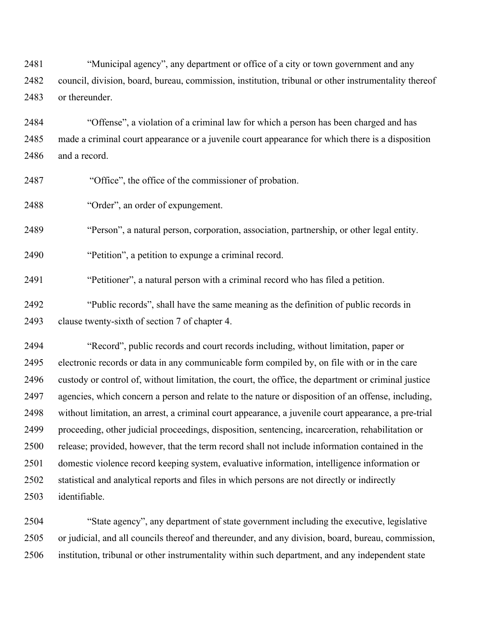2481 "Municipal agency", any department or office of a city or town government and any 2482 council, division, board, bureau, commission, institution, tribunal or other instrumentality thereof 2483 or thereunder.

2484 "Offense", a violation of a criminal law for which a person has been charged and has 2485 made a criminal court appearance or a juvenile court appearance for which there is a disposition 2486 and a record.

2487 "Office", the office of the commissioner of probation.

2488 "Order", an order of expungement.

2489 "Person", a natural person, corporation, association, partnership, or other legal entity.

2490 "Petition", a petition to expunge a criminal record.

2491 "Petitioner", a natural person with a criminal record who has filed a petition.

2492 "Public records", shall have the same meaning as the definition of public records in 2493 clause twenty-sixth of section 7 of chapter 4.

2494 "Record", public records and court records including, without limitation, paper or 2495 electronic records or data in any communicable form compiled by, on file with or in the care 2496 custody or control of, without limitation, the court, the office, the department or criminal justice 2497 agencies, which concern a person and relate to the nature or disposition of an offense, including, 2498 without limitation, an arrest, a criminal court appearance, a juvenile court appearance, a pre-trial 2499 proceeding, other judicial proceedings, disposition, sentencing, incarceration, rehabilitation or 2500 release; provided, however, that the term record shall not include information contained in the 2501 domestic violence record keeping system, evaluative information, intelligence information or 2502 statistical and analytical reports and files in which persons are not directly or indirectly 2503 identifiable.

2504 "State agency", any department of state government including the executive, legislative 2505 or judicial, and all councils thereof and thereunder, and any division, board, bureau, commission, 2506 institution, tribunal or other instrumentality within such department, and any independent state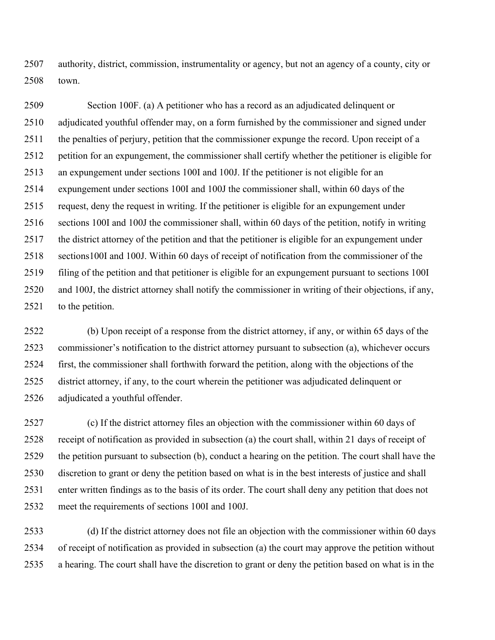2507 authority, district, commission, instrumentality or agency, but not an agency of a county, city or 2508 town.

2509 Section 100F. (a) A petitioner who has a record as an adjudicated delinquent or 2510 adjudicated youthful offender may, on a form furnished by the commissioner and signed under 2511 the penalties of perjury, petition that the commissioner expunge the record. Upon receipt of a 2512 petition for an expungement, the commissioner shall certify whether the petitioner is eligible for 2513 an expungement under sections 100I and 100J. If the petitioner is not eligible for an 2514 expungement under sections 100I and 100J the commissioner shall, within 60 days of the 2515 request, deny the request in writing. If the petitioner is eligible for an expungement under 2516 sections 100I and 100J the commissioner shall, within 60 days of the petition, notify in writing 2517 the district attorney of the petition and that the petitioner is eligible for an expungement under 2518 sections100I and 100J. Within 60 days of receipt of notification from the commissioner of the 2519 filing of the petition and that petitioner is eligible for an expungement pursuant to sections 100I 2520 and 100J, the district attorney shall notify the commissioner in writing of their objections, if any, 2521 to the petition.

2522 (b) Upon receipt of a response from the district attorney, if any, or within 65 days of the 2523 commissioner's notification to the district attorney pursuant to subsection (a), whichever occurs 2524 first, the commissioner shall forthwith forward the petition, along with the objections of the 2525 district attorney, if any, to the court wherein the petitioner was adjudicated delinquent or 2526 adjudicated a youthful offender.

2527 (c) If the district attorney files an objection with the commissioner within 60 days of 2528 receipt of notification as provided in subsection (a) the court shall, within 21 days of receipt of 2529 the petition pursuant to subsection (b), conduct a hearing on the petition. The court shall have the 2530 discretion to grant or deny the petition based on what is in the best interests of justice and shall 2531 enter written findings as to the basis of its order. The court shall deny any petition that does not 2532 meet the requirements of sections 100I and 100J.

2533 (d) If the district attorney does not file an objection with the commissioner within 60 days 2534 of receipt of notification as provided in subsection (a) the court may approve the petition without 2535 a hearing. The court shall have the discretion to grant or deny the petition based on what is in the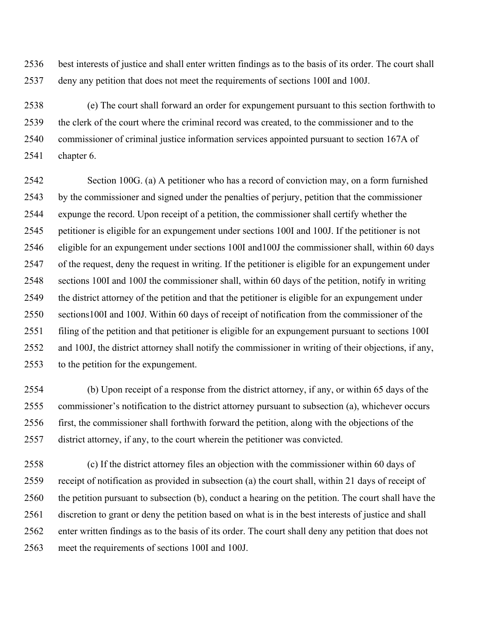2536 best interests of justice and shall enter written findings as to the basis of its order. The court shall 2537 deny any petition that does not meet the requirements of sections 100I and 100J.

2538 (e) The court shall forward an order for expungement pursuant to this section forthwith to 2539 the clerk of the court where the criminal record was created, to the commissioner and to the 2540 commissioner of criminal justice information services appointed pursuant to section 167A of 2541 chapter 6.

2542 Section 100G. (a) A petitioner who has a record of conviction may, on a form furnished 2543 by the commissioner and signed under the penalties of perjury, petition that the commissioner 2544 expunge the record. Upon receipt of a petition, the commissioner shall certify whether the 2545 petitioner is eligible for an expungement under sections 100I and 100J. If the petitioner is not 2546 eligible for an expungement under sections 100I and100J the commissioner shall, within 60 days 2547 of the request, deny the request in writing. If the petitioner is eligible for an expungement under 2548 sections 100I and 100J the commissioner shall, within 60 days of the petition, notify in writing 2549 the district attorney of the petition and that the petitioner is eligible for an expungement under 2550 sections100I and 100J. Within 60 days of receipt of notification from the commissioner of the 2551 filing of the petition and that petitioner is eligible for an expungement pursuant to sections 100I 2552 and 100J, the district attorney shall notify the commissioner in writing of their objections, if any, 2553 to the petition for the expungement.

2554 (b) Upon receipt of a response from the district attorney, if any, or within 65 days of the 2555 commissioner's notification to the district attorney pursuant to subsection (a), whichever occurs 2556 first, the commissioner shall forthwith forward the petition, along with the objections of the 2557 district attorney, if any, to the court wherein the petitioner was convicted.

2558 (c) If the district attorney files an objection with the commissioner within 60 days of 2559 receipt of notification as provided in subsection (a) the court shall, within 21 days of receipt of 2560 the petition pursuant to subsection (b), conduct a hearing on the petition. The court shall have the 2561 discretion to grant or deny the petition based on what is in the best interests of justice and shall 2562 enter written findings as to the basis of its order. The court shall deny any petition that does not 2563 meet the requirements of sections 100I and 100J.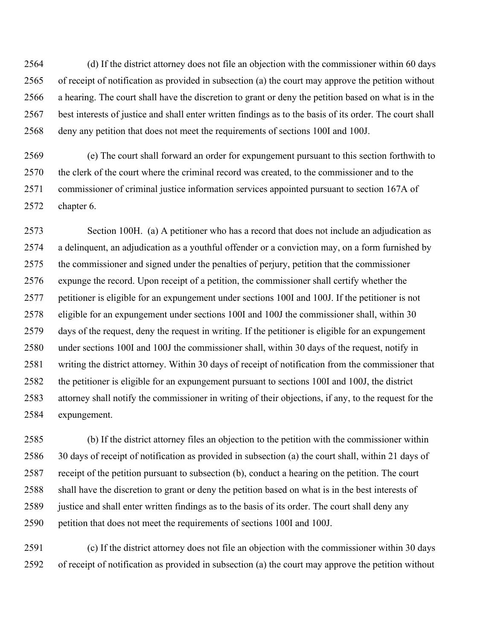2564 (d) If the district attorney does not file an objection with the commissioner within 60 days 2565 of receipt of notification as provided in subsection (a) the court may approve the petition without 2566 a hearing. The court shall have the discretion to grant or deny the petition based on what is in the 2567 best interests of justice and shall enter written findings as to the basis of its order. The court shall 2568 deny any petition that does not meet the requirements of sections 100I and 100J.

2569 (e) The court shall forward an order for expungement pursuant to this section forthwith to 2570 the clerk of the court where the criminal record was created, to the commissioner and to the 2571 commissioner of criminal justice information services appointed pursuant to section 167A of 2572 chapter 6.

2573 Section 100H. (a) A petitioner who has a record that does not include an adjudication as 2574 a delinquent, an adjudication as a youthful offender or a conviction may, on a form furnished by 2575 the commissioner and signed under the penalties of perjury, petition that the commissioner 2576 expunge the record. Upon receipt of a petition, the commissioner shall certify whether the 2577 petitioner is eligible for an expungement under sections 100I and 100J. If the petitioner is not 2578 eligible for an expungement under sections 100I and 100J the commissioner shall, within 30 2579 days of the request, deny the request in writing. If the petitioner is eligible for an expungement 2580 under sections 100I and 100J the commissioner shall, within 30 days of the request, notify in 2581 writing the district attorney. Within 30 days of receipt of notification from the commissioner that 2582 the petitioner is eligible for an expungement pursuant to sections 100I and 100J, the district 2583 attorney shall notify the commissioner in writing of their objections, if any, to the request for the 2584 expungement.

2585 (b) If the district attorney files an objection to the petition with the commissioner within 2586 30 days of receipt of notification as provided in subsection (a) the court shall, within 21 days of 2587 receipt of the petition pursuant to subsection (b), conduct a hearing on the petition. The court 2588 shall have the discretion to grant or deny the petition based on what is in the best interests of 2589 justice and shall enter written findings as to the basis of its order. The court shall deny any 2590 petition that does not meet the requirements of sections 100I and 100J.

2591 (c) If the district attorney does not file an objection with the commissioner within 30 days 2592 of receipt of notification as provided in subsection (a) the court may approve the petition without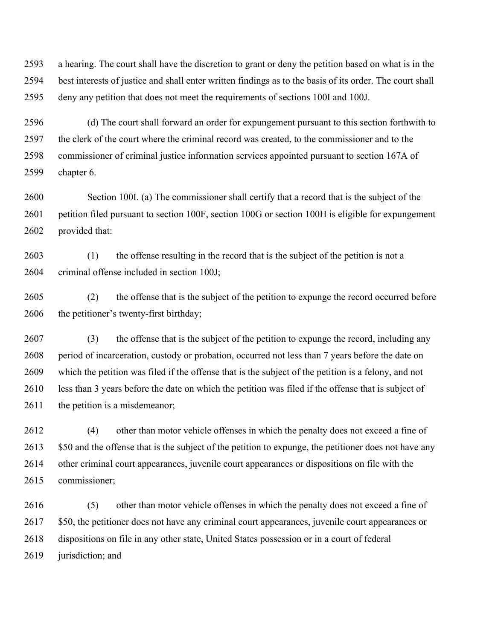2593 a hearing. The court shall have the discretion to grant or deny the petition based on what is in the 2594 best interests of justice and shall enter written findings as to the basis of its order. The court shall 2595 deny any petition that does not meet the requirements of sections 100I and 100J.

2596 (d) The court shall forward an order for expungement pursuant to this section forthwith to 2597 the clerk of the court where the criminal record was created, to the commissioner and to the 2598 commissioner of criminal justice information services appointed pursuant to section 167A of 2599 chapter 6.

2600 Section 100I. (a) The commissioner shall certify that a record that is the subject of the 2601 petition filed pursuant to section 100F, section 100G or section 100H is eligible for expungement 2602 provided that:

2603 (1) the offense resulting in the record that is the subject of the petition is not a 2604 criminal offense included in section 100J;

2605 (2) the offense that is the subject of the petition to expunge the record occurred before 2606 the petitioner's twenty-first birthday;

2607 (3) the offense that is the subject of the petition to expunge the record, including any 2608 period of incarceration, custody or probation, occurred not less than 7 years before the date on 2609 which the petition was filed if the offense that is the subject of the petition is a felony, and not 2610 less than 3 years before the date on which the petition was filed if the offense that is subject of 2611 the petition is a misdemeanor;

2612 (4) other than motor vehicle offenses in which the penalty does not exceed a fine of 2613 \$50 and the offense that is the subject of the petition to expunge, the petitioner does not have any 2614 other criminal court appearances, juvenile court appearances or dispositions on file with the 2615 commissioner;

2616 (5) other than motor vehicle offenses in which the penalty does not exceed a fine of 2617 \$50, the petitioner does not have any criminal court appearances, juvenile court appearances or 2618 dispositions on file in any other state, United States possession or in a court of federal 2619 jurisdiction; and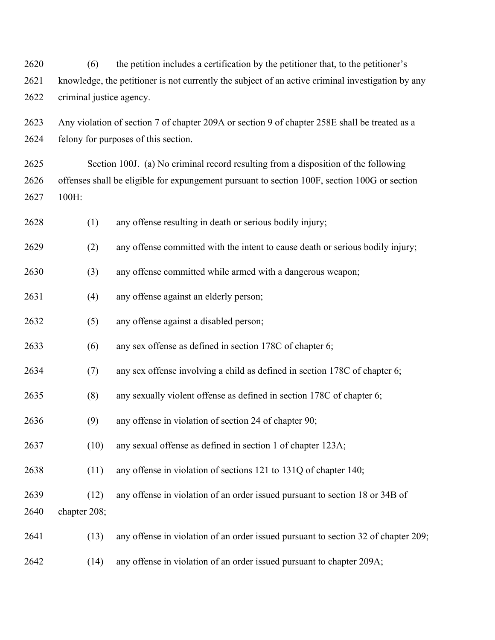2620 (6) the petition includes a certification by the petitioner that, to the petitioner's 2621 knowledge, the petitioner is not currently the subject of an active criminal investigation by any 2622 criminal justice agency.

2623 Any violation of section 7 of chapter 209A or section 9 of chapter 258E shall be treated as a 2624 felony for purposes of this section.

2625 Section 100J. (a) No criminal record resulting from a disposition of the following 2626 offenses shall be eligible for expungement pursuant to section 100F, section 100G or section 2627 100H:

2628 (1) any offense resulting in death or serious bodily injury;

2629 (2) any offense committed with the intent to cause death or serious bodily injury;

2630 (3) any offense committed while armed with a dangerous weapon;

- 2631 (4) any offense against an elderly person;
- 2632 (5) any offense against a disabled person;
- 2633 (6) any sex offense as defined in section 178C of chapter 6;
- 2634 (7) any sex offense involving a child as defined in section 178C of chapter 6;
- 2635 (8) any sexually violent offense as defined in section 178C of chapter 6;
- 2636 (9) any offense in violation of section 24 of chapter 90;
- 2637 (10) any sexual offense as defined in section 1 of chapter 123A;
- 2638 (11) any offense in violation of sections 121 to 131Q of chapter 140;
- 2639 (12) any offense in violation of an order issued pursuant to section 18 or 34B of 2640 chapter 208;
- 2641 (13) any offense in violation of an order issued pursuant to section 32 of chapter 209;
- 2642 (14) any offense in violation of an order issued pursuant to chapter 209A;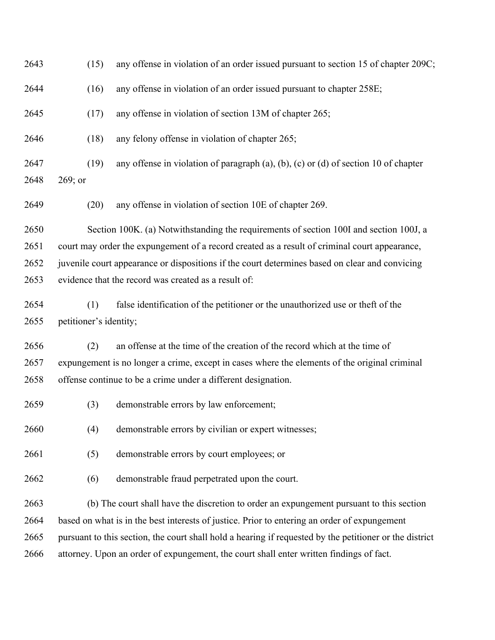2643 (15) any offense in violation of an order issued pursuant to section 15 of chapter 209C; 2644 (16) any offense in violation of an order issued pursuant to chapter 258E; 2645 (17) any offense in violation of section 13M of chapter 265; 2646 (18) any felony offense in violation of chapter 265; 2647 (19) any offense in violation of paragraph (a), (b), (c) or (d) of section 10 of chapter 2648 269; or 2649 (20) any offense in violation of section 10E of chapter 269. 2650 Section 100K. (a) Notwithstanding the requirements of section 100I and section 100J, a 2651 court may order the expungement of a record created as a result of criminal court appearance, 2652 juvenile court appearance or dispositions if the court determines based on clear and convicing 2653 evidence that the record was created as a result of: 2654 (1) false identification of the petitioner or the unauthorized use or theft of the 2655 petitioner's identity; 2656 (2) an offense at the time of the creation of the record which at the time of 2657 expungement is no longer a crime, except in cases where the elements of the original criminal 2658 offense continue to be a crime under a different designation. 2659 (3) demonstrable errors by law enforcement; 2660 (4) demonstrable errors by civilian or expert witnesses; 2661 (5) demonstrable errors by court employees; or 2662 (6) demonstrable fraud perpetrated upon the court. 2663 (b) The court shall have the discretion to order an expungement pursuant to this section 2664 based on what is in the best interests of justice. Prior to entering an order of expungement 2665 pursuant to this section, the court shall hold a hearing if requested by the petitioner or the district 2666 attorney. Upon an order of expungement, the court shall enter written findings of fact.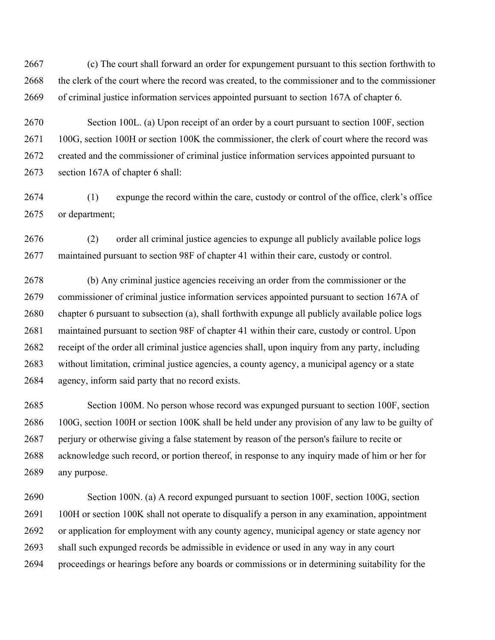2667 (c) The court shall forward an order for expungement pursuant to this section forthwith to 2668 the clerk of the court where the record was created, to the commissioner and to the commissioner 2669 of criminal justice information services appointed pursuant to section 167A of chapter 6.

2670 Section 100L. (a) Upon receipt of an order by a court pursuant to section 100F, section 2671 100G, section 100H or section 100K the commissioner, the clerk of court where the record was 2672 created and the commissioner of criminal justice information services appointed pursuant to 2673 section 167A of chapter 6 shall:

2674 (1) expunge the record within the care, custody or control of the office, clerk's office 2675 or department;

2676 (2) order all criminal justice agencies to expunge all publicly available police logs 2677 maintained pursuant to section 98F of chapter 41 within their care, custody or control.

2678 (b) Any criminal justice agencies receiving an order from the commissioner or the 2679 commissioner of criminal justice information services appointed pursuant to section 167A of 2680 chapter 6 pursuant to subsection (a), shall forthwith expunge all publicly available police logs 2681 maintained pursuant to section 98F of chapter 41 within their care, custody or control. Upon 2682 receipt of the order all criminal justice agencies shall, upon inquiry from any party, including 2683 without limitation, criminal justice agencies, a county agency, a municipal agency or a state 2684 agency, inform said party that no record exists.

2685 Section 100M. No person whose record was expunged pursuant to section 100F, section 2686 100G, section 100H or section 100K shall be held under any provision of any law to be guilty of 2687 perjury or otherwise giving a false statement by reason of the person's failure to recite or 2688 acknowledge such record, or portion thereof, in response to any inquiry made of him or her for 2689 any purpose.

2690 Section 100N. (a) A record expunged pursuant to section 100F, section 100G, section 2691 100H or section 100K shall not operate to disqualify a person in any examination, appointment 2692 or application for employment with any county agency, municipal agency or state agency nor 2693 shall such expunged records be admissible in evidence or used in any way in any court 2694 proceedings or hearings before any boards or commissions or in determining suitability for the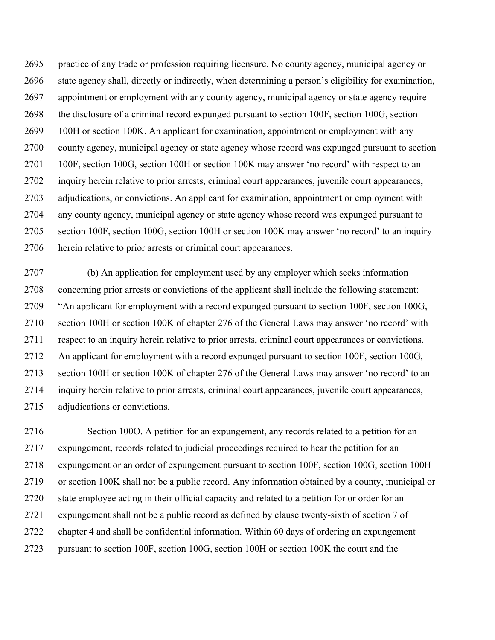2695 practice of any trade or profession requiring licensure. No county agency, municipal agency or 2696 state agency shall, directly or indirectly, when determining a person's eligibility for examination, 2697 appointment or employment with any county agency, municipal agency or state agency require 2698 the disclosure of a criminal record expunged pursuant to section 100F, section 100G, section 2699 100H or section 100K. An applicant for examination, appointment or employment with any 2700 county agency, municipal agency or state agency whose record was expunged pursuant to section 2701 100F, section 100G, section 100H or section 100K may answer 'no record' with respect to an 2702 inquiry herein relative to prior arrests, criminal court appearances, juvenile court appearances, 2703 adjudications, or convictions. An applicant for examination, appointment or employment with 2704 any county agency, municipal agency or state agency whose record was expunged pursuant to 2705 section 100F, section 100G, section 100H or section 100K may answer 'no record' to an inquiry 2706 herein relative to prior arrests or criminal court appearances.

2707 (b) An application for employment used by any employer which seeks information 2708 concerning prior arrests or convictions of the applicant shall include the following statement: 2709 "An applicant for employment with a record expunged pursuant to section 100F, section 100G, 2710 section 100H or section 100K of chapter 276 of the General Laws may answer 'no record' with 2711 respect to an inquiry herein relative to prior arrests, criminal court appearances or convictions. 2712 An applicant for employment with a record expunged pursuant to section 100F, section 100G, 2713 section 100H or section 100K of chapter 276 of the General Laws may answer 'no record' to an 2714 inquiry herein relative to prior arrests, criminal court appearances, juvenile court appearances, 2715 adjudications or convictions.

2716 Section 100O. A petition for an expungement, any records related to a petition for an 2717 expungement, records related to judicial proceedings required to hear the petition for an 2718 expungement or an order of expungement pursuant to section 100F, section 100G, section 100H 2719 or section 100K shall not be a public record. Any information obtained by a county, municipal or 2720 state employee acting in their official capacity and related to a petition for or order for an 2721 expungement shall not be a public record as defined by clause twenty-sixth of section 7 of 2722 chapter 4 and shall be confidential information. Within 60 days of ordering an expungement 2723 pursuant to section 100F, section 100G, section 100H or section 100K the court and the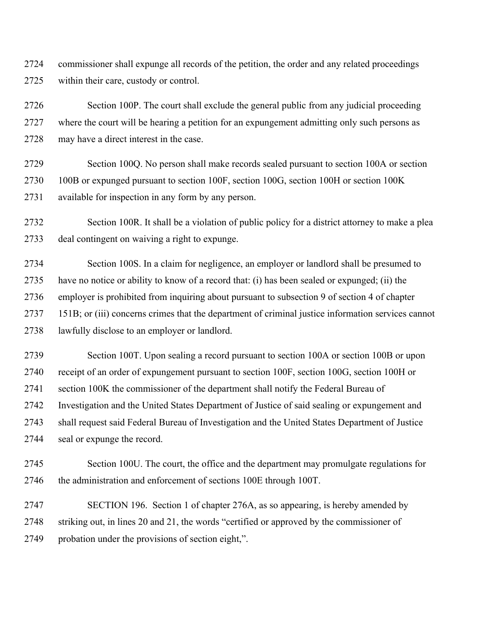2724 commissioner shall expunge all records of the petition, the order and any related proceedings 2725 within their care, custody or control.

2726 Section 100P. The court shall exclude the general public from any judicial proceeding 2727 where the court will be hearing a petition for an expungement admitting only such persons as 2728 may have a direct interest in the case.

2729 Section 100Q. No person shall make records sealed pursuant to section 100A or section 2730 100B or expunged pursuant to section 100F, section 100G, section 100H or section 100K 2731 available for inspection in any form by any person.

2732 Section 100R. It shall be a violation of public policy for a district attorney to make a plea 2733 deal contingent on waiving a right to expunge.

2734 Section 100S. In a claim for negligence, an employer or landlord shall be presumed to 2735 have no notice or ability to know of a record that: (i) has been sealed or expunged; (ii) the 2736 employer is prohibited from inquiring about pursuant to subsection 9 of section 4 of chapter 2737 151B; or (iii) concerns crimes that the department of criminal justice information services cannot 2738 lawfully disclose to an employer or landlord.

2739 Section 100T. Upon sealing a record pursuant to section 100A or section 100B or upon 2740 receipt of an order of expungement pursuant to section 100F, section 100G, section 100H or 2741 section 100K the commissioner of the department shall notify the Federal Bureau of 2742 Investigation and the United States Department of Justice of said sealing or expungement and 2743 shall request said Federal Bureau of Investigation and the United States Department of Justice 2744 seal or expunge the record.

2745 Section 100U. The court, the office and the department may promulgate regulations for 2746 the administration and enforcement of sections 100E through 100T.

2747 SECTION 196. Section 1 of chapter 276A, as so appearing, is hereby amended by 2748 striking out, in lines 20 and 21, the words "certified or approved by the commissioner of 2749 probation under the provisions of section eight,".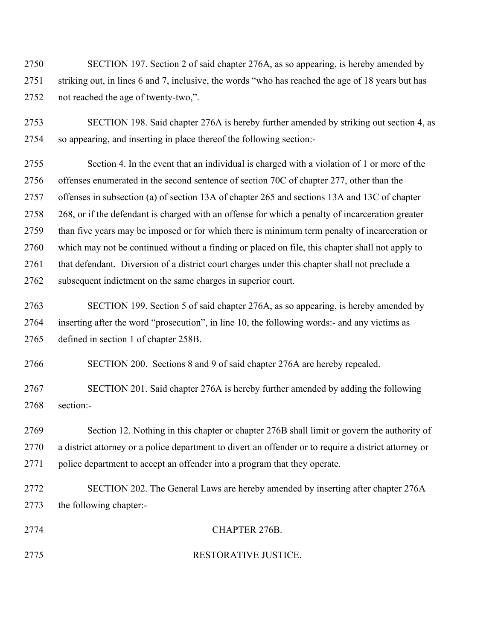2750 SECTION 197. Section 2 of said chapter 276A, as so appearing, is hereby amended by 2751 striking out, in lines 6 and 7, inclusive, the words "who has reached the age of 18 years but has 2752 not reached the age of twenty-two,".

2753 SECTION 198. Said chapter 276A is hereby further amended by striking out section 4, as 2754 so appearing, and inserting in place thereof the following section:-

2755 Section 4. In the event that an individual is charged with a violation of 1 or more of the 2756 offenses enumerated in the second sentence of section 70C of chapter 277, other than the 2757 offenses in subsection (a) of section 13A of chapter 265 and sections 13A and 13C of chapter 2758 268, or if the defendant is charged with an offense for which a penalty of incarceration greater 2759 than five years may be imposed or for which there is minimum term penalty of incarceration or 2760 which may not be continued without a finding or placed on file, this chapter shall not apply to 2761 that defendant. Diversion of a district court charges under this chapter shall not preclude a 2762 subsequent indictment on the same charges in superior court.

2763 SECTION 199. Section 5 of said chapter 276A, as so appearing, is hereby amended by 2764 inserting after the word "prosecution", in line 10, the following words:- and any victims as 2765 defined in section 1 of chapter 258B.

2766 SECTION 200. Sections 8 and 9 of said chapter 276A are hereby repealed.

2767 SECTION 201. Said chapter 276A is hereby further amended by adding the following 2768 section:-

2769 Section 12. Nothing in this chapter or chapter 276B shall limit or govern the authority of 2770 a district attorney or a police department to divert an offender or to require a district attorney or 2771 police department to accept an offender into a program that they operate.

2772 SECTION 202. The General Laws are hereby amended by inserting after chapter 276A 2773 the following chapter:-

## 2774 CHAPTER 276B.

2775 RESTORATIVE JUSTICE.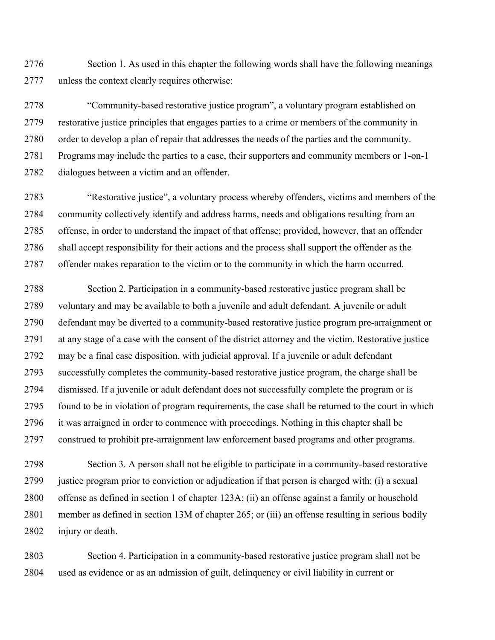2776 Section 1. As used in this chapter the following words shall have the following meanings 2777 unless the context clearly requires otherwise:

2778 "Community-based restorative justice program", a voluntary program established on 2779 restorative justice principles that engages parties to a crime or members of the community in 2780 order to develop a plan of repair that addresses the needs of the parties and the community. 2781 Programs may include the parties to a case, their supporters and community members or 1-on-1 2782 dialogues between a victim and an offender.

2783 "Restorative justice", a voluntary process whereby offenders, victims and members of the 2784 community collectively identify and address harms, needs and obligations resulting from an 2785 offense, in order to understand the impact of that offense; provided, however, that an offender 2786 shall accept responsibility for their actions and the process shall support the offender as the 2787 offender makes reparation to the victim or to the community in which the harm occurred.

2788 Section 2. Participation in a community-based restorative justice program shall be 2789 voluntary and may be available to both a juvenile and adult defendant. A juvenile or adult 2790 defendant may be diverted to a community-based restorative justice program pre-arraignment or 2791 at any stage of a case with the consent of the district attorney and the victim. Restorative justice 2792 may be a final case disposition, with judicial approval. If a juvenile or adult defendant 2793 successfully completes the community-based restorative justice program, the charge shall be 2794 dismissed. If a juvenile or adult defendant does not successfully complete the program or is 2795 found to be in violation of program requirements, the case shall be returned to the court in which 2796 it was arraigned in order to commence with proceedings. Nothing in this chapter shall be 2797 construed to prohibit pre-arraignment law enforcement based programs and other programs.

2798 Section 3. A person shall not be eligible to participate in a community-based restorative 2799 justice program prior to conviction or adjudication if that person is charged with: (i) a sexual 2800 offense as defined in section 1 of chapter 123A; (ii) an offense against a family or household 2801 member as defined in section 13M of chapter 265; or (iii) an offense resulting in serious bodily 2802 injury or death.

2803 Section 4. Participation in a community-based restorative justice program shall not be 2804 used as evidence or as an admission of guilt, delinquency or civil liability in current or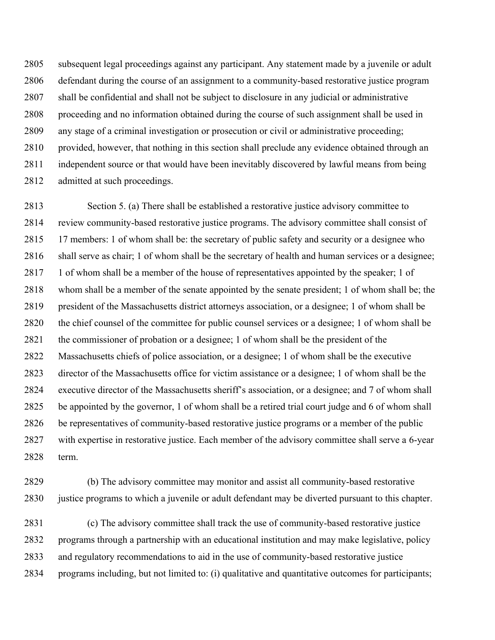2805 subsequent legal proceedings against any participant. Any statement made by a juvenile or adult 2806 defendant during the course of an assignment to a community-based restorative justice program 2807 shall be confidential and shall not be subject to disclosure in any judicial or administrative 2808 proceeding and no information obtained during the course of such assignment shall be used in 2809 any stage of a criminal investigation or prosecution or civil or administrative proceeding; 2810 provided, however, that nothing in this section shall preclude any evidence obtained through an 2811 independent source or that would have been inevitably discovered by lawful means from being 2812 admitted at such proceedings.

2813 Section 5. (a) There shall be established a restorative justice advisory committee to 2814 review community-based restorative justice programs. The advisory committee shall consist of 2815 17 members: 1 of whom shall be: the secretary of public safety and security or a designee who 2816 shall serve as chair; 1 of whom shall be the secretary of health and human services or a designee; 2817 1 of whom shall be a member of the house of representatives appointed by the speaker; 1 of 2818 whom shall be a member of the senate appointed by the senate president; 1 of whom shall be; the 2819 president of the Massachusetts district attorneys association, or a designee; 1 of whom shall be 2820 the chief counsel of the committee for public counsel services or a designee; 1 of whom shall be 2821 the commissioner of probation or a designee; 1 of whom shall be the president of the 2822 Massachusetts chiefs of police association, or a designee; 1 of whom shall be the executive 2823 director of the Massachusetts office for victim assistance or a designee; 1 of whom shall be the 2824 executive director of the Massachusetts sheriff's association, or a designee; and 7 of whom shall 2825 be appointed by the governor, 1 of whom shall be a retired trial court judge and 6 of whom shall 2826 be representatives of community-based restorative justice programs or a member of the public 2827 with expertise in restorative justice. Each member of the advisory committee shall serve a 6-year 2828 term.

2829 (b) The advisory committee may monitor and assist all community-based restorative 2830 justice programs to which a juvenile or adult defendant may be diverted pursuant to this chapter.

2831 (c) The advisory committee shall track the use of community-based restorative justice 2832 programs through a partnership with an educational institution and may make legislative, policy 2833 and regulatory recommendations to aid in the use of community-based restorative justice 2834 programs including, but not limited to: (i) qualitative and quantitative outcomes for participants;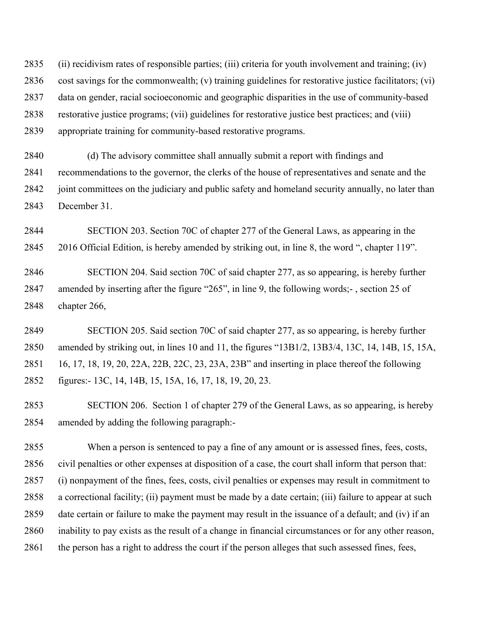2835 (ii) recidivism rates of responsible parties; (iii) criteria for youth involvement and training; (iv) 2836 cost savings for the commonwealth; (v) training guidelines for restorative justice facilitators; (vi) 2837 data on gender, racial socioeconomic and geographic disparities in the use of community-based 2838 restorative justice programs; (vii) guidelines for restorative justice best practices; and (viii) 2839 appropriate training for community-based restorative programs.

2840 (d) The advisory committee shall annually submit a report with findings and 2841 recommendations to the governor, the clerks of the house of representatives and senate and the 2842 joint committees on the judiciary and public safety and homeland security annually, no later than 2843 December 31.

2844 SECTION 203. Section 70C of chapter 277 of the General Laws, as appearing in the 2845 2016 Official Edition, is hereby amended by striking out, in line 8, the word ", chapter 119".

2846 SECTION 204. Said section 70C of said chapter 277, as so appearing, is hereby further 2847 amended by inserting after the figure "265", in line 9, the following words;- , section 25 of 2848 chapter 266,

2849 SECTION 205. Said section 70C of said chapter 277, as so appearing, is hereby further 2850 amended by striking out, in lines 10 and 11, the figures "13B1/2, 13B3/4, 13C, 14, 14B, 15, 15A, 2851 16, 17, 18, 19, 20, 22A, 22B, 22C, 23, 23A, 23B" and inserting in place thereof the following 2852 figures:- 13C, 14, 14B, 15, 15A, 16, 17, 18, 19, 20, 23.

2853 SECTION 206. Section 1 of chapter 279 of the General Laws, as so appearing, is hereby 2854 amended by adding the following paragraph:-

2855 When a person is sentenced to pay a fine of any amount or is assessed fines, fees, costs, 2856 civil penalties or other expenses at disposition of a case, the court shall inform that person that: 2857 (i) nonpayment of the fines, fees, costs, civil penalties or expenses may result in commitment to 2858 a correctional facility; (ii) payment must be made by a date certain; (iii) failure to appear at such 2859 date certain or failure to make the payment may result in the issuance of a default; and (iv) if an 2860 inability to pay exists as the result of a change in financial circumstances or for any other reason, 2861 the person has a right to address the court if the person alleges that such assessed fines, fees,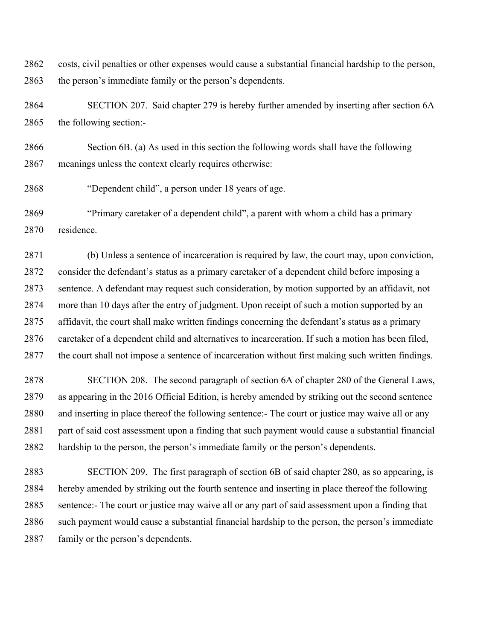2862 costs, civil penalties or other expenses would cause a substantial financial hardship to the person, 2863 the person's immediate family or the person's dependents.

2864 SECTION 207. Said chapter 279 is hereby further amended by inserting after section 6A 2865 the following section:-

2866 Section 6B. (a) As used in this section the following words shall have the following 2867 meanings unless the context clearly requires otherwise:

2868 "Dependent child", a person under 18 years of age.

2869 "Primary caretaker of a dependent child", a parent with whom a child has a primary 2870 residence.

2871 (b) Unless a sentence of incarceration is required by law, the court may, upon conviction, 2872 consider the defendant's status as a primary caretaker of a dependent child before imposing a 2873 sentence. A defendant may request such consideration, by motion supported by an affidavit, not 2874 more than 10 days after the entry of judgment. Upon receipt of such a motion supported by an 2875 affidavit, the court shall make written findings concerning the defendant's status as a primary 2876 caretaker of a dependent child and alternatives to incarceration. If such a motion has been filed, 2877 the court shall not impose a sentence of incarceration without first making such written findings.

2878 SECTION 208. The second paragraph of section 6A of chapter 280 of the General Laws, 2879 as appearing in the 2016 Official Edition, is hereby amended by striking out the second sentence 2880 and inserting in place thereof the following sentence:- The court or justice may waive all or any 2881 part of said cost assessment upon a finding that such payment would cause a substantial financial 2882 hardship to the person, the person's immediate family or the person's dependents.

2883 SECTION 209. The first paragraph of section 6B of said chapter 280, as so appearing, is 2884 hereby amended by striking out the fourth sentence and inserting in place thereof the following 2885 sentence:- The court or justice may waive all or any part of said assessment upon a finding that 2886 such payment would cause a substantial financial hardship to the person, the person's immediate 2887 family or the person's dependents.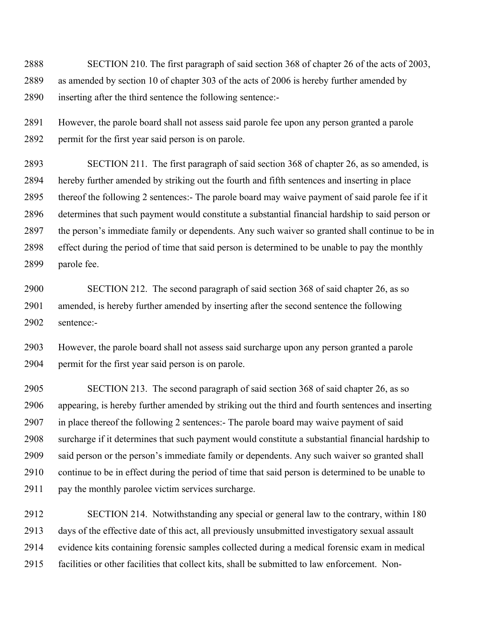2888 SECTION 210. The first paragraph of said section 368 of chapter 26 of the acts of 2003, 2889 as amended by section 10 of chapter 303 of the acts of 2006 is hereby further amended by 2890 inserting after the third sentence the following sentence:-

2891 However, the parole board shall not assess said parole fee upon any person granted a parole 2892 permit for the first year said person is on parole.

2893 SECTION 211. The first paragraph of said section 368 of chapter 26, as so amended, is 2894 hereby further amended by striking out the fourth and fifth sentences and inserting in place 2895 thereof the following 2 sentences:- The parole board may waive payment of said parole fee if it 2896 determines that such payment would constitute a substantial financial hardship to said person or 2897 the person's immediate family or dependents. Any such waiver so granted shall continue to be in 2898 effect during the period of time that said person is determined to be unable to pay the monthly 2899 parole fee.

2900 SECTION 212. The second paragraph of said section 368 of said chapter 26, as so 2901 amended, is hereby further amended by inserting after the second sentence the following 2902 sentence:-

2903 However, the parole board shall not assess said surcharge upon any person granted a parole 2904 permit for the first year said person is on parole.

2905 SECTION 213. The second paragraph of said section 368 of said chapter 26, as so 2906 appearing, is hereby further amended by striking out the third and fourth sentences and inserting 2907 in place thereof the following 2 sentences:- The parole board may waive payment of said 2908 surcharge if it determines that such payment would constitute a substantial financial hardship to 2909 said person or the person's immediate family or dependents. Any such waiver so granted shall 2910 continue to be in effect during the period of time that said person is determined to be unable to 2911 pay the monthly parolee victim services surcharge.

2912 SECTION 214. Notwithstanding any special or general law to the contrary, within 180 2913 days of the effective date of this act, all previously unsubmitted investigatory sexual assault 2914 evidence kits containing forensic samples collected during a medical forensic exam in medical 2915 facilities or other facilities that collect kits, shall be submitted to law enforcement. Non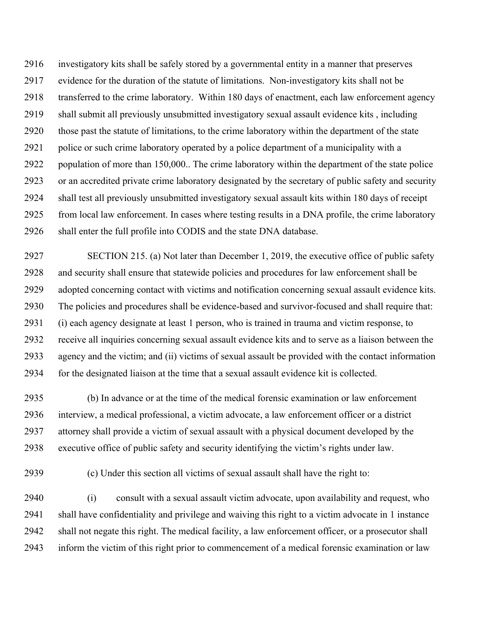2916 investigatory kits shall be safely stored by a governmental entity in a manner that preserves 2917 evidence for the duration of the statute of limitations. Non-investigatory kits shall not be 2918 transferred to the crime laboratory. Within 180 days of enactment, each law enforcement agency 2919 shall submit all previously unsubmitted investigatory sexual assault evidence kits , including 2920 those past the statute of limitations, to the crime laboratory within the department of the state 2921 police or such crime laboratory operated by a police department of a municipality with a 2922 population of more than 150,000.. The crime laboratory within the department of the state police 2923 or an accredited private crime laboratory designated by the secretary of public safety and security 2924 shall test all previously unsubmitted investigatory sexual assault kits within 180 days of receipt 2925 from local law enforcement. In cases where testing results in a DNA profile, the crime laboratory 2926 shall enter the full profile into CODIS and the state DNA database.

2927 SECTION 215. (a) Not later than December 1, 2019, the executive office of public safety 2928 and security shall ensure that statewide policies and procedures for law enforcement shall be 2929 adopted concerning contact with victims and notification concerning sexual assault evidence kits. 2930 The policies and procedures shall be evidence-based and survivor-focused and shall require that: 2931 (i) each agency designate at least 1 person, who is trained in trauma and victim response, to 2932 receive all inquiries concerning sexual assault evidence kits and to serve as a liaison between the 2933 agency and the victim; and (ii) victims of sexual assault be provided with the contact information 2934 for the designated liaison at the time that a sexual assault evidence kit is collected.

2935 (b) In advance or at the time of the medical forensic examination or law enforcement 2936 interview, a medical professional, a victim advocate, a law enforcement officer or a district 2937 attorney shall provide a victim of sexual assault with a physical document developed by the 2938 executive office of public safety and security identifying the victim's rights under law.

2939 (c) Under this section all victims of sexual assault shall have the right to:

2940 (i) consult with a sexual assault victim advocate, upon availability and request, who 2941 shall have confidentiality and privilege and waiving this right to a victim advocate in 1 instance 2942 shall not negate this right. The medical facility, a law enforcement officer, or a prosecutor shall 2943 inform the victim of this right prior to commencement of a medical forensic examination or law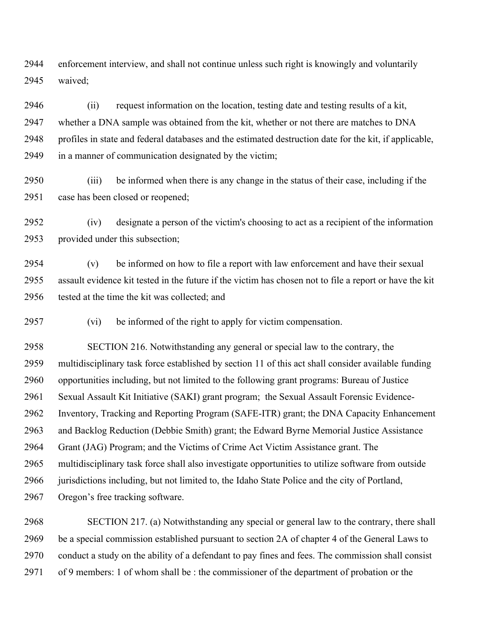2944 enforcement interview, and shall not continue unless such right is knowingly and voluntarily 2945 waived;

2946 (ii) request information on the location, testing date and testing results of a kit, 2947 whether a DNA sample was obtained from the kit, whether or not there are matches to DNA 2948 profiles in state and federal databases and the estimated destruction date for the kit, if applicable, 2949 in a manner of communication designated by the victim;

2950 (iii) be informed when there is any change in the status of their case, including if the 2951 case has been closed or reopened;

2952 (iv) designate a person of the victim's choosing to act as a recipient of the information 2953 provided under this subsection;

2954 (v) be informed on how to file a report with law enforcement and have their sexual 2955 assault evidence kit tested in the future if the victim has chosen not to file a report or have the kit 2956 tested at the time the kit was collected; and

2957 (vi) be informed of the right to apply for victim compensation.

2958 SECTION 216. Notwithstanding any general or special law to the contrary, the 2959 multidisciplinary task force established by section 11 of this act shall consider available funding 2960 opportunities including, but not limited to the following grant programs: Bureau of Justice 2961 Sexual Assault Kit Initiative (SAKI) grant program; the Sexual Assault Forensic Evidence-2962 Inventory, Tracking and Reporting Program (SAFE-ITR) grant; the DNA Capacity Enhancement 2963 and Backlog Reduction (Debbie Smith) grant; the Edward Byrne Memorial Justice Assistance 2964 Grant (JAG) Program; and the Victims of Crime Act Victim Assistance grant. The 2965 multidisciplinary task force shall also investigate opportunities to utilize software from outside 2966 jurisdictions including, but not limited to, the Idaho State Police and the city of Portland, 2967 Oregon's free tracking software.

2968 SECTION 217. (a) Notwithstanding any special or general law to the contrary, there shall 2969 be a special commission established pursuant to section 2A of chapter 4 of the General Laws to 2970 conduct a study on the ability of a defendant to pay fines and fees. The commission shall consist 2971 of 9 members: 1 of whom shall be : the commissioner of the department of probation or the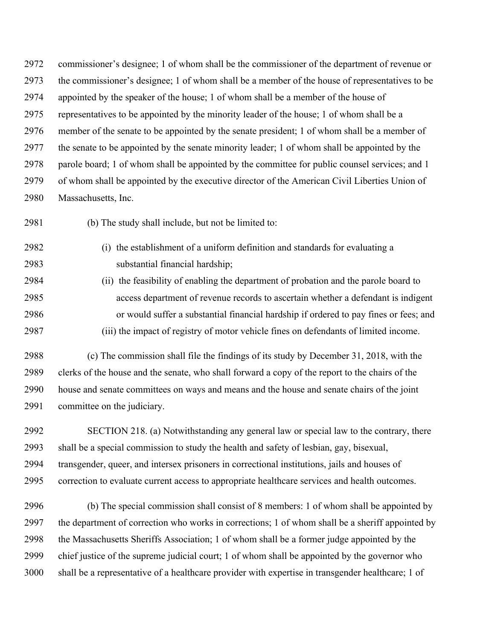2972 commissioner's designee; 1 of whom shall be the commissioner of the department of revenue or 2973 the commissioner's designee; 1 of whom shall be a member of the house of representatives to be 2974 appointed by the speaker of the house; 1 of whom shall be a member of the house of 2975 representatives to be appointed by the minority leader of the house; 1 of whom shall be a 2976 member of the senate to be appointed by the senate president; 1 of whom shall be a member of 2977 the senate to be appointed by the senate minority leader; 1 of whom shall be appointed by the 2978 parole board; 1 of whom shall be appointed by the committee for public counsel services; and 1 2979 of whom shall be appointed by the executive director of the American Civil Liberties Union of 2980 Massachusetts, Inc.

2981 (b) The study shall include, but not be limited to:

- 2982 (i) the establishment of a uniform definition and standards for evaluating a 2983 substantial financial hardship;
- 2984 (ii) the feasibility of enabling the department of probation and the parole board to 2985 access department of revenue records to ascertain whether a defendant is indigent 2986 or would suffer a substantial financial hardship if ordered to pay fines or fees; and 2987 (iii) the impact of registry of motor vehicle fines on defendants of limited income.
- 2988 (c) The commission shall file the findings of its study by December 31, 2018, with the 2989 clerks of the house and the senate, who shall forward a copy of the report to the chairs of the 2990 house and senate committees on ways and means and the house and senate chairs of the joint 2991 committee on the judiciary.

2992 SECTION 218. (a) Notwithstanding any general law or special law to the contrary, there 2993 shall be a special commission to study the health and safety of lesbian, gay, bisexual, 2994 transgender, queer, and intersex prisoners in correctional institutions, jails and houses of 2995 correction to evaluate current access to appropriate healthcare services and health outcomes.

2996 (b) The special commission shall consist of 8 members: 1 of whom shall be appointed by 2997 the department of correction who works in corrections; 1 of whom shall be a sheriff appointed by 2998 the Massachusetts Sheriffs Association; 1 of whom shall be a former judge appointed by the 2999 chief justice of the supreme judicial court; 1 of whom shall be appointed by the governor who 3000 shall be a representative of a healthcare provider with expertise in transgender healthcare; 1 of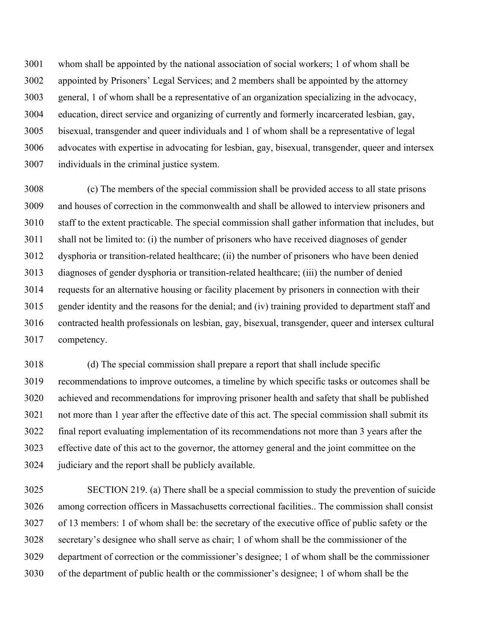3001 whom shall be appointed by the national association of social workers; 1 of whom shall be 3002 appointed by Prisoners' Legal Services; and 2 members shall be appointed by the attorney 3003 general, 1 of whom shall be a representative of an organization specializing in the advocacy, 3004 education, direct service and organizing of currently and formerly incarcerated lesbian, gay, 3005 bisexual, transgender and queer individuals and 1 of whom shall be a representative of legal 3006 advocates with expertise in advocating for lesbian, gay, bisexual, transgender, queer and intersex 3007 individuals in the criminal justice system.

3008 (c) The members of the special commission shall be provided access to all state prisons 3009 and houses of correction in the commonwealth and shall be allowed to interview prisoners and 3010 staff to the extent practicable. The special commission shall gather information that includes, but 3011 shall not be limited to: (i) the number of prisoners who have received diagnoses of gender 3012 dysphoria or transition-related healthcare; (ii) the number of prisoners who have been denied 3013 diagnoses of gender dysphoria or transition-related healthcare; (iii) the number of denied 3014 requests for an alternative housing or facility placement by prisoners in connection with their 3015 gender identity and the reasons for the denial; and (iv) training provided to department staff and 3016 contracted health professionals on lesbian, gay, bisexual, transgender, queer and intersex cultural 3017 competency.

3018 (d) The special commission shall prepare a report that shall include specific 3019 recommendations to improve outcomes, a timeline by which specific tasks or outcomes shall be 3020 achieved and recommendations for improving prisoner health and safety that shall be published 3021 not more than 1 year after the effective date of this act. The special commission shall submit its 3022 final report evaluating implementation of its recommendations not more than 3 years after the 3023 effective date of this act to the governor, the attorney general and the joint committee on the 3024 judiciary and the report shall be publicly available.

3025 SECTION 219. (a) There shall be a special commission to study the prevention of suicide 3026 among correction officers in Massachusetts correctional facilities.. The commission shall consist 3027 of 13 members: 1 of whom shall be: the secretary of the executive office of public safety or the 3028 secretary's designee who shall serve as chair; 1 of whom shall be the commissioner of the 3029 department of correction or the commissioner's designee; 1 of whom shall be the commissioner 3030 of the department of public health or the commissioner's designee; 1 of whom shall be the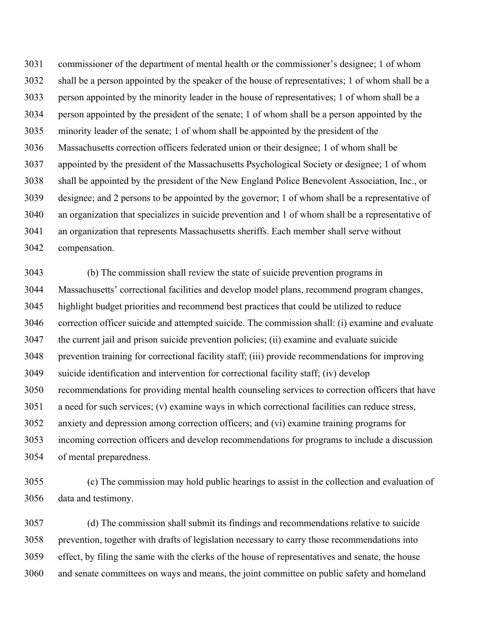3031 commissioner of the department of mental health or the commissioner's designee; 1 of whom 3032 shall be a person appointed by the speaker of the house of representatives; 1 of whom shall be a 3033 person appointed by the minority leader in the house of representatives; 1 of whom shall be a 3034 person appointed by the president of the senate; 1 of whom shall be a person appointed by the 3035 minority leader of the senate; 1 of whom shall be appointed by the president of the 3036 Massachusetts correction officers federated union or their designee; 1 of whom shall be 3037 appointed by the president of the Massachusetts Psychological Society or designee; 1 of whom 3038 shall be appointed by the president of the New England Police Benevolent Association, Inc., or 3039 designee; and 2 persons to be appointed by the governor; 1 of whom shall be a representative of 3040 an organization that specializes in suicide prevention and 1 of whom shall be a representative of 3041 an organization that represents Massachusetts sheriffs. Each member shall serve without 3042 compensation.

3043 (b) The commission shall review the state of suicide prevention programs in 3044 Massachusetts' correctional facilities and develop model plans, recommend program changes, 3045 highlight budget priorities and recommend best practices that could be utilized to reduce 3046 correction officer suicide and attempted suicide. The commission shall: (i) examine and evaluate 3047 the current jail and prison suicide prevention policies; (ii) examine and evaluate suicide 3048 prevention training for correctional facility staff; (iii) provide recommendations for improving 3049 suicide identification and intervention for correctional facility staff; (iv) develop 3050 recommendations for providing mental health counseling services to correction officers that have 3051 a need for such services; (v) examine ways in which correctional facilities can reduce stress, 3052 anxiety and depression among correction officers; and (vi) examine training programs for 3053 incoming correction officers and develop recommendations for programs to include a discussion 3054 of mental preparedness.

3055 (c) The commission may hold public hearings to assist in the collection and evaluation of 3056 data and testimony.

3057 (d) The commission shall submit its findings and recommendations relative to suicide 3058 prevention, together with drafts of legislation necessary to carry those recommendations into 3059 effect, by filing the same with the clerks of the house of representatives and senate, the house 3060 and senate committees on ways and means, the joint committee on public safety and homeland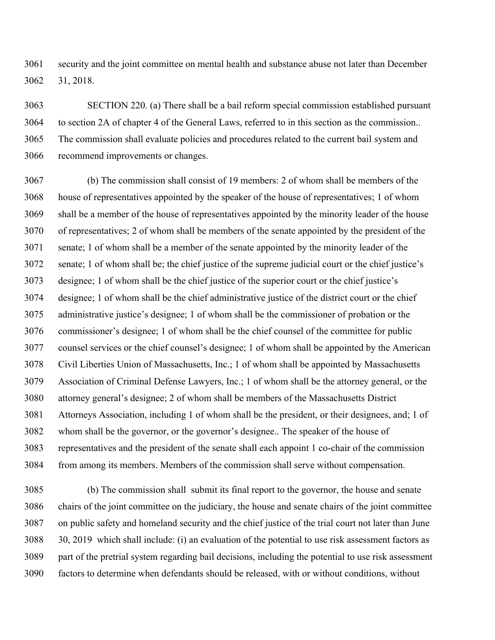3061 security and the joint committee on mental health and substance abuse not later than December 3062 31, 2018.

3063 SECTION 220. (a) There shall be a bail reform special commission established pursuant 3064 to section 2A of chapter 4 of the General Laws, referred to in this section as the commission.. 3065 The commission shall evaluate policies and procedures related to the current bail system and 3066 recommend improvements or changes.

3067 (b) The commission shall consist of 19 members: 2 of whom shall be members of the 3068 house of representatives appointed by the speaker of the house of representatives; 1 of whom 3069 shall be a member of the house of representatives appointed by the minority leader of the house 3070 of representatives; 2 of whom shall be members of the senate appointed by the president of the 3071 senate; 1 of whom shall be a member of the senate appointed by the minority leader of the 3072 senate; 1 of whom shall be; the chief justice of the supreme judicial court or the chief justice's 3073 designee; 1 of whom shall be the chief justice of the superior court or the chief justice's 3074 designee; 1 of whom shall be the chief administrative justice of the district court or the chief 3075 administrative justice's designee; 1 of whom shall be the commissioner of probation or the 3076 commissioner's designee; 1 of whom shall be the chief counsel of the committee for public 3077 counsel services or the chief counsel's designee; 1 of whom shall be appointed by the American 3078 Civil Liberties Union of Massachusetts, Inc.; 1 of whom shall be appointed by Massachusetts 3079 Association of Criminal Defense Lawyers, Inc.; 1 of whom shall be the attorney general, or the 3080 attorney general's designee; 2 of whom shall be members of the Massachusetts District 3081 Attorneys Association, including 1 of whom shall be the president, or their designees, and; 1 of 3082 whom shall be the governor, or the governor's designee.. The speaker of the house of 3083 representatives and the president of the senate shall each appoint 1 co-chair of the commission 3084 from among its members. Members of the commission shall serve without compensation.

3085 (b) The commission shall submit its final report to the governor, the house and senate 3086 chairs of the joint committee on the judiciary, the house and senate chairs of the joint committee 3087 on public safety and homeland security and the chief justice of the trial court not later than June 3088 30, 2019 which shall include: (i) an evaluation of the potential to use risk assessment factors as 3089 part of the pretrial system regarding bail decisions, including the potential to use risk assessment 3090 factors to determine when defendants should be released, with or without conditions, without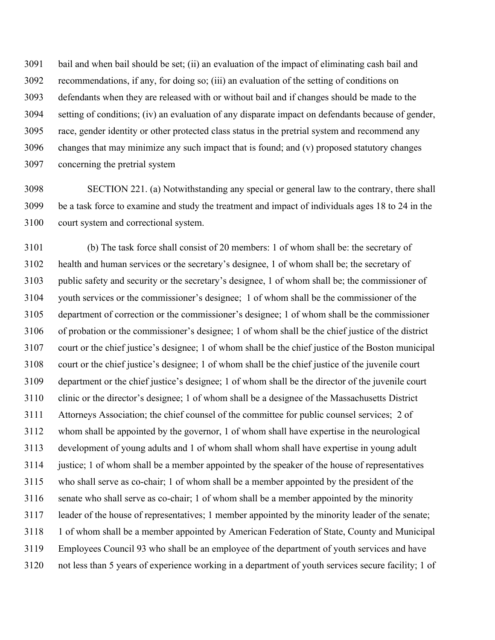3091 bail and when bail should be set; (ii) an evaluation of the impact of eliminating cash bail and 3092 recommendations, if any, for doing so; (iii) an evaluation of the setting of conditions on 3093 defendants when they are released with or without bail and if changes should be made to the 3094 setting of conditions; (iv) an evaluation of any disparate impact on defendants because of gender, 3095 race, gender identity or other protected class status in the pretrial system and recommend any 3096 changes that may minimize any such impact that is found; and (v) proposed statutory changes 3097 concerning the pretrial system

3098 SECTION 221. (a) Notwithstanding any special or general law to the contrary, there shall 3099 be a task force to examine and study the treatment and impact of individuals ages 18 to 24 in the 3100 court system and correctional system.

3101 (b) The task force shall consist of 20 members: 1 of whom shall be: the secretary of 3102 health and human services or the secretary's designee, 1 of whom shall be; the secretary of 3103 public safety and security or the secretary's designee, 1 of whom shall be; the commissioner of 3104 youth services or the commissioner's designee; 1 of whom shall be the commissioner of the 3105 department of correction or the commissioner's designee; 1 of whom shall be the commissioner 3106 of probation or the commissioner's designee; 1 of whom shall be the chief justice of the district 3107 court or the chief justice's designee; 1 of whom shall be the chief justice of the Boston municipal 3108 court or the chief justice's designee; 1 of whom shall be the chief justice of the juvenile court 3109 department or the chief justice's designee; 1 of whom shall be the director of the juvenile court 3110 clinic or the director's designee; 1 of whom shall be a designee of the Massachusetts District 3111 Attorneys Association; the chief counsel of the committee for public counsel services; 2 of 3112 whom shall be appointed by the governor, 1 of whom shall have expertise in the neurological 3113 development of young adults and 1 of whom shall whom shall have expertise in young adult 3114 justice; 1 of whom shall be a member appointed by the speaker of the house of representatives 3115 who shall serve as co-chair; 1 of whom shall be a member appointed by the president of the 3116 senate who shall serve as co-chair; 1 of whom shall be a member appointed by the minority 3117 leader of the house of representatives; 1 member appointed by the minority leader of the senate; 3118 1 of whom shall be a member appointed by American Federation of State, County and Municipal 3119 Employees Council 93 who shall be an employee of the department of youth services and have 3120 not less than 5 years of experience working in a department of youth services secure facility; 1 of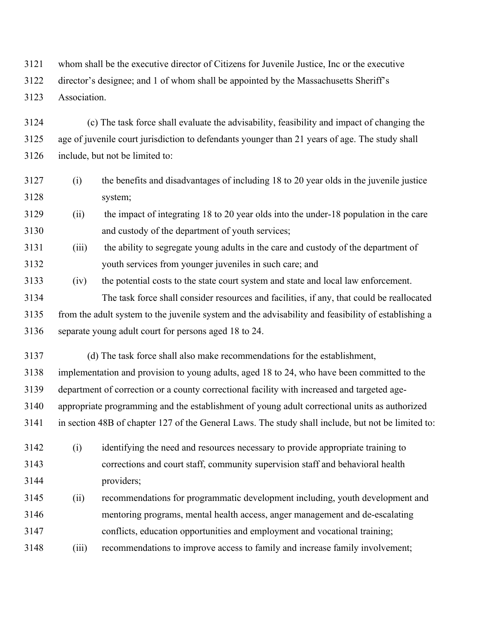3121 whom shall be the executive director of Citizens for Juvenile Justice, Inc or the executive

3122 director's designee; and 1 of whom shall be appointed by the Massachusetts Sheriff's

3123 Association.

3124 (c) The task force shall evaluate the advisability, feasibility and impact of changing the 3125 age of juvenile court jurisdiction to defendants younger than 21 years of age. The study shall 3126 include, but not be limited to:

- 3127 (i) the benefits and disadvantages of including 18 to 20 year olds in the juvenile justice 3128 system;
- 3129 (ii) the impact of integrating 18 to 20 year olds into the under-18 population in the care 3130 and custody of the department of youth services;
- 3131 (iii) the ability to segregate young adults in the care and custody of the department of 3132 youth services from younger juveniles in such care; and
- 3133 (iv) the potential costs to the state court system and state and local law enforcement.
- 3134 The task force shall consider resources and facilities, if any, that could be reallocated 3135 from the adult system to the juvenile system and the advisability and feasibility of establishing a 3136 separate young adult court for persons aged 18 to 24.
- 3137 (d) The task force shall also make recommendations for the establishment,
- 3138 implementation and provision to young adults, aged 18 to 24, who have been committed to the
- 3139 department of correction or a county correctional facility with increased and targeted age-
- 3140 appropriate programming and the establishment of young adult correctional units as authorized
- 3141 in section 48B of chapter 127 of the General Laws. The study shall include, but not be limited to:
- 3142 (i) identifying the need and resources necessary to provide appropriate training to 3143 corrections and court staff, community supervision staff and behavioral health 3144 providers;
- 3145 (ii) recommendations for programmatic development including, youth development and 3146 mentoring programs, mental health access, anger management and de-escalating
- 3147 conflicts, education opportunities and employment and vocational training;
- 3148 (iii) recommendations to improve access to family and increase family involvement;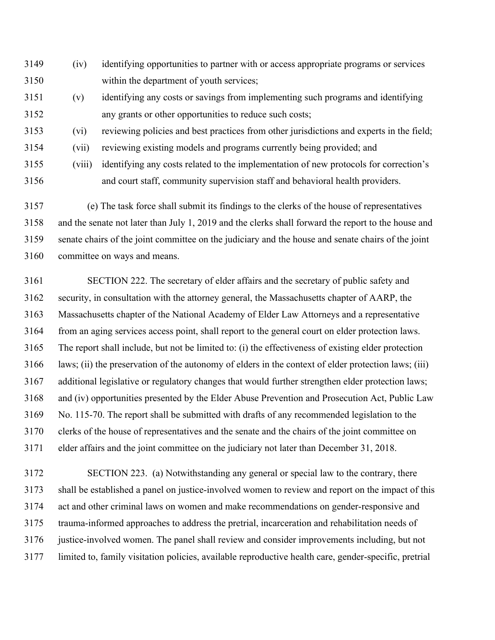- 3149 (iv) identifying opportunities to partner with or access appropriate programs or services 3150 within the department of youth services;
- 3151 (v) identifying any costs or savings from implementing such programs and identifying 3152 any grants or other opportunities to reduce such costs;
- 3153 (vi) reviewing policies and best practices from other jurisdictions and experts in the field;
- 3154 (vii) reviewing existing models and programs currently being provided; and
- 3155 (viii) identifying any costs related to the implementation of new protocols for correction's 3156 and court staff, community supervision staff and behavioral health providers.

3157 (e) The task force shall submit its findings to the clerks of the house of representatives 3158 and the senate not later than July 1, 2019 and the clerks shall forward the report to the house and 3159 senate chairs of the joint committee on the judiciary and the house and senate chairs of the joint 3160 committee on ways and means.

3161 SECTION 222. The secretary of elder affairs and the secretary of public safety and 3162 security, in consultation with the attorney general, the Massachusetts chapter of AARP, the 3163 Massachusetts chapter of the National Academy of Elder Law Attorneys and a representative 3164 from an aging services access point, shall report to the general court on elder protection laws. 3165 The report shall include, but not be limited to: (i) the effectiveness of existing elder protection 3166 laws; (ii) the preservation of the autonomy of elders in the context of elder protection laws; (iii) 3167 additional legislative or regulatory changes that would further strengthen elder protection laws; 3168 and (iv) opportunities presented by the Elder Abuse Prevention and Prosecution Act, Public Law 3169 No. 115-70. The report shall be submitted with drafts of any recommended legislation to the 3170 clerks of the house of representatives and the senate and the chairs of the joint committee on 3171 elder affairs and the joint committee on the judiciary not later than December 31, 2018.

3172 SECTION 223. (a) Notwithstanding any general or special law to the contrary, there 3173 shall be established a panel on justice-involved women to review and report on the impact of this 3174 act and other criminal laws on women and make recommendations on gender-responsive and 3175 trauma-informed approaches to address the pretrial, incarceration and rehabilitation needs of 3176 justice-involved women. The panel shall review and consider improvements including, but not 3177 limited to, family visitation policies, available reproductive health care, gender-specific, pretrial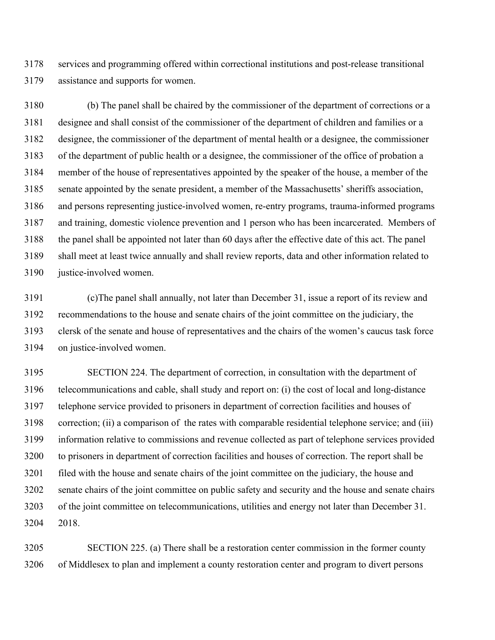3178 services and programming offered within correctional institutions and post-release transitional 3179 assistance and supports for women.

3180 (b) The panel shall be chaired by the commissioner of the department of corrections or a 3181 designee and shall consist of the commissioner of the department of children and families or a 3182 designee, the commissioner of the department of mental health or a designee, the commissioner 3183 of the department of public health or a designee, the commissioner of the office of probation a 3184 member of the house of representatives appointed by the speaker of the house, a member of the 3185 senate appointed by the senate president, a member of the Massachusetts' sheriffs association, 3186 and persons representing justice-involved women, re-entry programs, trauma-informed programs 3187 and training, domestic violence prevention and 1 person who has been incarcerated. Members of 3188 the panel shall be appointed not later than 60 days after the effective date of this act. The panel 3189 shall meet at least twice annually and shall review reports, data and other information related to 3190 justice-involved women.

3191 (c)The panel shall annually, not later than December 31, issue a report of its review and 3192 recommendations to the house and senate chairs of the joint committee on the judiciary, the 3193 clersk of the senate and house of representatives and the chairs of the women's caucus task force 3194 on justice-involved women.

3195 SECTION 224. The department of correction, in consultation with the department of 3196 telecommunications and cable, shall study and report on: (i) the cost of local and long-distance 3197 telephone service provided to prisoners in department of correction facilities and houses of 3198 correction; (ii) a comparison of the rates with comparable residential telephone service; and (iii) 3199 information relative to commissions and revenue collected as part of telephone services provided 3200 to prisoners in department of correction facilities and houses of correction. The report shall be 3201 filed with the house and senate chairs of the joint committee on the judiciary, the house and 3202 senate chairs of the joint committee on public safety and security and the house and senate chairs 3203 of the joint committee on telecommunications, utilities and energy not later than December 31. 3204 2018.

3205 SECTION 225. (a) There shall be a restoration center commission in the former county 3206 of Middlesex to plan and implement a county restoration center and program to divert persons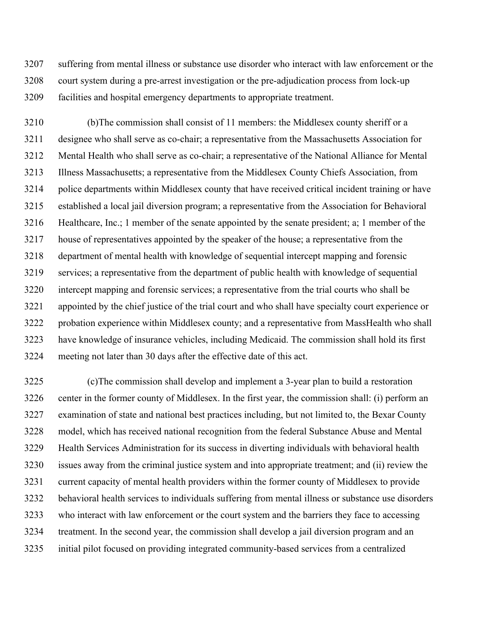3207 suffering from mental illness or substance use disorder who interact with law enforcement or the 3208 court system during a pre-arrest investigation or the pre-adjudication process from lock-up 3209 facilities and hospital emergency departments to appropriate treatment.

3210 (b)The commission shall consist of 11 members: the Middlesex county sheriff or a 3211 designee who shall serve as co-chair; a representative from the Massachusetts Association for 3212 Mental Health who shall serve as co-chair; a representative of the National Alliance for Mental 3213 Illness Massachusetts; a representative from the Middlesex County Chiefs Association, from 3214 police departments within Middlesex county that have received critical incident training or have 3215 established a local jail diversion program; a representative from the Association for Behavioral 3216 Healthcare, Inc.; 1 member of the senate appointed by the senate president; a; 1 member of the 3217 house of representatives appointed by the speaker of the house; a representative from the 3218 department of mental health with knowledge of sequential intercept mapping and forensic 3219 services; a representative from the department of public health with knowledge of sequential 3220 intercept mapping and forensic services; a representative from the trial courts who shall be 3221 appointed by the chief justice of the trial court and who shall have specialty court experience or 3222 probation experience within Middlesex county; and a representative from MassHealth who shall 3223 have knowledge of insurance vehicles, including Medicaid. The commission shall hold its first 3224 meeting not later than 30 days after the effective date of this act.

3225 (c)The commission shall develop and implement a 3-year plan to build a restoration 3226 center in the former county of Middlesex. In the first year, the commission shall: (i) perform an 3227 examination of state and national best practices including, but not limited to, the Bexar County 3228 model, which has received national recognition from the federal Substance Abuse and Mental 3229 Health Services Administration for its success in diverting individuals with behavioral health 3230 issues away from the criminal justice system and into appropriate treatment; and (ii) review the 3231 current capacity of mental health providers within the former county of Middlesex to provide 3232 behavioral health services to individuals suffering from mental illness or substance use disorders 3233 who interact with law enforcement or the court system and the barriers they face to accessing 3234 treatment. In the second year, the commission shall develop a jail diversion program and an 3235 initial pilot focused on providing integrated community-based services from a centralized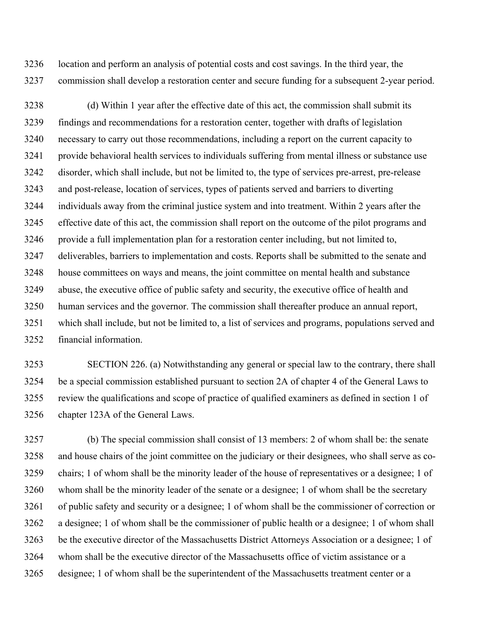3236 location and perform an analysis of potential costs and cost savings. In the third year, the 3237 commission shall develop a restoration center and secure funding for a subsequent 2-year period.

3238 (d) Within 1 year after the effective date of this act, the commission shall submit its 3239 findings and recommendations for a restoration center, together with drafts of legislation 3240 necessary to carry out those recommendations, including a report on the current capacity to 3241 provide behavioral health services to individuals suffering from mental illness or substance use 3242 disorder, which shall include, but not be limited to, the type of services pre-arrest, pre-release 3243 and post-release, location of services, types of patients served and barriers to diverting 3244 individuals away from the criminal justice system and into treatment. Within 2 years after the 3245 effective date of this act, the commission shall report on the outcome of the pilot programs and 3246 provide a full implementation plan for a restoration center including, but not limited to, 3247 deliverables, barriers to implementation and costs. Reports shall be submitted to the senate and 3248 house committees on ways and means, the joint committee on mental health and substance 3249 abuse, the executive office of public safety and security, the executive office of health and 3250 human services and the governor. The commission shall thereafter produce an annual report, 3251 which shall include, but not be limited to, a list of services and programs, populations served and 3252 financial information.

3253 SECTION 226. (a) Notwithstanding any general or special law to the contrary, there shall 3254 be a special commission established pursuant to section 2A of chapter 4 of the General Laws to 3255 review the qualifications and scope of practice of qualified examiners as defined in section 1 of 3256 chapter 123A of the General Laws.

3257 (b) The special commission shall consist of 13 members: 2 of whom shall be: the senate 3258 and house chairs of the joint committee on the judiciary or their designees, who shall serve as co-3259 chairs; 1 of whom shall be the minority leader of the house of representatives or a designee; 1 of 3260 whom shall be the minority leader of the senate or a designee; 1 of whom shall be the secretary 3261 of public safety and security or a designee; 1 of whom shall be the commissioner of correction or 3262 a designee; 1 of whom shall be the commissioner of public health or a designee; 1 of whom shall 3263 be the executive director of the Massachusetts District Attorneys Association or a designee; 1 of 3264 whom shall be the executive director of the Massachusetts office of victim assistance or a 3265 designee; 1 of whom shall be the superintendent of the Massachusetts treatment center or a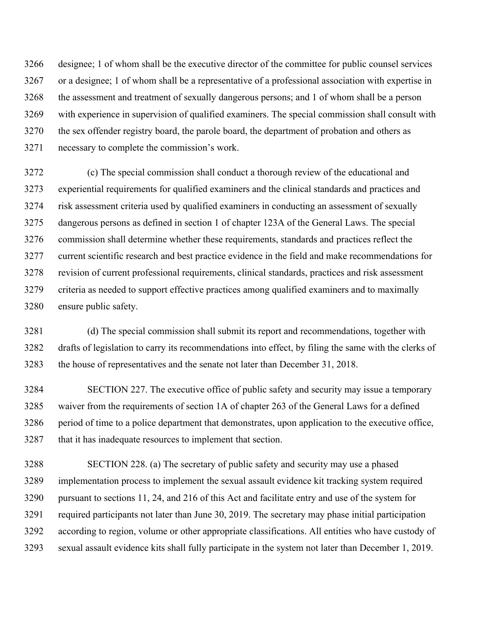3266 designee; 1 of whom shall be the executive director of the committee for public counsel services 3267 or a designee; 1 of whom shall be a representative of a professional association with expertise in 3268 the assessment and treatment of sexually dangerous persons; and 1 of whom shall be a person 3269 with experience in supervision of qualified examiners. The special commission shall consult with 3270 the sex offender registry board, the parole board, the department of probation and others as 3271 necessary to complete the commission's work.

3272 (c) The special commission shall conduct a thorough review of the educational and 3273 experiential requirements for qualified examiners and the clinical standards and practices and 3274 risk assessment criteria used by qualified examiners in conducting an assessment of sexually 3275 dangerous persons as defined in section 1 of chapter 123A of the General Laws. The special 3276 commission shall determine whether these requirements, standards and practices reflect the 3277 current scientific research and best practice evidence in the field and make recommendations for 3278 revision of current professional requirements, clinical standards, practices and risk assessment 3279 criteria as needed to support effective practices among qualified examiners and to maximally 3280 ensure public safety.

3281 (d) The special commission shall submit its report and recommendations, together with 3282 drafts of legislation to carry its recommendations into effect, by filing the same with the clerks of 3283 the house of representatives and the senate not later than December 31, 2018.

3284 SECTION 227. The executive office of public safety and security may issue a temporary 3285 waiver from the requirements of section 1A of chapter 263 of the General Laws for a defined 3286 period of time to a police department that demonstrates, upon application to the executive office, 3287 that it has inadequate resources to implement that section.

3288 SECTION 228. (a) The secretary of public safety and security may use a phased 3289 implementation process to implement the sexual assault evidence kit tracking system required 3290 pursuant to sections 11, 24, and 216 of this Act and facilitate entry and use of the system for 3291 required participants not later than June 30, 2019. The secretary may phase initial participation 3292 according to region, volume or other appropriate classifications. All entities who have custody of 3293 sexual assault evidence kits shall fully participate in the system not later than December 1, 2019.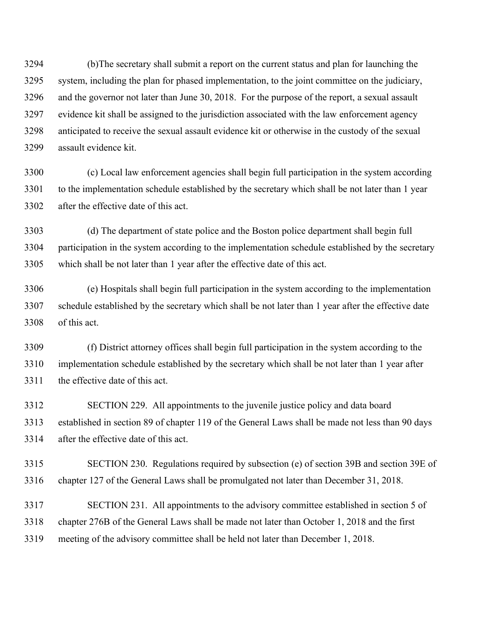3294 (b)The secretary shall submit a report on the current status and plan for launching the 3295 system, including the plan for phased implementation, to the joint committee on the judiciary, 3296 and the governor not later than June 30, 2018. For the purpose of the report, a sexual assault 3297 evidence kit shall be assigned to the jurisdiction associated with the law enforcement agency 3298 anticipated to receive the sexual assault evidence kit or otherwise in the custody of the sexual 3299 assault evidence kit.

3300 (c) Local law enforcement agencies shall begin full participation in the system according 3301 to the implementation schedule established by the secretary which shall be not later than 1 year 3302 after the effective date of this act.

3303 (d) The department of state police and the Boston police department shall begin full 3304 participation in the system according to the implementation schedule established by the secretary 3305 which shall be not later than 1 year after the effective date of this act.

3306 (e) Hospitals shall begin full participation in the system according to the implementation 3307 schedule established by the secretary which shall be not later than 1 year after the effective date 3308 of this act.

3309 (f) District attorney offices shall begin full participation in the system according to the 3310 implementation schedule established by the secretary which shall be not later than 1 year after 3311 the effective date of this act.

3312 SECTION 229. All appointments to the juvenile justice policy and data board 3313 established in section 89 of chapter 119 of the General Laws shall be made not less than 90 days 3314 after the effective date of this act.

3315 SECTION 230. Regulations required by subsection (e) of section 39B and section 39E of 3316 chapter 127 of the General Laws shall be promulgated not later than December 31, 2018.

3317 SECTION 231. All appointments to the advisory committee established in section 5 of 3318 chapter 276B of the General Laws shall be made not later than October 1, 2018 and the first 3319 meeting of the advisory committee shall be held not later than December 1, 2018.